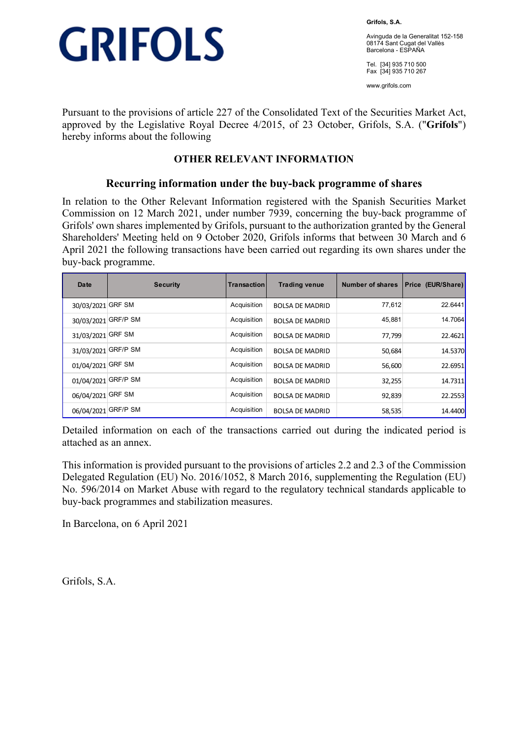

**Grifols, S.A.** 

Avinguda de la Generalitat 152-158 08174 Sant Cugat del Vallès Barcelona - ESPAÑA

Tel. [34] 935 710 500 Fax [34] 935 710 267

www.grifols.com

Pursuant to the provisions of article 227 of the Consolidated Text of the Securities Market Act, approved by the Legislative Royal Decree 4/2015, of 23 October, Grifols, S.A. ("**Grifols**") hereby informs about the following

## **OTHER RELEVANT INFORMATION**

### **Recurring information under the buy-back programme of shares**

In relation to the Other Relevant Information registered with the Spanish Securities Market Commission on 12 March 2021, under number 7939, concerning the buy-back programme of Grifols' own shares implemented by Grifols, pursuant to the authorization granted by the General Shareholders' Meeting held on 9 October 2020, Grifols informs that between 30 March and 6 April 2021 the following transactions have been carried out regarding its own shares under the buy-back programme.

| <b>Date</b>         | <b>Security</b> | Transactionl | <b>Trading venue</b>   | <b>Number of shares</b> | Price (EUR/Share) |
|---------------------|-----------------|--------------|------------------------|-------------------------|-------------------|
| 30/03/2021          | <b>GRF SM</b>   | Acquisition  | <b>BOLSA DE MADRID</b> | 77,612                  | 22.6441           |
| 30/03/2021 GRF/P SM |                 | Acquisition  | <b>BOLSA DE MADRID</b> | 45,881                  | 14.7064           |
| 31/03/2021 GRF SM   |                 | Acquisition  | <b>BOLSA DE MADRID</b> | 77,799                  | 22.4621           |
| 31/03/2021 GRF/P SM |                 | Acquisition  | <b>BOLSA DE MADRID</b> | 50,684                  | 14.5370           |
| 01/04/2021 GRF SM   |                 | Acquisition  | <b>BOLSA DE MADRID</b> | 56,600                  | 22.6951           |
| 01/04/2021          | GRF/P SM        | Acquisition  | <b>BOLSA DE MADRID</b> | 32,255                  | 14.7311           |
| 06/04/2021          | <b>GRF SM</b>   | Acquisition  | <b>BOLSA DE MADRID</b> | 92,839                  | 22.2553           |
| 06/04/2021          | <b>GRF/P SM</b> | Acquisition  | <b>BOLSA DE MADRID</b> | 58,535                  | 14.4400           |

Detailed information on each of the transactions carried out during the indicated period is attached as an annex.

This information is provided pursuant to the provisions of articles 2.2 and 2.3 of the Commission Delegated Regulation (EU) No. 2016/1052, 8 March 2016, supplementing the Regulation (EU) No. 596/2014 on Market Abuse with regard to the regulatory technical standards applicable to buy-back programmes and stabilization measures.

In Barcelona, on 6 April 2021

Grifols, S.A.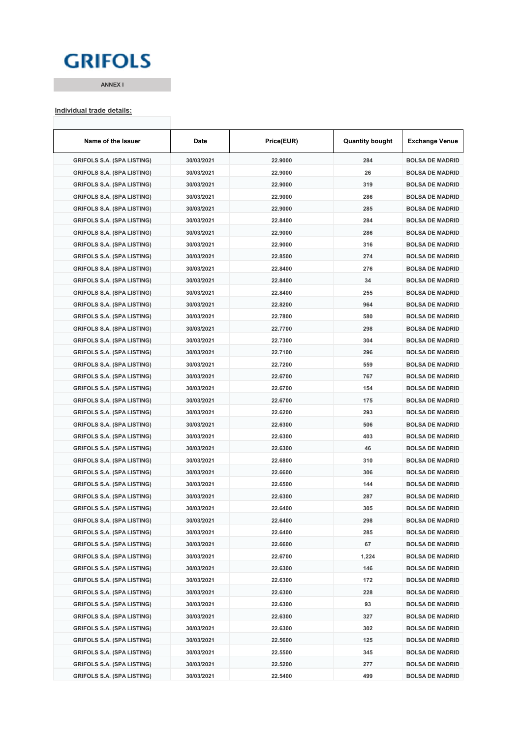## **GRIFOLS**

**ANNEX I**

#### **Individual trade details:**

| Name of the Issuer                | Date       | Price(EUR) | <b>Quantity bought</b> | <b>Exchange Venue</b>  |
|-----------------------------------|------------|------------|------------------------|------------------------|
| <b>GRIFOLS S.A. (SPA LISTING)</b> | 30/03/2021 | 22.9000    | 284                    | <b>BOLSA DE MADRID</b> |
| <b>GRIFOLS S.A. (SPA LISTING)</b> | 30/03/2021 | 22.9000    | 26                     | <b>BOLSA DE MADRID</b> |
| <b>GRIFOLS S.A. (SPA LISTING)</b> | 30/03/2021 | 22.9000    | 319                    | <b>BOLSA DE MADRID</b> |
| <b>GRIFOLS S.A. (SPA LISTING)</b> | 30/03/2021 | 22.9000    | 286                    | <b>BOLSA DE MADRID</b> |
| <b>GRIFOLS S.A. (SPA LISTING)</b> | 30/03/2021 | 22.9000    | 285                    | <b>BOLSA DE MADRID</b> |
| <b>GRIFOLS S.A. (SPA LISTING)</b> | 30/03/2021 | 22.8400    | 284                    | <b>BOLSA DE MADRID</b> |
| <b>GRIFOLS S.A. (SPA LISTING)</b> | 30/03/2021 | 22.9000    | 286                    | <b>BOLSA DE MADRID</b> |
| <b>GRIFOLS S.A. (SPA LISTING)</b> | 30/03/2021 | 22.9000    | 316                    | <b>BOLSA DE MADRID</b> |
| <b>GRIFOLS S.A. (SPA LISTING)</b> | 30/03/2021 | 22.8500    | 274                    | <b>BOLSA DE MADRID</b> |
| <b>GRIFOLS S.A. (SPA LISTING)</b> | 30/03/2021 | 22.8400    | 276                    | <b>BOLSA DE MADRID</b> |
| <b>GRIFOLS S.A. (SPA LISTING)</b> | 30/03/2021 | 22.8400    | 34                     | <b>BOLSA DE MADRID</b> |
| <b>GRIFOLS S.A. (SPA LISTING)</b> | 30/03/2021 | 22.8400    | 255                    | <b>BOLSA DE MADRID</b> |
| <b>GRIFOLS S.A. (SPA LISTING)</b> | 30/03/2021 | 22.8200    | 964                    | <b>BOLSA DE MADRID</b> |
| <b>GRIFOLS S.A. (SPA LISTING)</b> | 30/03/2021 | 22.7800    | 580                    | <b>BOLSA DE MADRID</b> |
| <b>GRIFOLS S.A. (SPA LISTING)</b> | 30/03/2021 | 22.7700    | 298                    | <b>BOLSA DE MADRID</b> |
| <b>GRIFOLS S.A. (SPA LISTING)</b> | 30/03/2021 | 22.7300    | 304                    | <b>BOLSA DE MADRID</b> |
| <b>GRIFOLS S.A. (SPA LISTING)</b> | 30/03/2021 | 22.7100    | 296                    | <b>BOLSA DE MADRID</b> |
| <b>GRIFOLS S.A. (SPA LISTING)</b> | 30/03/2021 | 22.7200    | 559                    | <b>BOLSA DE MADRID</b> |
| <b>GRIFOLS S.A. (SPA LISTING)</b> | 30/03/2021 | 22.6700    | 767                    | <b>BOLSA DE MADRID</b> |
| <b>GRIFOLS S.A. (SPA LISTING)</b> | 30/03/2021 | 22.6700    | 154                    | <b>BOLSA DE MADRID</b> |
| <b>GRIFOLS S.A. (SPA LISTING)</b> | 30/03/2021 | 22.6700    | 175                    | <b>BOLSA DE MADRID</b> |
| <b>GRIFOLS S.A. (SPA LISTING)</b> | 30/03/2021 | 22.6200    | 293                    | <b>BOLSA DE MADRID</b> |
| <b>GRIFOLS S.A. (SPA LISTING)</b> | 30/03/2021 | 22.6300    | 506                    | <b>BOLSA DE MADRID</b> |
| <b>GRIFOLS S.A. (SPA LISTING)</b> | 30/03/2021 | 22.6300    | 403                    | <b>BOLSA DE MADRID</b> |
| <b>GRIFOLS S.A. (SPA LISTING)</b> | 30/03/2021 | 22.6300    | 46                     | <b>BOLSA DE MADRID</b> |
| <b>GRIFOLS S.A. (SPA LISTING)</b> | 30/03/2021 | 22.6800    | 310                    | <b>BOLSA DE MADRID</b> |
| <b>GRIFOLS S.A. (SPA LISTING)</b> | 30/03/2021 | 22.6600    | 306                    | <b>BOLSA DE MADRID</b> |
| <b>GRIFOLS S.A. (SPA LISTING)</b> | 30/03/2021 | 22.6500    | 144                    | <b>BOLSA DE MADRID</b> |
| <b>GRIFOLS S.A. (SPA LISTING)</b> | 30/03/2021 | 22.6300    | 287                    | <b>BOLSA DE MADRID</b> |
| <b>GRIFOLS S.A. (SPA LISTING)</b> | 30/03/2021 | 22.6400    | 305                    | <b>BOLSA DE MADRID</b> |
| <b>GRIFOLS S.A. (SPA LISTING)</b> | 30/03/2021 | 22.6400    | 298                    | <b>BOLSA DE MADRID</b> |
| <b>GRIFOLS S.A. (SPA LISTING)</b> | 30/03/2021 | 22.6400    | 285                    | <b>BOLSA DE MADRID</b> |
| <b>GRIFOLS S.A. (SPA LISTING)</b> | 30/03/2021 | 22.6600    | 67                     | <b>BOLSA DE MADRID</b> |
| <b>GRIFOLS S.A. (SPA LISTING)</b> | 30/03/2021 | 22.6700    | 1,224                  | <b>BOLSA DE MADRID</b> |
| <b>GRIFOLS S.A. (SPA LISTING)</b> | 30/03/2021 | 22.6300    | 146                    | <b>BOLSA DE MADRID</b> |
| <b>GRIFOLS S.A. (SPA LISTING)</b> | 30/03/2021 | 22.6300    | 172                    | <b>BOLSA DE MADRID</b> |
| <b>GRIFOLS S.A. (SPA LISTING)</b> | 30/03/2021 | 22.6300    | 228                    | <b>BOLSA DE MADRID</b> |
| <b>GRIFOLS S.A. (SPA LISTING)</b> | 30/03/2021 | 22.6300    | 93                     | <b>BOLSA DE MADRID</b> |
| <b>GRIFOLS S.A. (SPA LISTING)</b> | 30/03/2021 | 22.6300    | 327                    | <b>BOLSA DE MADRID</b> |
| <b>GRIFOLS S.A. (SPA LISTING)</b> | 30/03/2021 | 22.6300    | 302                    | <b>BOLSA DE MADRID</b> |
| <b>GRIFOLS S.A. (SPA LISTING)</b> | 30/03/2021 | 22.5600    | 125                    | <b>BOLSA DE MADRID</b> |
| <b>GRIFOLS S.A. (SPA LISTING)</b> | 30/03/2021 | 22.5500    | 345                    | <b>BOLSA DE MADRID</b> |
| <b>GRIFOLS S.A. (SPA LISTING)</b> | 30/03/2021 | 22.5200    | 277                    | <b>BOLSA DE MADRID</b> |
| <b>GRIFOLS S.A. (SPA LISTING)</b> | 30/03/2021 | 22.5400    | 499                    | <b>BOLSA DE MADRID</b> |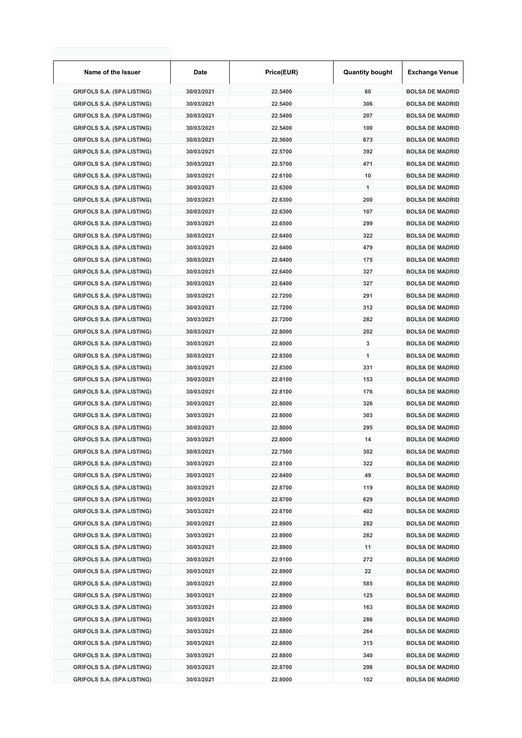| Name of the Issuer                | Date       | Price(EUR) | <b>Quantity bought</b> | <b>Exchange Venue</b>  |
|-----------------------------------|------------|------------|------------------------|------------------------|
| <b>GRIFOLS S.A. (SPA LISTING)</b> | 30/03/2021 | 22.5400    | 60                     | <b>BOLSA DE MADRID</b> |
| <b>GRIFOLS S.A. (SPA LISTING)</b> | 30/03/2021 | 22.5400    | 306                    | <b>BOLSA DE MADRID</b> |
| <b>GRIFOLS S.A. (SPA LISTING)</b> | 30/03/2021 | 22.5400    | 207                    | <b>BOLSA DE MADRID</b> |
| <b>GRIFOLS S.A. (SPA LISTING)</b> | 30/03/2021 | 22.5400    | 100                    | <b>BOLSA DE MADRID</b> |
| <b>GRIFOLS S.A. (SPA LISTING)</b> | 30/03/2021 | 22.5600    | 673                    | <b>BOLSA DE MADRID</b> |
| <b>GRIFOLS S.A. (SPA LISTING)</b> | 30/03/2021 | 22.5700    | 392                    | <b>BOLSA DE MADRID</b> |
| <b>GRIFOLS S.A. (SPA LISTING)</b> | 30/03/2021 | 22.5700    | 471                    | <b>BOLSA DE MADRID</b> |
| <b>GRIFOLS S.A. (SPA LISTING)</b> | 30/03/2021 | 22.6100    | 10                     | <b>BOLSA DE MADRID</b> |
| <b>GRIFOLS S.A. (SPA LISTING)</b> | 30/03/2021 | 22.6300    | 1                      | <b>BOLSA DE MADRID</b> |
| <b>GRIFOLS S.A. (SPA LISTING)</b> | 30/03/2021 | 22.6300    | 200                    | <b>BOLSA DE MADRID</b> |
| <b>GRIFOLS S.A. (SPA LISTING)</b> | 30/03/2021 | 22.6300    | 107                    | <b>BOLSA DE MADRID</b> |
| <b>GRIFOLS S.A. (SPA LISTING)</b> | 30/03/2021 | 22.6500    | 299                    | <b>BOLSA DE MADRID</b> |
| <b>GRIFOLS S.A. (SPA LISTING)</b> | 30/03/2021 | 22.6400    | 322                    | <b>BOLSA DE MADRID</b> |
| <b>GRIFOLS S.A. (SPA LISTING)</b> | 30/03/2021 | 22.6400    | 479                    | <b>BOLSA DE MADRID</b> |
| <b>GRIFOLS S.A. (SPA LISTING)</b> | 30/03/2021 | 22.6400    | 175                    | <b>BOLSA DE MADRID</b> |
| <b>GRIFOLS S.A. (SPA LISTING)</b> | 30/03/2021 | 22.6400    | 327                    | <b>BOLSA DE MADRID</b> |
| <b>GRIFOLS S.A. (SPA LISTING)</b> | 30/03/2021 | 22.6400    | 327                    | <b>BOLSA DE MADRID</b> |
| <b>GRIFOLS S.A. (SPA LISTING)</b> | 30/03/2021 | 22.7200    | 291                    | <b>BOLSA DE MADRID</b> |
| <b>GRIFOLS S.A. (SPA LISTING)</b> | 30/03/2021 | 22.7200    | 312                    | <b>BOLSA DE MADRID</b> |
| <b>GRIFOLS S.A. (SPA LISTING)</b> | 30/03/2021 | 22.7200    | 282                    | <b>BOLSA DE MADRID</b> |
| <b>GRIFOLS S.A. (SPA LISTING)</b> | 30/03/2021 | 22.8000    | 202                    | <b>BOLSA DE MADRID</b> |
| <b>GRIFOLS S.A. (SPA LISTING)</b> | 30/03/2021 | 22.8000    | 3                      | <b>BOLSA DE MADRID</b> |
| <b>GRIFOLS S.A. (SPA LISTING)</b> | 30/03/2021 | 22.8300    | 1                      | <b>BOLSA DE MADRID</b> |
| <b>GRIFOLS S.A. (SPA LISTING)</b> | 30/03/2021 | 22.8300    | 331                    | <b>BOLSA DE MADRID</b> |
| <b>GRIFOLS S.A. (SPA LISTING)</b> | 30/03/2021 | 22.8100    | 153                    | <b>BOLSA DE MADRID</b> |
| <b>GRIFOLS S.A. (SPA LISTING)</b> | 30/03/2021 | 22.8100    | 176                    | <b>BOLSA DE MADRID</b> |
| <b>GRIFOLS S.A. (SPA LISTING)</b> | 30/03/2021 | 22.8000    | 326                    | <b>BOLSA DE MADRID</b> |
| <b>GRIFOLS S.A. (SPA LISTING)</b> | 30/03/2021 | 22.8000    | 303                    | <b>BOLSA DE MADRID</b> |
| <b>GRIFOLS S.A. (SPA LISTING)</b> | 30/03/2021 | 22.8000    | 295                    | <b>BOLSA DE MADRID</b> |
| <b>GRIFOLS S.A. (SPA LISTING)</b> | 30/03/2021 | 22.8000    | 14                     | <b>BOLSA DE MADRID</b> |
| <b>GRIFOLS S.A. (SPA LISTING)</b> | 30/03/2021 | 22.7500    | 302                    | <b>BOLSA DE MADRID</b> |
| <b>GRIFOLS S.A. (SPA LISTING)</b> | 30/03/2021 | 22.8100    | 322                    | <b>BOLSA DE MADRID</b> |
| <b>GRIFOLS S.A. (SPA LISTING)</b> | 30/03/2021 | 22.8400    | 49                     | <b>BOLSA DE MADRID</b> |
| <b>GRIFOLS S.A. (SPA LISTING)</b> | 30/03/2021 | 22.8700    | 119                    | <b>BOLSA DE MADRID</b> |
| <b>GRIFOLS S.A. (SPA LISTING)</b> | 30/03/2021 | 22.8700    | 629                    | <b>BOLSA DE MADRID</b> |
| <b>GRIFOLS S.A. (SPA LISTING)</b> | 30/03/2021 | 22.8700    | 402                    | <b>BOLSA DE MADRID</b> |
| <b>GRIFOLS S.A. (SPA LISTING)</b> | 30/03/2021 | 22.8900    | 282                    | <b>BOLSA DE MADRID</b> |
| <b>GRIFOLS S.A. (SPA LISTING)</b> | 30/03/2021 | 22.8900    | 282                    | <b>BOLSA DE MADRID</b> |
| <b>GRIFOLS S.A. (SPA LISTING)</b> | 30/03/2021 | 22.8900    | 11                     | <b>BOLSA DE MADRID</b> |
| <b>GRIFOLS S.A. (SPA LISTING)</b> | 30/03/2021 | 22.9100    | 272                    | <b>BOLSA DE MADRID</b> |
| <b>GRIFOLS S.A. (SPA LISTING)</b> | 30/03/2021 | 22.8900    | 22                     | <b>BOLSA DE MADRID</b> |
| <b>GRIFOLS S.A. (SPA LISTING)</b> | 30/03/2021 | 22.8900    | 585                    | <b>BOLSA DE MADRID</b> |
| <b>GRIFOLS S.A. (SPA LISTING)</b> | 30/03/2021 | 22.8900    | 125                    | <b>BOLSA DE MADRID</b> |
| <b>GRIFOLS S.A. (SPA LISTING)</b> | 30/03/2021 | 22.8900    | 163                    | <b>BOLSA DE MADRID</b> |
| <b>GRIFOLS S.A. (SPA LISTING)</b> | 30/03/2021 | 22.8900    | 286                    | <b>BOLSA DE MADRID</b> |
| <b>GRIFOLS S.A. (SPA LISTING)</b> | 30/03/2021 | 22.8800    | 264                    | <b>BOLSA DE MADRID</b> |
| <b>GRIFOLS S.A. (SPA LISTING)</b> | 30/03/2021 | 22.8800    | 315                    | <b>BOLSA DE MADRID</b> |
| <b>GRIFOLS S.A. (SPA LISTING)</b> | 30/03/2021 | 22.8800    | 340                    | <b>BOLSA DE MADRID</b> |
| <b>GRIFOLS S.A. (SPA LISTING)</b> | 30/03/2021 | 22.8700    | 298                    | <b>BOLSA DE MADRID</b> |
| <b>GRIFOLS S.A. (SPA LISTING)</b> | 30/03/2021 | 22.8000    | 102                    | <b>BOLSA DE MADRID</b> |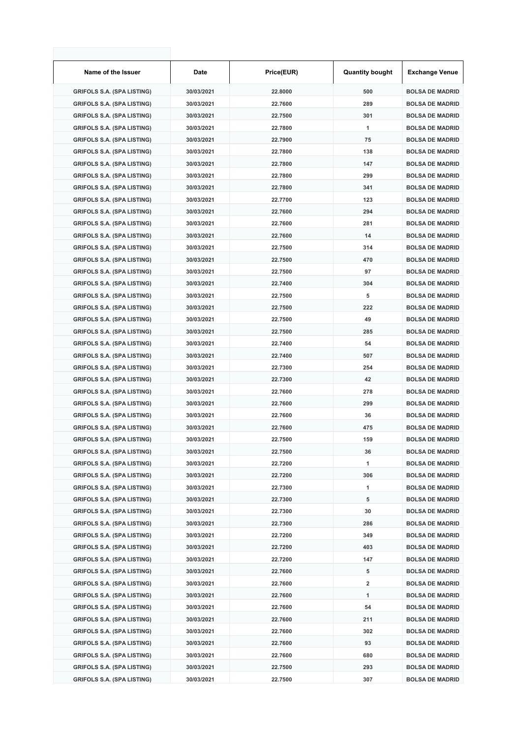| Name of the Issuer                | Date       | Price(EUR) | <b>Quantity bought</b> | <b>Exchange Venue</b>  |
|-----------------------------------|------------|------------|------------------------|------------------------|
| <b>GRIFOLS S.A. (SPA LISTING)</b> | 30/03/2021 | 22.8000    | 500                    | <b>BOLSA DE MADRID</b> |
| <b>GRIFOLS S.A. (SPA LISTING)</b> | 30/03/2021 | 22.7600    | 289                    | <b>BOLSA DE MADRID</b> |
| <b>GRIFOLS S.A. (SPA LISTING)</b> | 30/03/2021 | 22.7500    | 301                    | <b>BOLSA DE MADRID</b> |
| <b>GRIFOLS S.A. (SPA LISTING)</b> | 30/03/2021 | 22.7800    | 1                      | <b>BOLSA DE MADRID</b> |
| <b>GRIFOLS S.A. (SPA LISTING)</b> | 30/03/2021 | 22.7900    | 75                     | <b>BOLSA DE MADRID</b> |
| <b>GRIFOLS S.A. (SPA LISTING)</b> | 30/03/2021 | 22.7800    | 138                    | <b>BOLSA DE MADRID</b> |
| <b>GRIFOLS S.A. (SPA LISTING)</b> | 30/03/2021 | 22.7800    | 147                    | <b>BOLSA DE MADRID</b> |
| <b>GRIFOLS S.A. (SPA LISTING)</b> | 30/03/2021 | 22.7800    | 299                    | <b>BOLSA DE MADRID</b> |
| <b>GRIFOLS S.A. (SPA LISTING)</b> | 30/03/2021 | 22.7800    | 341                    | <b>BOLSA DE MADRID</b> |
| <b>GRIFOLS S.A. (SPA LISTING)</b> | 30/03/2021 | 22.7700    | 123                    | <b>BOLSA DE MADRID</b> |
| <b>GRIFOLS S.A. (SPA LISTING)</b> | 30/03/2021 | 22.7600    | 294                    | <b>BOLSA DE MADRID</b> |
| <b>GRIFOLS S.A. (SPA LISTING)</b> | 30/03/2021 | 22.7600    | 281                    | <b>BOLSA DE MADRID</b> |
| <b>GRIFOLS S.A. (SPA LISTING)</b> | 30/03/2021 | 22.7600    | 14                     | <b>BOLSA DE MADRID</b> |
| <b>GRIFOLS S.A. (SPA LISTING)</b> | 30/03/2021 | 22.7500    | 314                    | <b>BOLSA DE MADRID</b> |
| <b>GRIFOLS S.A. (SPA LISTING)</b> | 30/03/2021 | 22.7500    | 470                    | <b>BOLSA DE MADRID</b> |
| <b>GRIFOLS S.A. (SPA LISTING)</b> | 30/03/2021 | 22.7500    | 97                     | <b>BOLSA DE MADRID</b> |
| <b>GRIFOLS S.A. (SPA LISTING)</b> | 30/03/2021 | 22.7400    | 304                    | <b>BOLSA DE MADRID</b> |
| <b>GRIFOLS S.A. (SPA LISTING)</b> | 30/03/2021 | 22.7500    | 5                      | <b>BOLSA DE MADRID</b> |
| <b>GRIFOLS S.A. (SPA LISTING)</b> | 30/03/2021 | 22.7500    | 222                    | <b>BOLSA DE MADRID</b> |
| <b>GRIFOLS S.A. (SPA LISTING)</b> | 30/03/2021 | 22.7500    | 49                     | <b>BOLSA DE MADRID</b> |
| <b>GRIFOLS S.A. (SPA LISTING)</b> | 30/03/2021 | 22.7500    | 285                    | <b>BOLSA DE MADRID</b> |
| <b>GRIFOLS S.A. (SPA LISTING)</b> | 30/03/2021 | 22.7400    | 54                     | <b>BOLSA DE MADRID</b> |
| <b>GRIFOLS S.A. (SPA LISTING)</b> | 30/03/2021 | 22.7400    | 507                    | <b>BOLSA DE MADRID</b> |
| <b>GRIFOLS S.A. (SPA LISTING)</b> | 30/03/2021 | 22.7300    | 254                    | <b>BOLSA DE MADRID</b> |
| <b>GRIFOLS S.A. (SPA LISTING)</b> | 30/03/2021 | 22.7300    | 42                     | <b>BOLSA DE MADRID</b> |
| <b>GRIFOLS S.A. (SPA LISTING)</b> | 30/03/2021 | 22.7600    | 278                    | <b>BOLSA DE MADRID</b> |
| <b>GRIFOLS S.A. (SPA LISTING)</b> | 30/03/2021 | 22.7600    | 299                    | <b>BOLSA DE MADRID</b> |
| <b>GRIFOLS S.A. (SPA LISTING)</b> | 30/03/2021 | 22.7600    | 36                     | <b>BOLSA DE MADRID</b> |
| <b>GRIFOLS S.A. (SPA LISTING)</b> | 30/03/2021 | 22.7600    | 475                    | <b>BOLSA DE MADRID</b> |
| <b>GRIFOLS S.A. (SPA LISTING)</b> | 30/03/2021 | 22.7500    | 159                    | <b>BOLSA DE MADRID</b> |
| <b>GRIFOLS S.A. (SPA LISTING)</b> | 30/03/2021 | 22.7500    | 36                     | <b>BOLSA DE MADRID</b> |
| <b>GRIFOLS S.A. (SPA LISTING)</b> | 30/03/2021 | 22.7200    | 1                      | <b>BOLSA DE MADRID</b> |
| <b>GRIFOLS S.A. (SPA LISTING)</b> | 30/03/2021 | 22.7200    | 306                    | <b>BOLSA DE MADRID</b> |
| <b>GRIFOLS S.A. (SPA LISTING)</b> | 30/03/2021 | 22.7300    | 1                      | <b>BOLSA DE MADRID</b> |
| <b>GRIFOLS S.A. (SPA LISTING)</b> | 30/03/2021 | 22.7300    | 5                      | <b>BOLSA DE MADRID</b> |
| <b>GRIFOLS S.A. (SPA LISTING)</b> | 30/03/2021 | 22.7300    | 30                     | <b>BOLSA DE MADRID</b> |
| <b>GRIFOLS S.A. (SPA LISTING)</b> | 30/03/2021 | 22.7300    | 286                    | <b>BOLSA DE MADRID</b> |
| <b>GRIFOLS S.A. (SPA LISTING)</b> | 30/03/2021 | 22.7200    | 349                    | <b>BOLSA DE MADRID</b> |
| <b>GRIFOLS S.A. (SPA LISTING)</b> | 30/03/2021 | 22.7200    | 403                    | <b>BOLSA DE MADRID</b> |
| <b>GRIFOLS S.A. (SPA LISTING)</b> | 30/03/2021 | 22.7200    | 147                    | <b>BOLSA DE MADRID</b> |
| <b>GRIFOLS S.A. (SPA LISTING)</b> | 30/03/2021 | 22.7600    | 5                      | <b>BOLSA DE MADRID</b> |
| <b>GRIFOLS S.A. (SPA LISTING)</b> | 30/03/2021 | 22.7600    | 2                      | <b>BOLSA DE MADRID</b> |
| <b>GRIFOLS S.A. (SPA LISTING)</b> | 30/03/2021 | 22.7600    | 1                      | <b>BOLSA DE MADRID</b> |
| <b>GRIFOLS S.A. (SPA LISTING)</b> | 30/03/2021 | 22.7600    | 54                     | <b>BOLSA DE MADRID</b> |
| <b>GRIFOLS S.A. (SPA LISTING)</b> | 30/03/2021 | 22.7600    | 211                    | <b>BOLSA DE MADRID</b> |
| <b>GRIFOLS S.A. (SPA LISTING)</b> | 30/03/2021 | 22.7600    | 302                    | <b>BOLSA DE MADRID</b> |
| <b>GRIFOLS S.A. (SPA LISTING)</b> | 30/03/2021 | 22.7600    | 93                     | <b>BOLSA DE MADRID</b> |
| <b>GRIFOLS S.A. (SPA LISTING)</b> | 30/03/2021 | 22.7600    | 680                    | <b>BOLSA DE MADRID</b> |
| <b>GRIFOLS S.A. (SPA LISTING)</b> | 30/03/2021 | 22.7500    | 293                    | <b>BOLSA DE MADRID</b> |
| <b>GRIFOLS S.A. (SPA LISTING)</b> | 30/03/2021 | 22.7500    | 307                    | <b>BOLSA DE MADRID</b> |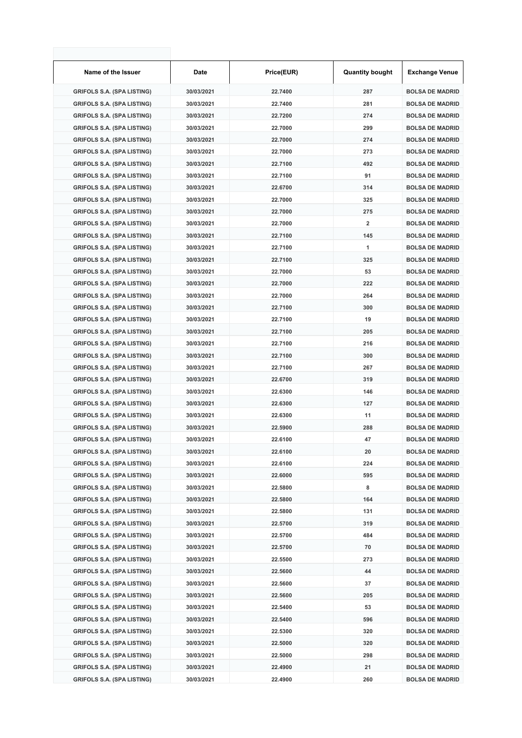| Name of the Issuer                | Date       | Price(EUR) | <b>Quantity bought</b>  | <b>Exchange Venue</b>  |
|-----------------------------------|------------|------------|-------------------------|------------------------|
| <b>GRIFOLS S.A. (SPA LISTING)</b> | 30/03/2021 | 22.7400    | 287                     | <b>BOLSA DE MADRID</b> |
| <b>GRIFOLS S.A. (SPA LISTING)</b> | 30/03/2021 | 22.7400    | 281                     | <b>BOLSA DE MADRID</b> |
| <b>GRIFOLS S.A. (SPA LISTING)</b> | 30/03/2021 | 22.7200    | 274                     | <b>BOLSA DE MADRID</b> |
| <b>GRIFOLS S.A. (SPA LISTING)</b> | 30/03/2021 | 22.7000    | 299                     | <b>BOLSA DE MADRID</b> |
| <b>GRIFOLS S.A. (SPA LISTING)</b> | 30/03/2021 | 22.7000    | 274                     | <b>BOLSA DE MADRID</b> |
| <b>GRIFOLS S.A. (SPA LISTING)</b> | 30/03/2021 | 22.7000    | 273                     | <b>BOLSA DE MADRID</b> |
| <b>GRIFOLS S.A. (SPA LISTING)</b> | 30/03/2021 | 22.7100    | 492                     | <b>BOLSA DE MADRID</b> |
| <b>GRIFOLS S.A. (SPA LISTING)</b> | 30/03/2021 | 22.7100    | 91                      | <b>BOLSA DE MADRID</b> |
| <b>GRIFOLS S.A. (SPA LISTING)</b> | 30/03/2021 | 22.6700    | 314                     | <b>BOLSA DE MADRID</b> |
| <b>GRIFOLS S.A. (SPA LISTING)</b> | 30/03/2021 | 22.7000    | 325                     | <b>BOLSA DE MADRID</b> |
| <b>GRIFOLS S.A. (SPA LISTING)</b> | 30/03/2021 | 22.7000    | 275                     | <b>BOLSA DE MADRID</b> |
| <b>GRIFOLS S.A. (SPA LISTING)</b> | 30/03/2021 | 22.7000    | $\overline{\mathbf{2}}$ | <b>BOLSA DE MADRID</b> |
| <b>GRIFOLS S.A. (SPA LISTING)</b> | 30/03/2021 | 22.7100    | 145                     | <b>BOLSA DE MADRID</b> |
| <b>GRIFOLS S.A. (SPA LISTING)</b> | 30/03/2021 | 22.7100    | 1                       | <b>BOLSA DE MADRID</b> |
| <b>GRIFOLS S.A. (SPA LISTING)</b> | 30/03/2021 | 22.7100    | 325                     | <b>BOLSA DE MADRID</b> |
| <b>GRIFOLS S.A. (SPA LISTING)</b> | 30/03/2021 | 22.7000    | 53                      | <b>BOLSA DE MADRID</b> |
| <b>GRIFOLS S.A. (SPA LISTING)</b> | 30/03/2021 | 22.7000    | 222                     | <b>BOLSA DE MADRID</b> |
| <b>GRIFOLS S.A. (SPA LISTING)</b> | 30/03/2021 | 22.7000    | 264                     | <b>BOLSA DE MADRID</b> |
| <b>GRIFOLS S.A. (SPA LISTING)</b> | 30/03/2021 | 22.7100    | 300                     | <b>BOLSA DE MADRID</b> |
| <b>GRIFOLS S.A. (SPA LISTING)</b> | 30/03/2021 | 22.7100    | 19                      | <b>BOLSA DE MADRID</b> |
| <b>GRIFOLS S.A. (SPA LISTING)</b> | 30/03/2021 | 22.7100    | 205                     | <b>BOLSA DE MADRID</b> |
| <b>GRIFOLS S.A. (SPA LISTING)</b> | 30/03/2021 | 22.7100    | 216                     | <b>BOLSA DE MADRID</b> |
| <b>GRIFOLS S.A. (SPA LISTING)</b> | 30/03/2021 | 22.7100    | 300                     | <b>BOLSA DE MADRID</b> |
| <b>GRIFOLS S.A. (SPA LISTING)</b> | 30/03/2021 | 22.7100    | 267                     | <b>BOLSA DE MADRID</b> |
| <b>GRIFOLS S.A. (SPA LISTING)</b> | 30/03/2021 | 22.6700    | 319                     | <b>BOLSA DE MADRID</b> |
| <b>GRIFOLS S.A. (SPA LISTING)</b> | 30/03/2021 | 22.6300    | 146                     | <b>BOLSA DE MADRID</b> |
| <b>GRIFOLS S.A. (SPA LISTING)</b> | 30/03/2021 | 22.6300    | 127                     | <b>BOLSA DE MADRID</b> |
| <b>GRIFOLS S.A. (SPA LISTING)</b> | 30/03/2021 | 22.6300    | 11                      | <b>BOLSA DE MADRID</b> |
| <b>GRIFOLS S.A. (SPA LISTING)</b> | 30/03/2021 | 22.5900    | 288                     | <b>BOLSA DE MADRID</b> |
| <b>GRIFOLS S.A. (SPA LISTING)</b> | 30/03/2021 | 22.6100    | 47                      | <b>BOLSA DE MADRID</b> |
| <b>GRIFOLS S.A. (SPA LISTING)</b> | 30/03/2021 | 22.6100    | 20                      | <b>BOLSA DE MADRID</b> |
| <b>GRIFOLS S.A. (SPA LISTING)</b> | 30/03/2021 | 22.6100    | 224                     | <b>BOLSA DE MADRID</b> |
| <b>GRIFOLS S.A. (SPA LISTING)</b> | 30/03/2021 | 22.6000    | 595                     | <b>BOLSA DE MADRID</b> |
| <b>GRIFOLS S.A. (SPA LISTING)</b> | 30/03/2021 | 22.5800    | 8                       | <b>BOLSA DE MADRID</b> |
| <b>GRIFOLS S.A. (SPA LISTING)</b> | 30/03/2021 | 22.5800    | 164                     | <b>BOLSA DE MADRID</b> |
| <b>GRIFOLS S.A. (SPA LISTING)</b> | 30/03/2021 | 22.5800    | 131                     | <b>BOLSA DE MADRID</b> |
| <b>GRIFOLS S.A. (SPA LISTING)</b> | 30/03/2021 | 22.5700    | 319                     | <b>BOLSA DE MADRID</b> |
| <b>GRIFOLS S.A. (SPA LISTING)</b> | 30/03/2021 | 22.5700    | 484                     | <b>BOLSA DE MADRID</b> |
| <b>GRIFOLS S.A. (SPA LISTING)</b> | 30/03/2021 | 22.5700    | 70                      | <b>BOLSA DE MADRID</b> |
| <b>GRIFOLS S.A. (SPA LISTING)</b> | 30/03/2021 | 22.5500    | 273                     | <b>BOLSA DE MADRID</b> |
| <b>GRIFOLS S.A. (SPA LISTING)</b> | 30/03/2021 | 22.5600    | 44                      | <b>BOLSA DE MADRID</b> |
| <b>GRIFOLS S.A. (SPA LISTING)</b> | 30/03/2021 | 22.5600    | 37                      | <b>BOLSA DE MADRID</b> |
| <b>GRIFOLS S.A. (SPA LISTING)</b> | 30/03/2021 | 22.5600    | 205                     | <b>BOLSA DE MADRID</b> |
| <b>GRIFOLS S.A. (SPA LISTING)</b> | 30/03/2021 | 22.5400    | 53                      | <b>BOLSA DE MADRID</b> |
| <b>GRIFOLS S.A. (SPA LISTING)</b> | 30/03/2021 | 22.5400    | 596                     | <b>BOLSA DE MADRID</b> |
| <b>GRIFOLS S.A. (SPA LISTING)</b> | 30/03/2021 | 22.5300    | 320                     | <b>BOLSA DE MADRID</b> |
| <b>GRIFOLS S.A. (SPA LISTING)</b> | 30/03/2021 | 22.5000    | 320                     | <b>BOLSA DE MADRID</b> |
| <b>GRIFOLS S.A. (SPA LISTING)</b> | 30/03/2021 | 22.5000    | 298                     | <b>BOLSA DE MADRID</b> |
| <b>GRIFOLS S.A. (SPA LISTING)</b> | 30/03/2021 | 22.4900    | 21                      | <b>BOLSA DE MADRID</b> |
| <b>GRIFOLS S.A. (SPA LISTING)</b> | 30/03/2021 | 22.4900    | 260                     | <b>BOLSA DE MADRID</b> |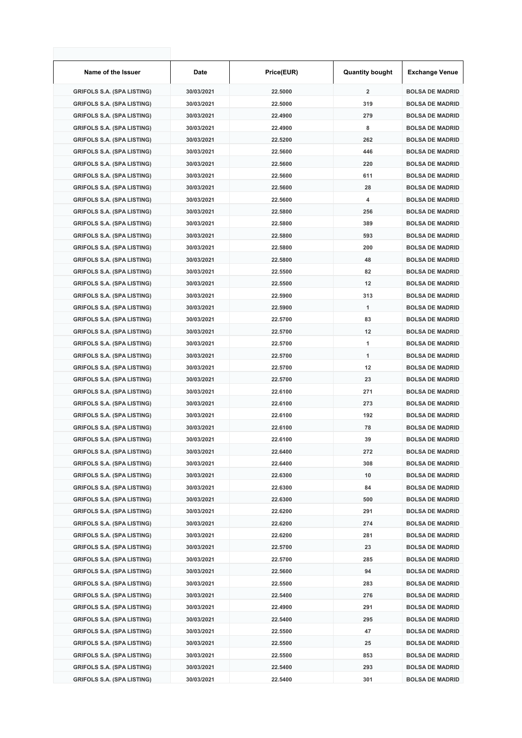| Name of the Issuer                | Date       | Price(EUR) | <b>Quantity bought</b>  | <b>Exchange Venue</b>  |
|-----------------------------------|------------|------------|-------------------------|------------------------|
| <b>GRIFOLS S.A. (SPA LISTING)</b> | 30/03/2021 | 22.5000    | $\overline{\mathbf{2}}$ | <b>BOLSA DE MADRID</b> |
| <b>GRIFOLS S.A. (SPA LISTING)</b> | 30/03/2021 | 22.5000    | 319                     | <b>BOLSA DE MADRID</b> |
| <b>GRIFOLS S.A. (SPA LISTING)</b> | 30/03/2021 | 22.4900    | 279                     | <b>BOLSA DE MADRID</b> |
| <b>GRIFOLS S.A. (SPA LISTING)</b> | 30/03/2021 | 22.4900    | 8                       | <b>BOLSA DE MADRID</b> |
| <b>GRIFOLS S.A. (SPA LISTING)</b> | 30/03/2021 | 22.5200    | 262                     | <b>BOLSA DE MADRID</b> |
| <b>GRIFOLS S.A. (SPA LISTING)</b> | 30/03/2021 | 22.5600    | 446                     | <b>BOLSA DE MADRID</b> |
| <b>GRIFOLS S.A. (SPA LISTING)</b> | 30/03/2021 | 22.5600    | 220                     | <b>BOLSA DE MADRID</b> |
| <b>GRIFOLS S.A. (SPA LISTING)</b> | 30/03/2021 | 22.5600    | 611                     | <b>BOLSA DE MADRID</b> |
| <b>GRIFOLS S.A. (SPA LISTING)</b> | 30/03/2021 | 22.5600    | 28                      | <b>BOLSA DE MADRID</b> |
| <b>GRIFOLS S.A. (SPA LISTING)</b> | 30/03/2021 | 22.5600    | 4                       | <b>BOLSA DE MADRID</b> |
| <b>GRIFOLS S.A. (SPA LISTING)</b> | 30/03/2021 | 22.5800    | 256                     | <b>BOLSA DE MADRID</b> |
| <b>GRIFOLS S.A. (SPA LISTING)</b> | 30/03/2021 | 22.5800    | 389                     | <b>BOLSA DE MADRID</b> |
| <b>GRIFOLS S.A. (SPA LISTING)</b> | 30/03/2021 | 22.5800    | 593                     | <b>BOLSA DE MADRID</b> |
| <b>GRIFOLS S.A. (SPA LISTING)</b> | 30/03/2021 | 22.5800    | 200                     | <b>BOLSA DE MADRID</b> |
| <b>GRIFOLS S.A. (SPA LISTING)</b> | 30/03/2021 | 22.5800    | 48                      | <b>BOLSA DE MADRID</b> |
| <b>GRIFOLS S.A. (SPA LISTING)</b> | 30/03/2021 | 22.5500    | 82                      | <b>BOLSA DE MADRID</b> |
| <b>GRIFOLS S.A. (SPA LISTING)</b> | 30/03/2021 | 22.5500    | 12                      | <b>BOLSA DE MADRID</b> |
| <b>GRIFOLS S.A. (SPA LISTING)</b> | 30/03/2021 | 22.5900    | 313                     | <b>BOLSA DE MADRID</b> |
| <b>GRIFOLS S.A. (SPA LISTING)</b> | 30/03/2021 | 22.5900    | 1                       | <b>BOLSA DE MADRID</b> |
| <b>GRIFOLS S.A. (SPA LISTING)</b> | 30/03/2021 | 22.5700    | 83                      | <b>BOLSA DE MADRID</b> |
| <b>GRIFOLS S.A. (SPA LISTING)</b> | 30/03/2021 | 22.5700    | 12                      | <b>BOLSA DE MADRID</b> |
| <b>GRIFOLS S.A. (SPA LISTING)</b> | 30/03/2021 | 22.5700    | 1                       | <b>BOLSA DE MADRID</b> |
| <b>GRIFOLS S.A. (SPA LISTING)</b> | 30/03/2021 | 22.5700    | 1                       | <b>BOLSA DE MADRID</b> |
| <b>GRIFOLS S.A. (SPA LISTING)</b> | 30/03/2021 | 22.5700    | 12                      | <b>BOLSA DE MADRID</b> |
| <b>GRIFOLS S.A. (SPA LISTING)</b> | 30/03/2021 | 22.5700    | 23                      | <b>BOLSA DE MADRID</b> |
| <b>GRIFOLS S.A. (SPA LISTING)</b> | 30/03/2021 | 22.6100    | 271                     | <b>BOLSA DE MADRID</b> |
| <b>GRIFOLS S.A. (SPA LISTING)</b> | 30/03/2021 | 22.6100    | 273                     | <b>BOLSA DE MADRID</b> |
| <b>GRIFOLS S.A. (SPA LISTING)</b> | 30/03/2021 | 22.6100    | 192                     | <b>BOLSA DE MADRID</b> |
| <b>GRIFOLS S.A. (SPA LISTING)</b> | 30/03/2021 | 22.6100    | 78                      | <b>BOLSA DE MADRID</b> |
| <b>GRIFOLS S.A. (SPA LISTING)</b> | 30/03/2021 | 22.6100    | 39                      | <b>BOLSA DE MADRID</b> |
| GRIFOLS S.A. (SPA LISTING)        | 30/03/2021 | 22.6400    | 272                     | <b>BOLSA DE MADRID</b> |
| <b>GRIFOLS S.A. (SPA LISTING)</b> | 30/03/2021 | 22.6400    | 308                     | <b>BOLSA DE MADRID</b> |
| <b>GRIFOLS S.A. (SPA LISTING)</b> | 30/03/2021 | 22.6300    | 10                      | <b>BOLSA DE MADRID</b> |
| <b>GRIFOLS S.A. (SPA LISTING)</b> | 30/03/2021 | 22.6300    | 84                      | <b>BOLSA DE MADRID</b> |
| <b>GRIFOLS S.A. (SPA LISTING)</b> | 30/03/2021 | 22.6300    | 500                     | <b>BOLSA DE MADRID</b> |
| <b>GRIFOLS S.A. (SPA LISTING)</b> | 30/03/2021 | 22.6200    | 291                     | <b>BOLSA DE MADRID</b> |
| <b>GRIFOLS S.A. (SPA LISTING)</b> | 30/03/2021 | 22.6200    | 274                     | <b>BOLSA DE MADRID</b> |
| <b>GRIFOLS S.A. (SPA LISTING)</b> | 30/03/2021 | 22.6200    | 281                     | <b>BOLSA DE MADRID</b> |
| <b>GRIFOLS S.A. (SPA LISTING)</b> | 30/03/2021 | 22.5700    | 23                      | <b>BOLSA DE MADRID</b> |
| <b>GRIFOLS S.A. (SPA LISTING)</b> | 30/03/2021 | 22.5700    | 285                     | <b>BOLSA DE MADRID</b> |
| <b>GRIFOLS S.A. (SPA LISTING)</b> | 30/03/2021 | 22.5600    | 94                      | <b>BOLSA DE MADRID</b> |
| <b>GRIFOLS S.A. (SPA LISTING)</b> | 30/03/2021 | 22.5500    | 283                     | <b>BOLSA DE MADRID</b> |
| <b>GRIFOLS S.A. (SPA LISTING)</b> | 30/03/2021 | 22.5400    | 276                     | <b>BOLSA DE MADRID</b> |
| <b>GRIFOLS S.A. (SPA LISTING)</b> | 30/03/2021 | 22.4900    | 291                     | <b>BOLSA DE MADRID</b> |
| <b>GRIFOLS S.A. (SPA LISTING)</b> | 30/03/2021 | 22.5400    | 295                     | <b>BOLSA DE MADRID</b> |
| <b>GRIFOLS S.A. (SPA LISTING)</b> | 30/03/2021 | 22.5500    | 47                      | <b>BOLSA DE MADRID</b> |
| <b>GRIFOLS S.A. (SPA LISTING)</b> | 30/03/2021 | 22.5500    | 25                      | <b>BOLSA DE MADRID</b> |
| <b>GRIFOLS S.A. (SPA LISTING)</b> | 30/03/2021 | 22.5500    | 853                     | <b>BOLSA DE MADRID</b> |
| <b>GRIFOLS S.A. (SPA LISTING)</b> | 30/03/2021 | 22.5400    | 293                     | <b>BOLSA DE MADRID</b> |
| <b>GRIFOLS S.A. (SPA LISTING)</b> | 30/03/2021 | 22.5400    | 301                     | <b>BOLSA DE MADRID</b> |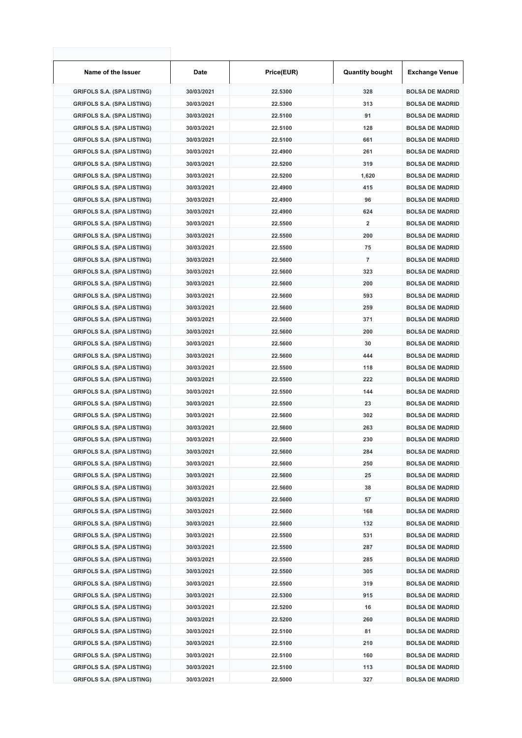| Name of the Issuer                | Date       | Price(EUR) | <b>Quantity bought</b>  | <b>Exchange Venue</b>  |
|-----------------------------------|------------|------------|-------------------------|------------------------|
| <b>GRIFOLS S.A. (SPA LISTING)</b> | 30/03/2021 | 22.5300    | 328                     | <b>BOLSA DE MADRID</b> |
| <b>GRIFOLS S.A. (SPA LISTING)</b> | 30/03/2021 | 22.5300    | 313                     | <b>BOLSA DE MADRID</b> |
| <b>GRIFOLS S.A. (SPA LISTING)</b> | 30/03/2021 | 22.5100    | 91                      | <b>BOLSA DE MADRID</b> |
| <b>GRIFOLS S.A. (SPA LISTING)</b> | 30/03/2021 | 22.5100    | 128                     | <b>BOLSA DE MADRID</b> |
| <b>GRIFOLS S.A. (SPA LISTING)</b> | 30/03/2021 | 22.5100    | 661                     | <b>BOLSA DE MADRID</b> |
| <b>GRIFOLS S.A. (SPA LISTING)</b> | 30/03/2021 | 22.4900    | 261                     | <b>BOLSA DE MADRID</b> |
| <b>GRIFOLS S.A. (SPA LISTING)</b> | 30/03/2021 | 22.5200    | 319                     | <b>BOLSA DE MADRID</b> |
| <b>GRIFOLS S.A. (SPA LISTING)</b> | 30/03/2021 | 22.5200    | 1,620                   | <b>BOLSA DE MADRID</b> |
| <b>GRIFOLS S.A. (SPA LISTING)</b> | 30/03/2021 | 22.4900    | 415                     | <b>BOLSA DE MADRID</b> |
| <b>GRIFOLS S.A. (SPA LISTING)</b> | 30/03/2021 | 22.4900    | 96                      | <b>BOLSA DE MADRID</b> |
| <b>GRIFOLS S.A. (SPA LISTING)</b> | 30/03/2021 | 22.4900    | 624                     | <b>BOLSA DE MADRID</b> |
| <b>GRIFOLS S.A. (SPA LISTING)</b> | 30/03/2021 | 22.5500    | $\overline{\mathbf{2}}$ | <b>BOLSA DE MADRID</b> |
| <b>GRIFOLS S.A. (SPA LISTING)</b> | 30/03/2021 | 22.5500    | 200                     | <b>BOLSA DE MADRID</b> |
| <b>GRIFOLS S.A. (SPA LISTING)</b> | 30/03/2021 | 22.5500    | 75                      | <b>BOLSA DE MADRID</b> |
| <b>GRIFOLS S.A. (SPA LISTING)</b> | 30/03/2021 | 22.5600    | $\overline{7}$          | <b>BOLSA DE MADRID</b> |
| <b>GRIFOLS S.A. (SPA LISTING)</b> | 30/03/2021 | 22.5600    | 323                     | <b>BOLSA DE MADRID</b> |
| <b>GRIFOLS S.A. (SPA LISTING)</b> | 30/03/2021 | 22.5600    | 200                     | <b>BOLSA DE MADRID</b> |
| <b>GRIFOLS S.A. (SPA LISTING)</b> | 30/03/2021 | 22.5600    | 593                     | <b>BOLSA DE MADRID</b> |
| <b>GRIFOLS S.A. (SPA LISTING)</b> | 30/03/2021 | 22.5600    | 259                     | <b>BOLSA DE MADRID</b> |
| <b>GRIFOLS S.A. (SPA LISTING)</b> | 30/03/2021 | 22.5600    | 371                     | <b>BOLSA DE MADRID</b> |
| <b>GRIFOLS S.A. (SPA LISTING)</b> | 30/03/2021 | 22.5600    | 200                     | <b>BOLSA DE MADRID</b> |
| <b>GRIFOLS S.A. (SPA LISTING)</b> | 30/03/2021 | 22.5600    | 30                      | <b>BOLSA DE MADRID</b> |
| <b>GRIFOLS S.A. (SPA LISTING)</b> | 30/03/2021 | 22.5600    | 444                     | <b>BOLSA DE MADRID</b> |
| <b>GRIFOLS S.A. (SPA LISTING)</b> | 30/03/2021 | 22.5500    | 118                     | <b>BOLSA DE MADRID</b> |
| <b>GRIFOLS S.A. (SPA LISTING)</b> | 30/03/2021 | 22.5500    | 222                     | <b>BOLSA DE MADRID</b> |
| <b>GRIFOLS S.A. (SPA LISTING)</b> | 30/03/2021 | 22.5500    | 144                     | <b>BOLSA DE MADRID</b> |
| <b>GRIFOLS S.A. (SPA LISTING)</b> | 30/03/2021 | 22.5500    | 23                      | <b>BOLSA DE MADRID</b> |
| <b>GRIFOLS S.A. (SPA LISTING)</b> | 30/03/2021 | 22.5600    | 302                     | <b>BOLSA DE MADRID</b> |
| <b>GRIFOLS S.A. (SPA LISTING)</b> | 30/03/2021 | 22.5600    | 263                     | <b>BOLSA DE MADRID</b> |
| <b>GRIFOLS S.A. (SPA LISTING)</b> | 30/03/2021 | 22.5600    | 230                     | <b>BOLSA DE MADRID</b> |
| <b>GRIFOLS S.A. (SPA LISTING)</b> | 30/03/2021 | 22.5600    | 284                     | <b>BOLSA DE MADRID</b> |
| <b>GRIFOLS S.A. (SPA LISTING)</b> | 30/03/2021 | 22.5600    | 250                     | <b>BOLSA DE MADRID</b> |
| <b>GRIFOLS S.A. (SPA LISTING)</b> | 30/03/2021 | 22.5600    | 25                      | <b>BOLSA DE MADRID</b> |
| <b>GRIFOLS S.A. (SPA LISTING)</b> | 30/03/2021 | 22.5600    | 38                      | <b>BOLSA DE MADRID</b> |
| <b>GRIFOLS S.A. (SPA LISTING)</b> | 30/03/2021 | 22.5600    | 57                      | <b>BOLSA DE MADRID</b> |
| <b>GRIFOLS S.A. (SPA LISTING)</b> | 30/03/2021 | 22.5600    | 168                     | <b>BOLSA DE MADRID</b> |
| <b>GRIFOLS S.A. (SPA LISTING)</b> | 30/03/2021 | 22.5600    | 132                     | <b>BOLSA DE MADRID</b> |
| <b>GRIFOLS S.A. (SPA LISTING)</b> | 30/03/2021 | 22.5500    | 531                     | <b>BOLSA DE MADRID</b> |
| <b>GRIFOLS S.A. (SPA LISTING)</b> | 30/03/2021 | 22.5500    | 287                     | <b>BOLSA DE MADRID</b> |
| <b>GRIFOLS S.A. (SPA LISTING)</b> | 30/03/2021 | 22.5500    | 285                     | <b>BOLSA DE MADRID</b> |
| <b>GRIFOLS S.A. (SPA LISTING)</b> | 30/03/2021 | 22.5500    | 305                     | <b>BOLSA DE MADRID</b> |
| <b>GRIFOLS S.A. (SPA LISTING)</b> | 30/03/2021 | 22.5500    | 319                     | <b>BOLSA DE MADRID</b> |
| <b>GRIFOLS S.A. (SPA LISTING)</b> | 30/03/2021 | 22.5300    | 915                     | <b>BOLSA DE MADRID</b> |
| <b>GRIFOLS S.A. (SPA LISTING)</b> | 30/03/2021 | 22.5200    | 16                      | <b>BOLSA DE MADRID</b> |
| <b>GRIFOLS S.A. (SPA LISTING)</b> | 30/03/2021 | 22.5200    | 260                     | <b>BOLSA DE MADRID</b> |
| <b>GRIFOLS S.A. (SPA LISTING)</b> | 30/03/2021 | 22.5100    | 81                      | <b>BOLSA DE MADRID</b> |
| <b>GRIFOLS S.A. (SPA LISTING)</b> | 30/03/2021 | 22.5100    | 210                     | <b>BOLSA DE MADRID</b> |
| <b>GRIFOLS S.A. (SPA LISTING)</b> | 30/03/2021 | 22.5100    | 160                     | <b>BOLSA DE MADRID</b> |
| <b>GRIFOLS S.A. (SPA LISTING)</b> | 30/03/2021 | 22.5100    | 113                     | <b>BOLSA DE MADRID</b> |
| <b>GRIFOLS S.A. (SPA LISTING)</b> | 30/03/2021 | 22.5000    | 327                     | <b>BOLSA DE MADRID</b> |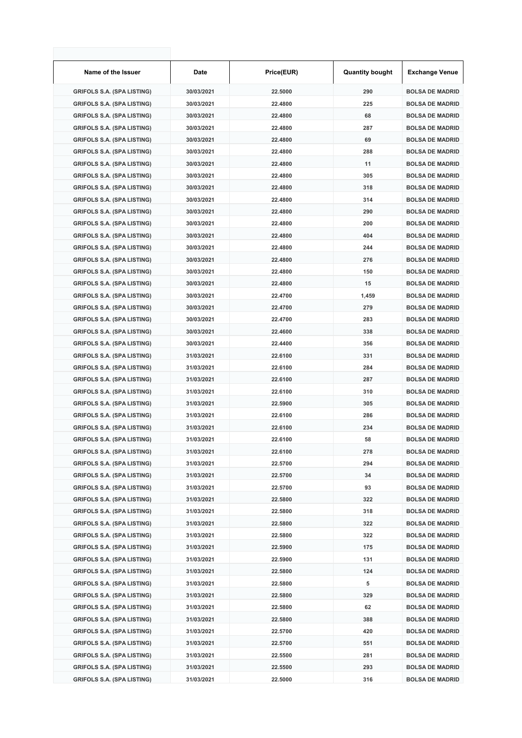| Name of the Issuer                                                     | Date                     | Price(EUR)         | <b>Quantity bought</b> | <b>Exchange Venue</b>                            |
|------------------------------------------------------------------------|--------------------------|--------------------|------------------------|--------------------------------------------------|
| <b>GRIFOLS S.A. (SPA LISTING)</b>                                      | 30/03/2021               | 22.5000            | 290                    | <b>BOLSA DE MADRID</b>                           |
| <b>GRIFOLS S.A. (SPA LISTING)</b>                                      | 30/03/2021               | 22.4800            | 225                    | <b>BOLSA DE MADRID</b>                           |
| <b>GRIFOLS S.A. (SPA LISTING)</b>                                      | 30/03/2021               | 22.4800            | 68                     | <b>BOLSA DE MADRID</b>                           |
| <b>GRIFOLS S.A. (SPA LISTING)</b>                                      | 30/03/2021               | 22.4800            | 287                    | <b>BOLSA DE MADRID</b>                           |
| <b>GRIFOLS S.A. (SPA LISTING)</b>                                      | 30/03/2021               | 22.4800            | 69                     | <b>BOLSA DE MADRID</b>                           |
| <b>GRIFOLS S.A. (SPA LISTING)</b>                                      | 30/03/2021               | 22.4800            | 288                    | <b>BOLSA DE MADRID</b>                           |
| <b>GRIFOLS S.A. (SPA LISTING)</b>                                      | 30/03/2021               | 22.4800            | 11                     | <b>BOLSA DE MADRID</b>                           |
| <b>GRIFOLS S.A. (SPA LISTING)</b>                                      | 30/03/2021               | 22.4800            | 305                    | <b>BOLSA DE MADRID</b>                           |
| <b>GRIFOLS S.A. (SPA LISTING)</b>                                      | 30/03/2021               | 22.4800            | 318                    | <b>BOLSA DE MADRID</b>                           |
| <b>GRIFOLS S.A. (SPA LISTING)</b>                                      | 30/03/2021               | 22.4800            | 314                    | <b>BOLSA DE MADRID</b>                           |
| <b>GRIFOLS S.A. (SPA LISTING)</b>                                      | 30/03/2021               | 22.4800            | 290                    | <b>BOLSA DE MADRID</b>                           |
| <b>GRIFOLS S.A. (SPA LISTING)</b>                                      | 30/03/2021               | 22.4800            | 200                    | <b>BOLSA DE MADRID</b>                           |
| <b>GRIFOLS S.A. (SPA LISTING)</b>                                      | 30/03/2021               | 22.4800            | 404                    | <b>BOLSA DE MADRID</b>                           |
| <b>GRIFOLS S.A. (SPA LISTING)</b>                                      | 30/03/2021               | 22.4800            | 244                    | <b>BOLSA DE MADRID</b>                           |
| <b>GRIFOLS S.A. (SPA LISTING)</b>                                      | 30/03/2021               | 22.4800            | 276                    | <b>BOLSA DE MADRID</b>                           |
| <b>GRIFOLS S.A. (SPA LISTING)</b>                                      | 30/03/2021               | 22.4800            | 150                    | <b>BOLSA DE MADRID</b>                           |
| <b>GRIFOLS S.A. (SPA LISTING)</b>                                      | 30/03/2021               | 22.4800            | 15                     | <b>BOLSA DE MADRID</b>                           |
| <b>GRIFOLS S.A. (SPA LISTING)</b>                                      | 30/03/2021               | 22.4700            | 1,459                  | <b>BOLSA DE MADRID</b>                           |
| <b>GRIFOLS S.A. (SPA LISTING)</b>                                      | 30/03/2021               | 22.4700            | 279                    | <b>BOLSA DE MADRID</b>                           |
| <b>GRIFOLS S.A. (SPA LISTING)</b>                                      | 30/03/2021               | 22.4700            | 283                    | <b>BOLSA DE MADRID</b>                           |
| <b>GRIFOLS S.A. (SPA LISTING)</b>                                      | 30/03/2021               | 22.4600            | 338                    | <b>BOLSA DE MADRID</b>                           |
| <b>GRIFOLS S.A. (SPA LISTING)</b>                                      | 30/03/2021               | 22.4400            | 356                    | <b>BOLSA DE MADRID</b>                           |
| <b>GRIFOLS S.A. (SPA LISTING)</b>                                      | 31/03/2021               | 22.6100            | 331                    | <b>BOLSA DE MADRID</b>                           |
| <b>GRIFOLS S.A. (SPA LISTING)</b>                                      | 31/03/2021               | 22.6100            | 284                    | <b>BOLSA DE MADRID</b>                           |
| <b>GRIFOLS S.A. (SPA LISTING)</b>                                      | 31/03/2021               | 22.6100            | 287                    | <b>BOLSA DE MADRID</b>                           |
| <b>GRIFOLS S.A. (SPA LISTING)</b>                                      | 31/03/2021               | 22.6100            | 310                    | <b>BOLSA DE MADRID</b>                           |
| <b>GRIFOLS S.A. (SPA LISTING)</b>                                      | 31/03/2021               | 22.5900            | 305                    | <b>BOLSA DE MADRID</b>                           |
| <b>GRIFOLS S.A. (SPA LISTING)</b>                                      | 31/03/2021               | 22.6100            | 286                    | <b>BOLSA DE MADRID</b>                           |
| <b>GRIFOLS S.A. (SPA LISTING)</b>                                      | 31/03/2021               | 22.6100            | 234                    | <b>BOLSA DE MADRID</b>                           |
| <b>GRIFOLS S.A. (SPA LISTING)</b>                                      | 31/03/2021               | 22.6100            | 58                     | <b>BOLSA DE MADRID</b>                           |
| GRIFOLS S.A. (SPA LISTING)                                             | 31/03/2021               | 22.6100            | 278                    | <b>BOLSA DE MADRID</b>                           |
| <b>GRIFOLS S.A. (SPA LISTING)</b>                                      | 31/03/2021               | 22.5700            | 294                    | <b>BOLSA DE MADRID</b>                           |
| <b>GRIFOLS S.A. (SPA LISTING)</b>                                      | 31/03/2021               | 22.5700            | 34                     | <b>BOLSA DE MADRID</b>                           |
| <b>GRIFOLS S.A. (SPA LISTING)</b>                                      | 31/03/2021               | 22.5700            | 93                     | <b>BOLSA DE MADRID</b>                           |
| <b>GRIFOLS S.A. (SPA LISTING)</b>                                      | 31/03/2021               | 22.5800            | 322                    | <b>BOLSA DE MADRID</b>                           |
| <b>GRIFOLS S.A. (SPA LISTING)</b>                                      | 31/03/2021               | 22.5800            | 318                    | <b>BOLSA DE MADRID</b>                           |
| <b>GRIFOLS S.A. (SPA LISTING)</b>                                      | 31/03/2021               | 22.5800            | 322                    | <b>BOLSA DE MADRID</b>                           |
| <b>GRIFOLS S.A. (SPA LISTING)</b>                                      | 31/03/2021               | 22.5800            | 322                    | <b>BOLSA DE MADRID</b>                           |
| <b>GRIFOLS S.A. (SPA LISTING)</b>                                      | 31/03/2021               | 22.5900            | 175                    | <b>BOLSA DE MADRID</b>                           |
| <b>GRIFOLS S.A. (SPA LISTING)</b>                                      | 31/03/2021               | 22.5900            | 131                    | <b>BOLSA DE MADRID</b>                           |
| <b>GRIFOLS S.A. (SPA LISTING)</b>                                      | 31/03/2021               | 22.5800            | 124                    | <b>BOLSA DE MADRID</b>                           |
|                                                                        |                          |                    |                        |                                                  |
| <b>GRIFOLS S.A. (SPA LISTING)</b><br><b>GRIFOLS S.A. (SPA LISTING)</b> | 31/03/2021<br>31/03/2021 | 22.5800<br>22.5800 | 5<br>329               | <b>BOLSA DE MADRID</b><br><b>BOLSA DE MADRID</b> |
| <b>GRIFOLS S.A. (SPA LISTING)</b>                                      | 31/03/2021               | 22.5800            | 62                     | <b>BOLSA DE MADRID</b>                           |
|                                                                        |                          |                    | 388                    |                                                  |
| <b>GRIFOLS S.A. (SPA LISTING)</b>                                      | 31/03/2021               | 22.5800            |                        | <b>BOLSA DE MADRID</b>                           |
| <b>GRIFOLS S.A. (SPA LISTING)</b><br><b>GRIFOLS S.A. (SPA LISTING)</b> | 31/03/2021<br>31/03/2021 | 22.5700<br>22.5700 | 420<br>551             | <b>BOLSA DE MADRID</b><br><b>BOLSA DE MADRID</b> |
| <b>GRIFOLS S.A. (SPA LISTING)</b>                                      | 31/03/2021               | 22.5500            | 281                    | <b>BOLSA DE MADRID</b>                           |
| <b>GRIFOLS S.A. (SPA LISTING)</b>                                      | 31/03/2021               | 22.5500            | 293                    | <b>BOLSA DE MADRID</b>                           |
| <b>GRIFOLS S.A. (SPA LISTING)</b>                                      | 31/03/2021               | 22.5000            | 316                    | <b>BOLSA DE MADRID</b>                           |
|                                                                        |                          |                    |                        |                                                  |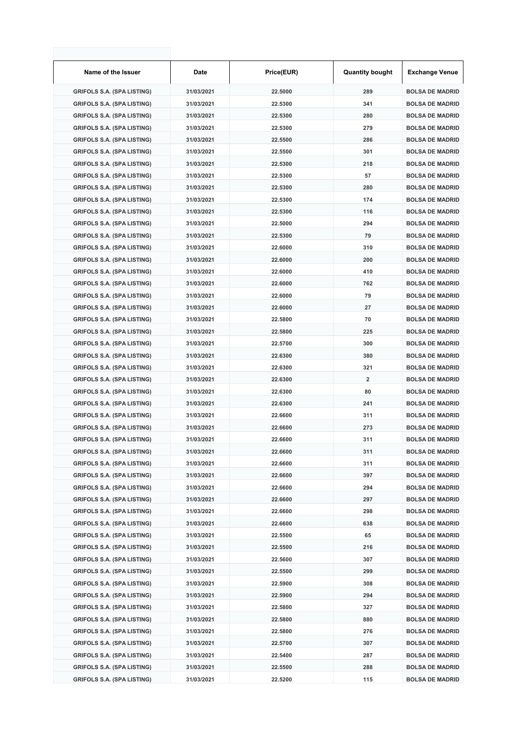| Name of the Issuer                                                     | Date                     | Price(EUR)         | <b>Quantity bought</b> | <b>Exchange Venue</b>                            |
|------------------------------------------------------------------------|--------------------------|--------------------|------------------------|--------------------------------------------------|
| <b>GRIFOLS S.A. (SPA LISTING)</b>                                      | 31/03/2021               | 22.5000            | 289                    | <b>BOLSA DE MADRID</b>                           |
| <b>GRIFOLS S.A. (SPA LISTING)</b>                                      | 31/03/2021               | 22.5300            | 341                    | <b>BOLSA DE MADRID</b>                           |
| <b>GRIFOLS S.A. (SPA LISTING)</b>                                      | 31/03/2021               | 22.5300            | 280                    | <b>BOLSA DE MADRID</b>                           |
| <b>GRIFOLS S.A. (SPA LISTING)</b>                                      | 31/03/2021               | 22.5300            | 279                    | <b>BOLSA DE MADRID</b>                           |
| <b>GRIFOLS S.A. (SPA LISTING)</b>                                      | 31/03/2021               | 22.5500            | 286                    | <b>BOLSA DE MADRID</b>                           |
| <b>GRIFOLS S.A. (SPA LISTING)</b>                                      | 31/03/2021               | 22.5500            | 301                    | <b>BOLSA DE MADRID</b>                           |
| <b>GRIFOLS S.A. (SPA LISTING)</b>                                      | 31/03/2021               | 22.5300            | 218                    | <b>BOLSA DE MADRID</b>                           |
| <b>GRIFOLS S.A. (SPA LISTING)</b>                                      | 31/03/2021               | 22.5300            | 57                     | <b>BOLSA DE MADRID</b>                           |
| <b>GRIFOLS S.A. (SPA LISTING)</b>                                      | 31/03/2021               | 22.5300            | 280                    | <b>BOLSA DE MADRID</b>                           |
| <b>GRIFOLS S.A. (SPA LISTING)</b>                                      | 31/03/2021               | 22.5300            | 174                    | <b>BOLSA DE MADRID</b>                           |
| <b>GRIFOLS S.A. (SPA LISTING)</b>                                      | 31/03/2021               | 22.5300            | 116                    | <b>BOLSA DE MADRID</b>                           |
| <b>GRIFOLS S.A. (SPA LISTING)</b>                                      | 31/03/2021               | 22.5000            | 294                    | <b>BOLSA DE MADRID</b>                           |
| <b>GRIFOLS S.A. (SPA LISTING)</b>                                      | 31/03/2021               | 22.5300            | 79                     | <b>BOLSA DE MADRID</b>                           |
| <b>GRIFOLS S.A. (SPA LISTING)</b>                                      | 31/03/2021               | 22.6000            | 310                    | <b>BOLSA DE MADRID</b>                           |
| <b>GRIFOLS S.A. (SPA LISTING)</b>                                      | 31/03/2021               | 22.6000            | 200                    | <b>BOLSA DE MADRID</b>                           |
| <b>GRIFOLS S.A. (SPA LISTING)</b>                                      | 31/03/2021               | 22.6000            | 410                    | <b>BOLSA DE MADRID</b>                           |
| <b>GRIFOLS S.A. (SPA LISTING)</b>                                      | 31/03/2021               | 22.6000            | 762                    | <b>BOLSA DE MADRID</b>                           |
| <b>GRIFOLS S.A. (SPA LISTING)</b>                                      | 31/03/2021               | 22.6000            | 79                     | <b>BOLSA DE MADRID</b>                           |
| <b>GRIFOLS S.A. (SPA LISTING)</b>                                      | 31/03/2021               | 22.6000            | 27                     | <b>BOLSA DE MADRID</b>                           |
| <b>GRIFOLS S.A. (SPA LISTING)</b>                                      | 31/03/2021               | 22.5800            | 70                     | <b>BOLSA DE MADRID</b>                           |
| <b>GRIFOLS S.A. (SPA LISTING)</b>                                      | 31/03/2021               | 22.5800            | 225                    | <b>BOLSA DE MADRID</b>                           |
| <b>GRIFOLS S.A. (SPA LISTING)</b>                                      | 31/03/2021               | 22.5700            | 300                    | <b>BOLSA DE MADRID</b>                           |
| <b>GRIFOLS S.A. (SPA LISTING)</b>                                      | 31/03/2021               | 22.6300            | 380                    | <b>BOLSA DE MADRID</b>                           |
| <b>GRIFOLS S.A. (SPA LISTING)</b>                                      | 31/03/2021               | 22.6300            | 321                    | <b>BOLSA DE MADRID</b>                           |
| <b>GRIFOLS S.A. (SPA LISTING)</b>                                      | 31/03/2021               | 22.6300            | $\overline{2}$         | <b>BOLSA DE MADRID</b>                           |
| <b>GRIFOLS S.A. (SPA LISTING)</b>                                      | 31/03/2021               | 22.6300            | 80                     | <b>BOLSA DE MADRID</b>                           |
| <b>GRIFOLS S.A. (SPA LISTING)</b>                                      | 31/03/2021               | 22.6300            | 241                    | <b>BOLSA DE MADRID</b>                           |
| <b>GRIFOLS S.A. (SPA LISTING)</b>                                      | 31/03/2021               | 22.6600            | 311                    | <b>BOLSA DE MADRID</b>                           |
| <b>GRIFOLS S.A. (SPA LISTING)</b>                                      | 31/03/2021               | 22.6600            | 273                    | <b>BOLSA DE MADRID</b>                           |
| <b>GRIFOLS S.A. (SPA LISTING)</b>                                      | 31/03/2021               | 22.6600            | 311                    | <b>BOLSA DE MADRID</b>                           |
| GRIFOLS S.A. (SPA LISTING)                                             | 31/03/2021               | 22.6600            | 311                    | <b>BOLSA DE MADRID</b>                           |
| <b>GRIFOLS S.A. (SPA LISTING)</b>                                      | 31/03/2021               | 22.6600            | 311                    | <b>BOLSA DE MADRID</b>                           |
| <b>GRIFOLS S.A. (SPA LISTING)</b>                                      | 31/03/2021               | 22.6600            | 397                    | <b>BOLSA DE MADRID</b>                           |
| <b>GRIFOLS S.A. (SPA LISTING)</b>                                      | 31/03/2021               | 22.6600            | 294                    | <b>BOLSA DE MADRID</b>                           |
| <b>GRIFOLS S.A. (SPA LISTING)</b>                                      | 31/03/2021               | 22.6600            | 297                    | <b>BOLSA DE MADRID</b>                           |
| <b>GRIFOLS S.A. (SPA LISTING)</b>                                      | 31/03/2021               | 22.6600            | 298                    | <b>BOLSA DE MADRID</b>                           |
| <b>GRIFOLS S.A. (SPA LISTING)</b>                                      | 31/03/2021               | 22.6600            | 638                    | <b>BOLSA DE MADRID</b>                           |
| <b>GRIFOLS S.A. (SPA LISTING)</b>                                      | 31/03/2021               | 22.5500            | 65                     | <b>BOLSA DE MADRID</b>                           |
| <b>GRIFOLS S.A. (SPA LISTING)</b>                                      | 31/03/2021               | 22.5500            | 216                    | <b>BOLSA DE MADRID</b>                           |
| <b>GRIFOLS S.A. (SPA LISTING)</b>                                      | 31/03/2021               | 22.5600            | 307                    | <b>BOLSA DE MADRID</b>                           |
|                                                                        |                          | 22.5500            | 299                    | <b>BOLSA DE MADRID</b>                           |
| <b>GRIFOLS S.A. (SPA LISTING)</b><br><b>GRIFOLS S.A. (SPA LISTING)</b> | 31/03/2021<br>31/03/2021 | 22.5900            | 308                    | <b>BOLSA DE MADRID</b>                           |
| <b>GRIFOLS S.A. (SPA LISTING)</b>                                      | 31/03/2021               | 22.5900            | 294                    | <b>BOLSA DE MADRID</b>                           |
| <b>GRIFOLS S.A. (SPA LISTING)</b>                                      | 31/03/2021               | 22.5800            | 327                    | <b>BOLSA DE MADRID</b>                           |
|                                                                        |                          | 22.5800            | 880                    | <b>BOLSA DE MADRID</b>                           |
| <b>GRIFOLS S.A. (SPA LISTING)</b>                                      | 31/03/2021               |                    |                        |                                                  |
| <b>GRIFOLS S.A. (SPA LISTING)</b>                                      | 31/03/2021               | 22.5800            | 276                    | <b>BOLSA DE MADRID</b>                           |
| <b>GRIFOLS S.A. (SPA LISTING)</b>                                      | 31/03/2021               | 22.5700            | 307                    | <b>BOLSA DE MADRID</b><br><b>BOLSA DE MADRID</b> |
| <b>GRIFOLS S.A. (SPA LISTING)</b>                                      | 31/03/2021               | 22.5400            | 287                    | <b>BOLSA DE MADRID</b>                           |
| <b>GRIFOLS S.A. (SPA LISTING)</b>                                      | 31/03/2021<br>31/03/2021 | 22.5500<br>22.5200 | 288<br>115             | <b>BOLSA DE MADRID</b>                           |
| <b>GRIFOLS S.A. (SPA LISTING)</b>                                      |                          |                    |                        |                                                  |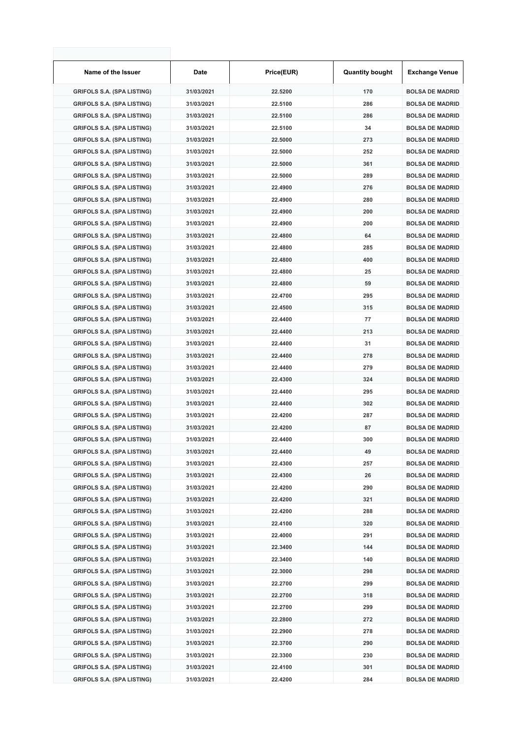| Name of the Issuer                | Date       | Price(EUR) | <b>Quantity bought</b> | <b>Exchange Venue</b>  |
|-----------------------------------|------------|------------|------------------------|------------------------|
| <b>GRIFOLS S.A. (SPA LISTING)</b> | 31/03/2021 | 22.5200    | 170                    | <b>BOLSA DE MADRID</b> |
| <b>GRIFOLS S.A. (SPA LISTING)</b> | 31/03/2021 | 22.5100    | 286                    | <b>BOLSA DE MADRID</b> |
| <b>GRIFOLS S.A. (SPA LISTING)</b> | 31/03/2021 | 22.5100    | 286                    | <b>BOLSA DE MADRID</b> |
| <b>GRIFOLS S.A. (SPA LISTING)</b> | 31/03/2021 | 22.5100    | 34                     | <b>BOLSA DE MADRID</b> |
| <b>GRIFOLS S.A. (SPA LISTING)</b> | 31/03/2021 | 22.5000    | 273                    | <b>BOLSA DE MADRID</b> |
| <b>GRIFOLS S.A. (SPA LISTING)</b> | 31/03/2021 | 22.5000    | 252                    | <b>BOLSA DE MADRID</b> |
| <b>GRIFOLS S.A. (SPA LISTING)</b> | 31/03/2021 | 22.5000    | 361                    | <b>BOLSA DE MADRID</b> |
| <b>GRIFOLS S.A. (SPA LISTING)</b> | 31/03/2021 | 22.5000    | 289                    | <b>BOLSA DE MADRID</b> |
| <b>GRIFOLS S.A. (SPA LISTING)</b> | 31/03/2021 | 22.4900    | 276                    | <b>BOLSA DE MADRID</b> |
| <b>GRIFOLS S.A. (SPA LISTING)</b> | 31/03/2021 | 22.4900    | 280                    | <b>BOLSA DE MADRID</b> |
| <b>GRIFOLS S.A. (SPA LISTING)</b> | 31/03/2021 | 22.4900    | 200                    | <b>BOLSA DE MADRID</b> |
| <b>GRIFOLS S.A. (SPA LISTING)</b> | 31/03/2021 | 22.4900    | 200                    | <b>BOLSA DE MADRID</b> |
| <b>GRIFOLS S.A. (SPA LISTING)</b> | 31/03/2021 | 22.4800    | 64                     | <b>BOLSA DE MADRID</b> |
| <b>GRIFOLS S.A. (SPA LISTING)</b> | 31/03/2021 | 22.4800    | 285                    | <b>BOLSA DE MADRID</b> |
| <b>GRIFOLS S.A. (SPA LISTING)</b> | 31/03/2021 | 22.4800    | 400                    | <b>BOLSA DE MADRID</b> |
| <b>GRIFOLS S.A. (SPA LISTING)</b> | 31/03/2021 | 22.4800    | 25                     | <b>BOLSA DE MADRID</b> |
| <b>GRIFOLS S.A. (SPA LISTING)</b> | 31/03/2021 | 22.4800    | 59                     | <b>BOLSA DE MADRID</b> |
| <b>GRIFOLS S.A. (SPA LISTING)</b> | 31/03/2021 | 22.4700    | 295                    | <b>BOLSA DE MADRID</b> |
| <b>GRIFOLS S.A. (SPA LISTING)</b> | 31/03/2021 | 22.4500    | 315                    | <b>BOLSA DE MADRID</b> |
| <b>GRIFOLS S.A. (SPA LISTING)</b> | 31/03/2021 | 22.4400    | 77                     | <b>BOLSA DE MADRID</b> |
| <b>GRIFOLS S.A. (SPA LISTING)</b> | 31/03/2021 | 22.4400    | 213                    | <b>BOLSA DE MADRID</b> |
| <b>GRIFOLS S.A. (SPA LISTING)</b> | 31/03/2021 | 22.4400    | 31                     | <b>BOLSA DE MADRID</b> |
| <b>GRIFOLS S.A. (SPA LISTING)</b> | 31/03/2021 | 22.4400    | 278                    | <b>BOLSA DE MADRID</b> |
| <b>GRIFOLS S.A. (SPA LISTING)</b> | 31/03/2021 | 22.4400    | 279                    | <b>BOLSA DE MADRID</b> |
| <b>GRIFOLS S.A. (SPA LISTING)</b> | 31/03/2021 | 22.4300    | 324                    | <b>BOLSA DE MADRID</b> |
| <b>GRIFOLS S.A. (SPA LISTING)</b> | 31/03/2021 | 22.4400    | 295                    | <b>BOLSA DE MADRID</b> |
| <b>GRIFOLS S.A. (SPA LISTING)</b> | 31/03/2021 | 22.4400    | 302                    | <b>BOLSA DE MADRID</b> |
| <b>GRIFOLS S.A. (SPA LISTING)</b> | 31/03/2021 | 22.4200    | 287                    | <b>BOLSA DE MADRID</b> |
| <b>GRIFOLS S.A. (SPA LISTING)</b> | 31/03/2021 | 22.4200    | 87                     | <b>BOLSA DE MADRID</b> |
| <b>GRIFOLS S.A. (SPA LISTING)</b> | 31/03/2021 | 22.4400    | 300                    | <b>BOLSA DE MADRID</b> |
| GRIFOLS S.A. (SPA LISTING)        | 31/03/2021 | 22.4400    | 49                     | <b>BOLSA DE MADRID</b> |
| <b>GRIFOLS S.A. (SPA LISTING)</b> | 31/03/2021 | 22.4300    | 257                    | <b>BOLSA DE MADRID</b> |
| <b>GRIFOLS S.A. (SPA LISTING)</b> | 31/03/2021 | 22.4300    | 26                     | <b>BOLSA DE MADRID</b> |
| <b>GRIFOLS S.A. (SPA LISTING)</b> | 31/03/2021 | 22.4200    | 290                    | <b>BOLSA DE MADRID</b> |
| <b>GRIFOLS S.A. (SPA LISTING)</b> | 31/03/2021 | 22.4200    | 321                    | <b>BOLSA DE MADRID</b> |
| <b>GRIFOLS S.A. (SPA LISTING)</b> | 31/03/2021 | 22.4200    | 288                    | <b>BOLSA DE MADRID</b> |
| <b>GRIFOLS S.A. (SPA LISTING)</b> | 31/03/2021 | 22.4100    | 320                    | <b>BOLSA DE MADRID</b> |
| <b>GRIFOLS S.A. (SPA LISTING)</b> | 31/03/2021 | 22.4000    | 291                    | <b>BOLSA DE MADRID</b> |
| <b>GRIFOLS S.A. (SPA LISTING)</b> | 31/03/2021 | 22.3400    | 144                    | <b>BOLSA DE MADRID</b> |
| <b>GRIFOLS S.A. (SPA LISTING)</b> | 31/03/2021 | 22.3400    | 140                    | <b>BOLSA DE MADRID</b> |
| <b>GRIFOLS S.A. (SPA LISTING)</b> | 31/03/2021 | 22.3000    | 298                    | <b>BOLSA DE MADRID</b> |
| <b>GRIFOLS S.A. (SPA LISTING)</b> | 31/03/2021 | 22.2700    | 299                    | <b>BOLSA DE MADRID</b> |
| <b>GRIFOLS S.A. (SPA LISTING)</b> | 31/03/2021 | 22.2700    | 318                    | <b>BOLSA DE MADRID</b> |
| <b>GRIFOLS S.A. (SPA LISTING)</b> | 31/03/2021 | 22.2700    | 299                    | <b>BOLSA DE MADRID</b> |
| <b>GRIFOLS S.A. (SPA LISTING)</b> | 31/03/2021 | 22.2800    | 272                    | <b>BOLSA DE MADRID</b> |
| <b>GRIFOLS S.A. (SPA LISTING)</b> | 31/03/2021 | 22.2900    | 278                    | <b>BOLSA DE MADRID</b> |
| <b>GRIFOLS S.A. (SPA LISTING)</b> | 31/03/2021 | 22.3700    | 290                    | <b>BOLSA DE MADRID</b> |
| <b>GRIFOLS S.A. (SPA LISTING)</b> | 31/03/2021 | 22.3300    | 230                    | <b>BOLSA DE MADRID</b> |
| <b>GRIFOLS S.A. (SPA LISTING)</b> | 31/03/2021 | 22.4100    | 301                    | <b>BOLSA DE MADRID</b> |
| <b>GRIFOLS S.A. (SPA LISTING)</b> | 31/03/2021 | 22.4200    | 284                    | <b>BOLSA DE MADRID</b> |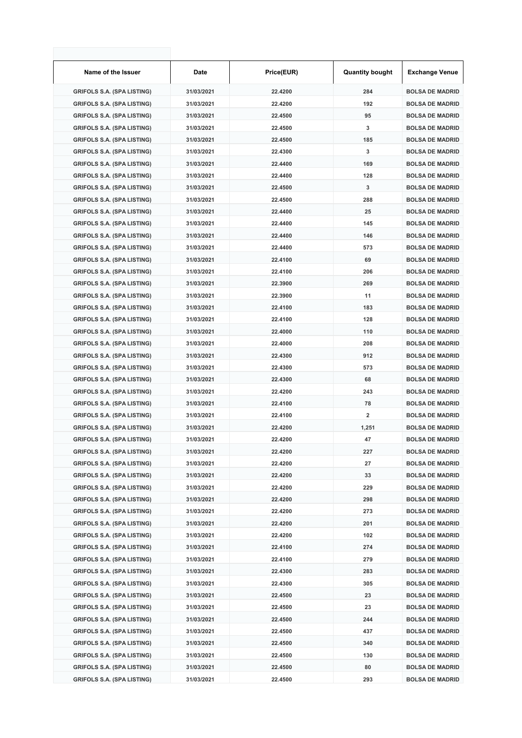| Name of the Issuer                | Date       | Price(EUR)         | <b>Quantity bought</b> | <b>Exchange Venue</b>                            |
|-----------------------------------|------------|--------------------|------------------------|--------------------------------------------------|
| <b>GRIFOLS S.A. (SPA LISTING)</b> | 31/03/2021 | 22.4200            | 284                    | <b>BOLSA DE MADRID</b>                           |
| <b>GRIFOLS S.A. (SPA LISTING)</b> | 31/03/2021 | 22.4200            | 192                    | <b>BOLSA DE MADRID</b>                           |
| <b>GRIFOLS S.A. (SPA LISTING)</b> | 31/03/2021 | 22.4500            | 95                     | <b>BOLSA DE MADRID</b>                           |
| <b>GRIFOLS S.A. (SPA LISTING)</b> | 31/03/2021 | 22.4500            | 3                      | <b>BOLSA DE MADRID</b>                           |
| <b>GRIFOLS S.A. (SPA LISTING)</b> | 31/03/2021 | 22.4500            | 185                    | <b>BOLSA DE MADRID</b>                           |
| <b>GRIFOLS S.A. (SPA LISTING)</b> | 31/03/2021 | 22.4300            | 3                      | <b>BOLSA DE MADRID</b>                           |
| <b>GRIFOLS S.A. (SPA LISTING)</b> | 31/03/2021 | 22.4400            | 169                    | <b>BOLSA DE MADRID</b>                           |
| <b>GRIFOLS S.A. (SPA LISTING)</b> | 31/03/2021 | 22.4400            | 128                    | <b>BOLSA DE MADRID</b>                           |
| <b>GRIFOLS S.A. (SPA LISTING)</b> | 31/03/2021 | 22.4500            | 3                      | <b>BOLSA DE MADRID</b>                           |
| <b>GRIFOLS S.A. (SPA LISTING)</b> | 31/03/2021 | 22.4500            | 288                    | <b>BOLSA DE MADRID</b>                           |
| <b>GRIFOLS S.A. (SPA LISTING)</b> | 31/03/2021 | 22.4400            | 25                     | <b>BOLSA DE MADRID</b>                           |
| <b>GRIFOLS S.A. (SPA LISTING)</b> | 31/03/2021 | 22.4400            | 145                    | <b>BOLSA DE MADRID</b>                           |
| <b>GRIFOLS S.A. (SPA LISTING)</b> | 31/03/2021 | 22.4400            | 146                    | <b>BOLSA DE MADRID</b>                           |
| <b>GRIFOLS S.A. (SPA LISTING)</b> | 31/03/2021 | 22.4400            | 573                    | <b>BOLSA DE MADRID</b>                           |
| <b>GRIFOLS S.A. (SPA LISTING)</b> | 31/03/2021 | 22.4100            | 69                     | <b>BOLSA DE MADRID</b>                           |
| <b>GRIFOLS S.A. (SPA LISTING)</b> | 31/03/2021 | 22.4100            | 206                    | <b>BOLSA DE MADRID</b>                           |
| <b>GRIFOLS S.A. (SPA LISTING)</b> | 31/03/2021 | 22.3900            | 269                    | <b>BOLSA DE MADRID</b>                           |
| <b>GRIFOLS S.A. (SPA LISTING)</b> | 31/03/2021 | 22.3900            | 11                     | <b>BOLSA DE MADRID</b>                           |
| <b>GRIFOLS S.A. (SPA LISTING)</b> | 31/03/2021 | 22.4100            | 183                    | <b>BOLSA DE MADRID</b>                           |
| <b>GRIFOLS S.A. (SPA LISTING)</b> | 31/03/2021 | 22.4100            | 128                    | <b>BOLSA DE MADRID</b>                           |
| <b>GRIFOLS S.A. (SPA LISTING)</b> | 31/03/2021 | 22.4000            | 110                    | <b>BOLSA DE MADRID</b>                           |
| <b>GRIFOLS S.A. (SPA LISTING)</b> | 31/03/2021 | 22.4000            | 208                    | <b>BOLSA DE MADRID</b>                           |
| <b>GRIFOLS S.A. (SPA LISTING)</b> | 31/03/2021 | 22.4300            | 912                    | <b>BOLSA DE MADRID</b>                           |
| <b>GRIFOLS S.A. (SPA LISTING)</b> | 31/03/2021 | 22.4300            | 573                    | <b>BOLSA DE MADRID</b>                           |
| <b>GRIFOLS S.A. (SPA LISTING)</b> | 31/03/2021 | 22.4300            | 68                     | <b>BOLSA DE MADRID</b>                           |
| <b>GRIFOLS S.A. (SPA LISTING)</b> | 31/03/2021 | 22.4200            | 243                    | <b>BOLSA DE MADRID</b>                           |
| <b>GRIFOLS S.A. (SPA LISTING)</b> | 31/03/2021 | 22.4100            | 78                     | <b>BOLSA DE MADRID</b>                           |
| <b>GRIFOLS S.A. (SPA LISTING)</b> | 31/03/2021 | 22.4100            | 2                      | <b>BOLSA DE MADRID</b>                           |
| <b>GRIFOLS S.A. (SPA LISTING)</b> | 31/03/2021 | 22.4200            | 1,251                  | <b>BOLSA DE MADRID</b>                           |
| <b>GRIFOLS S.A. (SPA LISTING)</b> | 31/03/2021 | 22.4200            | 47                     | <b>BOLSA DE MADRID</b>                           |
| GRIFOLS S.A. (SPA LISTING)        | 31/03/2021 | 22.4200            | 227                    | <b>BOLSA DE MADRID</b>                           |
| <b>GRIFOLS S.A. (SPA LISTING)</b> | 31/03/2021 | 22.4200            | 27                     | <b>BOLSA DE MADRID</b>                           |
| <b>GRIFOLS S.A. (SPA LISTING)</b> | 31/03/2021 | 22.4200            | 33                     | <b>BOLSA DE MADRID</b>                           |
| <b>GRIFOLS S.A. (SPA LISTING)</b> | 31/03/2021 | 22.4200            | 229                    | <b>BOLSA DE MADRID</b>                           |
| <b>GRIFOLS S.A. (SPA LISTING)</b> | 31/03/2021 | 22.4200            | 298                    | <b>BOLSA DE MADRID</b>                           |
| <b>GRIFOLS S.A. (SPA LISTING)</b> | 31/03/2021 | 22.4200            | 273                    | <b>BOLSA DE MADRID</b>                           |
| <b>GRIFOLS S.A. (SPA LISTING)</b> | 31/03/2021 | 22.4200            | 201                    | <b>BOLSA DE MADRID</b>                           |
| <b>GRIFOLS S.A. (SPA LISTING)</b> | 31/03/2021 | 22.4200            | 102                    | <b>BOLSA DE MADRID</b>                           |
| <b>GRIFOLS S.A. (SPA LISTING)</b> | 31/03/2021 | 22.4100            | 274                    | <b>BOLSA DE MADRID</b>                           |
|                                   |            |                    |                        |                                                  |
| <b>GRIFOLS S.A. (SPA LISTING)</b> | 31/03/2021 | 22.4100<br>22.4300 | 279<br>283             | <b>BOLSA DE MADRID</b><br><b>BOLSA DE MADRID</b> |
| <b>GRIFOLS S.A. (SPA LISTING)</b> | 31/03/2021 |                    |                        |                                                  |
| <b>GRIFOLS S.A. (SPA LISTING)</b> | 31/03/2021 | 22.4300            | 305                    | <b>BOLSA DE MADRID</b>                           |
| <b>GRIFOLS S.A. (SPA LISTING)</b> | 31/03/2021 | 22.4500            | 23                     | <b>BOLSA DE MADRID</b>                           |
| <b>GRIFOLS S.A. (SPA LISTING)</b> | 31/03/2021 | 22.4500            | 23                     | <b>BOLSA DE MADRID</b>                           |
| <b>GRIFOLS S.A. (SPA LISTING)</b> | 31/03/2021 | 22.4500            | 244                    | <b>BOLSA DE MADRID</b>                           |
| <b>GRIFOLS S.A. (SPA LISTING)</b> | 31/03/2021 | 22.4500            | 437                    | <b>BOLSA DE MADRID</b>                           |
| <b>GRIFOLS S.A. (SPA LISTING)</b> | 31/03/2021 | 22.4500            | 340                    | <b>BOLSA DE MADRID</b>                           |
| <b>GRIFOLS S.A. (SPA LISTING)</b> | 31/03/2021 | 22.4500            | 130                    | <b>BOLSA DE MADRID</b>                           |
| <b>GRIFOLS S.A. (SPA LISTING)</b> | 31/03/2021 | 22.4500            | 80                     | <b>BOLSA DE MADRID</b>                           |
| <b>GRIFOLS S.A. (SPA LISTING)</b> | 31/03/2021 | 22.4500            | 293                    | <b>BOLSA DE MADRID</b>                           |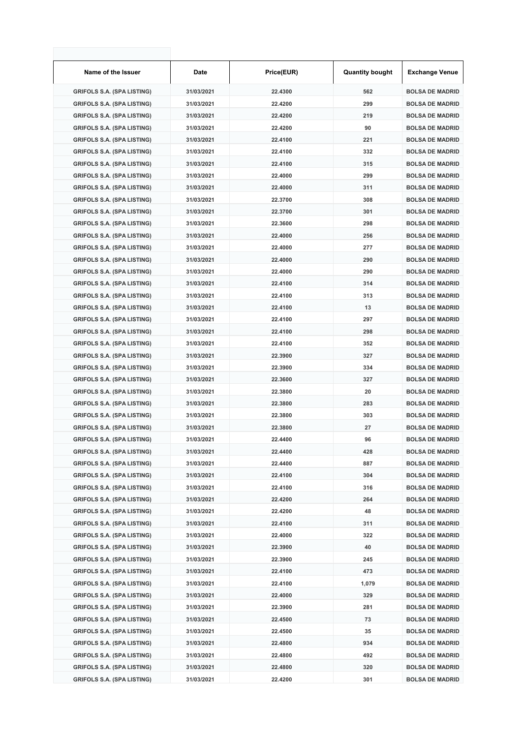| Name of the Issuer                | Date       | Price(EUR) | <b>Quantity bought</b> | <b>Exchange Venue</b>  |
|-----------------------------------|------------|------------|------------------------|------------------------|
| <b>GRIFOLS S.A. (SPA LISTING)</b> | 31/03/2021 | 22.4300    | 562                    | <b>BOLSA DE MADRID</b> |
| <b>GRIFOLS S.A. (SPA LISTING)</b> | 31/03/2021 | 22.4200    | 299                    | <b>BOLSA DE MADRID</b> |
| <b>GRIFOLS S.A. (SPA LISTING)</b> | 31/03/2021 | 22.4200    | 219                    | <b>BOLSA DE MADRID</b> |
| <b>GRIFOLS S.A. (SPA LISTING)</b> | 31/03/2021 | 22.4200    | 90                     | <b>BOLSA DE MADRID</b> |
| <b>GRIFOLS S.A. (SPA LISTING)</b> | 31/03/2021 | 22.4100    | 221                    | <b>BOLSA DE MADRID</b> |
| <b>GRIFOLS S.A. (SPA LISTING)</b> | 31/03/2021 | 22.4100    | 332                    | <b>BOLSA DE MADRID</b> |
| <b>GRIFOLS S.A. (SPA LISTING)</b> | 31/03/2021 | 22.4100    | 315                    | <b>BOLSA DE MADRID</b> |
| <b>GRIFOLS S.A. (SPA LISTING)</b> | 31/03/2021 | 22.4000    | 299                    | <b>BOLSA DE MADRID</b> |
| <b>GRIFOLS S.A. (SPA LISTING)</b> | 31/03/2021 | 22.4000    | 311                    | <b>BOLSA DE MADRID</b> |
| <b>GRIFOLS S.A. (SPA LISTING)</b> | 31/03/2021 | 22.3700    | 308                    | <b>BOLSA DE MADRID</b> |
| <b>GRIFOLS S.A. (SPA LISTING)</b> | 31/03/2021 | 22.3700    | 301                    | <b>BOLSA DE MADRID</b> |
| <b>GRIFOLS S.A. (SPA LISTING)</b> | 31/03/2021 | 22.3600    | 298                    | <b>BOLSA DE MADRID</b> |
| <b>GRIFOLS S.A. (SPA LISTING)</b> | 31/03/2021 | 22.4000    | 256                    | <b>BOLSA DE MADRID</b> |
| <b>GRIFOLS S.A. (SPA LISTING)</b> | 31/03/2021 | 22.4000    | 277                    | <b>BOLSA DE MADRID</b> |
| <b>GRIFOLS S.A. (SPA LISTING)</b> | 31/03/2021 | 22.4000    | 290                    | <b>BOLSA DE MADRID</b> |
| <b>GRIFOLS S.A. (SPA LISTING)</b> | 31/03/2021 | 22.4000    | 290                    | <b>BOLSA DE MADRID</b> |
| <b>GRIFOLS S.A. (SPA LISTING)</b> | 31/03/2021 | 22.4100    | 314                    | <b>BOLSA DE MADRID</b> |
| <b>GRIFOLS S.A. (SPA LISTING)</b> | 31/03/2021 | 22.4100    | 313                    | <b>BOLSA DE MADRID</b> |
| <b>GRIFOLS S.A. (SPA LISTING)</b> | 31/03/2021 | 22.4100    | 13                     | <b>BOLSA DE MADRID</b> |
|                                   | 31/03/2021 | 22.4100    | 297                    | <b>BOLSA DE MADRID</b> |
| <b>GRIFOLS S.A. (SPA LISTING)</b> |            |            | 298                    |                        |
| <b>GRIFOLS S.A. (SPA LISTING)</b> | 31/03/2021 | 22.4100    |                        | <b>BOLSA DE MADRID</b> |
| <b>GRIFOLS S.A. (SPA LISTING)</b> | 31/03/2021 | 22.4100    | 352                    | <b>BOLSA DE MADRID</b> |
| <b>GRIFOLS S.A. (SPA LISTING)</b> | 31/03/2021 | 22.3900    | 327                    | <b>BOLSA DE MADRID</b> |
| <b>GRIFOLS S.A. (SPA LISTING)</b> | 31/03/2021 | 22.3900    | 334                    | <b>BOLSA DE MADRID</b> |
| <b>GRIFOLS S.A. (SPA LISTING)</b> | 31/03/2021 | 22.3600    | 327                    | <b>BOLSA DE MADRID</b> |
| <b>GRIFOLS S.A. (SPA LISTING)</b> | 31/03/2021 | 22.3800    | 20                     | <b>BOLSA DE MADRID</b> |
| <b>GRIFOLS S.A. (SPA LISTING)</b> | 31/03/2021 | 22.3800    | 283                    | <b>BOLSA DE MADRID</b> |
| <b>GRIFOLS S.A. (SPA LISTING)</b> | 31/03/2021 | 22.3800    | 303                    | <b>BOLSA DE MADRID</b> |
| <b>GRIFOLS S.A. (SPA LISTING)</b> | 31/03/2021 | 22.3800    | 27                     | <b>BOLSA DE MADRID</b> |
| <b>GRIFOLS S.A. (SPA LISTING)</b> | 31/03/2021 | 22.4400    | 96                     | <b>BOLSA DE MADRID</b> |
| GRIFOLS S.A. (SPA LISTING)        | 31/03/2021 | 22.4400    | 428                    | <b>BOLSA DE MADRID</b> |
| <b>GRIFOLS S.A. (SPA LISTING)</b> | 31/03/2021 | 22.4400    | 887                    | <b>BOLSA DE MADRID</b> |
| <b>GRIFOLS S.A. (SPA LISTING)</b> | 31/03/2021 | 22.4100    | 304                    | <b>BOLSA DE MADRID</b> |
| <b>GRIFOLS S.A. (SPA LISTING)</b> | 31/03/2021 | 22.4100    | 316                    | <b>BOLSA DE MADRID</b> |
| <b>GRIFOLS S.A. (SPA LISTING)</b> | 31/03/2021 | 22.4200    | 264                    | <b>BOLSA DE MADRID</b> |
| <b>GRIFOLS S.A. (SPA LISTING)</b> | 31/03/2021 | 22.4200    | 48                     | <b>BOLSA DE MADRID</b> |
| <b>GRIFOLS S.A. (SPA LISTING)</b> | 31/03/2021 | 22.4100    | 311                    | <b>BOLSA DE MADRID</b> |
| <b>GRIFOLS S.A. (SPA LISTING)</b> | 31/03/2021 | 22.4000    | 322                    | <b>BOLSA DE MADRID</b> |
| <b>GRIFOLS S.A. (SPA LISTING)</b> | 31/03/2021 | 22.3900    | 40                     | <b>BOLSA DE MADRID</b> |
| <b>GRIFOLS S.A. (SPA LISTING)</b> | 31/03/2021 | 22.3900    | 245                    | <b>BOLSA DE MADRID</b> |
| <b>GRIFOLS S.A. (SPA LISTING)</b> | 31/03/2021 | 22.4100    | 473                    | <b>BOLSA DE MADRID</b> |
| <b>GRIFOLS S.A. (SPA LISTING)</b> | 31/03/2021 | 22.4100    | 1,079                  | <b>BOLSA DE MADRID</b> |
| <b>GRIFOLS S.A. (SPA LISTING)</b> | 31/03/2021 | 22.4000    | 329                    | <b>BOLSA DE MADRID</b> |
| <b>GRIFOLS S.A. (SPA LISTING)</b> | 31/03/2021 | 22.3900    | 281                    | <b>BOLSA DE MADRID</b> |
| <b>GRIFOLS S.A. (SPA LISTING)</b> | 31/03/2021 | 22.4500    | 73                     | <b>BOLSA DE MADRID</b> |
| <b>GRIFOLS S.A. (SPA LISTING)</b> | 31/03/2021 | 22.4500    | 35                     | <b>BOLSA DE MADRID</b> |
| <b>GRIFOLS S.A. (SPA LISTING)</b> | 31/03/2021 | 22.4800    | 934                    | <b>BOLSA DE MADRID</b> |
| <b>GRIFOLS S.A. (SPA LISTING)</b> | 31/03/2021 | 22.4800    | 492                    | <b>BOLSA DE MADRID</b> |
| <b>GRIFOLS S.A. (SPA LISTING)</b> | 31/03/2021 | 22.4800    | 320                    | <b>BOLSA DE MADRID</b> |
| <b>GRIFOLS S.A. (SPA LISTING)</b> | 31/03/2021 | 22.4200    | 301                    | <b>BOLSA DE MADRID</b> |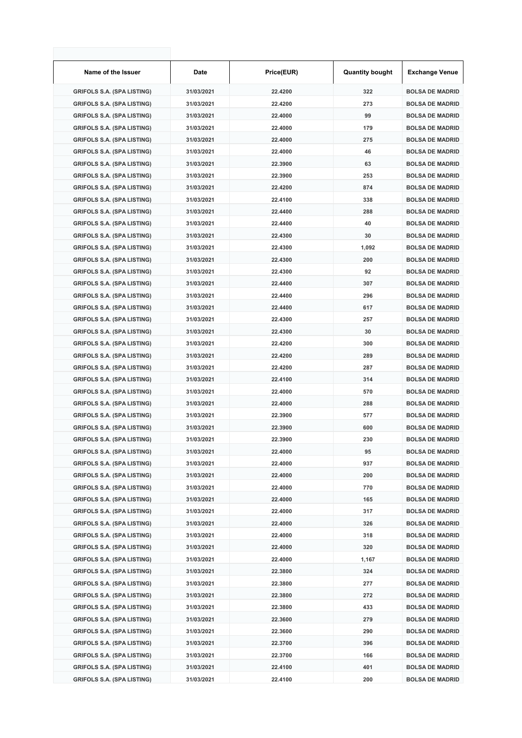| Name of the Issuer                                              | Date       | Price(EUR)         | <b>Quantity bought</b> | <b>Exchange Venue</b>  |
|-----------------------------------------------------------------|------------|--------------------|------------------------|------------------------|
| <b>GRIFOLS S.A. (SPA LISTING)</b>                               | 31/03/2021 | 22.4200            | 322                    | <b>BOLSA DE MADRID</b> |
| <b>GRIFOLS S.A. (SPA LISTING)</b>                               | 31/03/2021 | 22.4200            | 273                    | <b>BOLSA DE MADRID</b> |
| <b>GRIFOLS S.A. (SPA LISTING)</b>                               | 31/03/2021 | 22.4000            | 99                     | <b>BOLSA DE MADRID</b> |
| <b>GRIFOLS S.A. (SPA LISTING)</b>                               | 31/03/2021 | 22.4000            | 179                    | <b>BOLSA DE MADRID</b> |
| <b>GRIFOLS S.A. (SPA LISTING)</b>                               | 31/03/2021 | 22.4000            | 275                    | <b>BOLSA DE MADRID</b> |
| <b>GRIFOLS S.A. (SPA LISTING)</b>                               | 31/03/2021 | 22.4000            | 46                     | <b>BOLSA DE MADRID</b> |
| <b>GRIFOLS S.A. (SPA LISTING)</b>                               | 31/03/2021 | 22.3900            | 63                     | <b>BOLSA DE MADRID</b> |
| <b>GRIFOLS S.A. (SPA LISTING)</b>                               | 31/03/2021 | 22.3900            | 253                    | <b>BOLSA DE MADRID</b> |
| <b>GRIFOLS S.A. (SPA LISTING)</b>                               | 31/03/2021 | 22.4200            | 874                    | <b>BOLSA DE MADRID</b> |
| <b>GRIFOLS S.A. (SPA LISTING)</b>                               | 31/03/2021 | 22.4100            | 338                    | <b>BOLSA DE MADRID</b> |
| <b>GRIFOLS S.A. (SPA LISTING)</b>                               | 31/03/2021 | 22.4400            | 288                    | <b>BOLSA DE MADRID</b> |
| <b>GRIFOLS S.A. (SPA LISTING)</b>                               | 31/03/2021 | 22.4400            | 40                     | <b>BOLSA DE MADRID</b> |
| <b>GRIFOLS S.A. (SPA LISTING)</b>                               | 31/03/2021 | 22.4300            | 30                     | <b>BOLSA DE MADRID</b> |
| <b>GRIFOLS S.A. (SPA LISTING)</b>                               | 31/03/2021 | 22.4300            | 1,092                  | <b>BOLSA DE MADRID</b> |
| <b>GRIFOLS S.A. (SPA LISTING)</b>                               | 31/03/2021 | 22.4300            | 200                    | <b>BOLSA DE MADRID</b> |
| <b>GRIFOLS S.A. (SPA LISTING)</b>                               | 31/03/2021 | 22.4300            | 92                     | <b>BOLSA DE MADRID</b> |
| <b>GRIFOLS S.A. (SPA LISTING)</b>                               | 31/03/2021 | 22.4400            | 307                    | <b>BOLSA DE MADRID</b> |
| <b>GRIFOLS S.A. (SPA LISTING)</b>                               | 31/03/2021 | 22.4400            | 296                    | <b>BOLSA DE MADRID</b> |
| <b>GRIFOLS S.A. (SPA LISTING)</b>                               | 31/03/2021 | 22.4400            | 617                    | <b>BOLSA DE MADRID</b> |
| <b>GRIFOLS S.A. (SPA LISTING)</b>                               | 31/03/2021 | 22.4300            | 257                    | <b>BOLSA DE MADRID</b> |
| <b>GRIFOLS S.A. (SPA LISTING)</b>                               | 31/03/2021 | 22.4300            | 30                     | <b>BOLSA DE MADRID</b> |
| <b>GRIFOLS S.A. (SPA LISTING)</b>                               | 31/03/2021 | 22.4200            | 300                    | <b>BOLSA DE MADRID</b> |
| <b>GRIFOLS S.A. (SPA LISTING)</b>                               | 31/03/2021 | 22.4200            | 289                    | <b>BOLSA DE MADRID</b> |
| <b>GRIFOLS S.A. (SPA LISTING)</b>                               | 31/03/2021 | 22.4200            | 287                    | <b>BOLSA DE MADRID</b> |
| <b>GRIFOLS S.A. (SPA LISTING)</b>                               | 31/03/2021 | 22.4100            | 314                    | <b>BOLSA DE MADRID</b> |
| <b>GRIFOLS S.A. (SPA LISTING)</b>                               | 31/03/2021 | 22.4000            | 570                    | <b>BOLSA DE MADRID</b> |
| <b>GRIFOLS S.A. (SPA LISTING)</b>                               | 31/03/2021 | 22.4000            | 288                    | <b>BOLSA DE MADRID</b> |
| <b>GRIFOLS S.A. (SPA LISTING)</b>                               | 31/03/2021 | 22.3900            | 577                    | <b>BOLSA DE MADRID</b> |
| <b>GRIFOLS S.A. (SPA LISTING)</b>                               | 31/03/2021 | 22.3900            | 600                    | <b>BOLSA DE MADRID</b> |
| <b>GRIFOLS S.A. (SPA LISTING)</b>                               | 31/03/2021 | 22.3900            | 230                    | <b>BOLSA DE MADRID</b> |
|                                                                 | 31/03/2021 |                    |                        | <b>BOLSA DE MADRID</b> |
| GRIFOLS S.A. (SPA LISTING)<br><b>GRIFOLS S.A. (SPA LISTING)</b> | 31/03/2021 | 22.4000<br>22.4000 | 95<br>937              | <b>BOLSA DE MADRID</b> |
| <b>GRIFOLS S.A. (SPA LISTING)</b>                               | 31/03/2021 | 22.4000            | 200                    | <b>BOLSA DE MADRID</b> |
| <b>GRIFOLS S.A. (SPA LISTING)</b>                               | 31/03/2021 | 22.4000            | 770                    | <b>BOLSA DE MADRID</b> |
|                                                                 |            | 22.4000            |                        |                        |
| <b>GRIFOLS S.A. (SPA LISTING)</b>                               | 31/03/2021 | 22.4000            | 165<br>317             | <b>BOLSA DE MADRID</b> |
| <b>GRIFOLS S.A. (SPA LISTING)</b>                               | 31/03/2021 |                    |                        | <b>BOLSA DE MADRID</b> |
| <b>GRIFOLS S.A. (SPA LISTING)</b>                               | 31/03/2021 | 22.4000            | 326                    | <b>BOLSA DE MADRID</b> |
| <b>GRIFOLS S.A. (SPA LISTING)</b>                               | 31/03/2021 | 22.4000            | 318                    | <b>BOLSA DE MADRID</b> |
| <b>GRIFOLS S.A. (SPA LISTING)</b>                               | 31/03/2021 | 22.4000            | 320                    | <b>BOLSA DE MADRID</b> |
| <b>GRIFOLS S.A. (SPA LISTING)</b>                               | 31/03/2021 | 22.4000            | 1,167                  | <b>BOLSA DE MADRID</b> |
| <b>GRIFOLS S.A. (SPA LISTING)</b>                               | 31/03/2021 | 22.3800            | 324                    | <b>BOLSA DE MADRID</b> |
| <b>GRIFOLS S.A. (SPA LISTING)</b>                               | 31/03/2021 | 22.3800            | 277                    | <b>BOLSA DE MADRID</b> |
| <b>GRIFOLS S.A. (SPA LISTING)</b>                               | 31/03/2021 | 22.3800            | 272                    | <b>BOLSA DE MADRID</b> |
| <b>GRIFOLS S.A. (SPA LISTING)</b>                               | 31/03/2021 | 22.3800            | 433                    | <b>BOLSA DE MADRID</b> |
| <b>GRIFOLS S.A. (SPA LISTING)</b>                               | 31/03/2021 | 22.3600            | 279                    | <b>BOLSA DE MADRID</b> |
| <b>GRIFOLS S.A. (SPA LISTING)</b>                               | 31/03/2021 | 22.3600            | 290                    | <b>BOLSA DE MADRID</b> |
| <b>GRIFOLS S.A. (SPA LISTING)</b>                               | 31/03/2021 | 22.3700            | 396                    | <b>BOLSA DE MADRID</b> |
| <b>GRIFOLS S.A. (SPA LISTING)</b>                               | 31/03/2021 | 22.3700            | 166                    | <b>BOLSA DE MADRID</b> |
| <b>GRIFOLS S.A. (SPA LISTING)</b>                               | 31/03/2021 | 22.4100            | 401                    | <b>BOLSA DE MADRID</b> |
| <b>GRIFOLS S.A. (SPA LISTING)</b>                               | 31/03/2021 | 22.4100            | 200                    | <b>BOLSA DE MADRID</b> |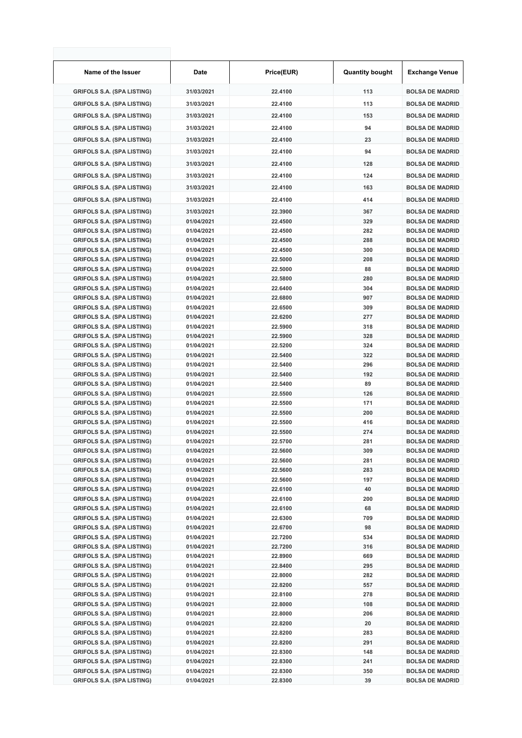| Name of the Issuer                                                     | Date                     | Price(EUR)         | <b>Quantity bought</b> | <b>Exchange Venue</b>                            |
|------------------------------------------------------------------------|--------------------------|--------------------|------------------------|--------------------------------------------------|
| <b>GRIFOLS S.A. (SPA LISTING)</b>                                      | 31/03/2021               | 22.4100            | 113                    | <b>BOLSA DE MADRID</b>                           |
| <b>GRIFOLS S.A. (SPA LISTING)</b>                                      | 31/03/2021               | 22.4100            | 113                    | <b>BOLSA DE MADRID</b>                           |
| <b>GRIFOLS S.A. (SPA LISTING)</b>                                      | 31/03/2021               | 22.4100            | 153                    | <b>BOLSA DE MADRID</b>                           |
| <b>GRIFOLS S.A. (SPA LISTING)</b>                                      | 31/03/2021               | 22.4100            | 94                     | <b>BOLSA DE MADRID</b>                           |
| <b>GRIFOLS S.A. (SPA LISTING)</b>                                      | 31/03/2021               | 22.4100            | 23                     | <b>BOLSA DE MADRID</b>                           |
|                                                                        |                          |                    |                        |                                                  |
| <b>GRIFOLS S.A. (SPA LISTING)</b>                                      | 31/03/2021               | 22.4100            | 94                     | <b>BOLSA DE MADRID</b>                           |
| <b>GRIFOLS S.A. (SPA LISTING)</b>                                      | 31/03/2021               | 22.4100            | 128                    | <b>BOLSA DE MADRID</b>                           |
| <b>GRIFOLS S.A. (SPA LISTING)</b>                                      | 31/03/2021               | 22.4100            | 124                    | <b>BOLSA DE MADRID</b>                           |
| <b>GRIFOLS S.A. (SPA LISTING)</b>                                      | 31/03/2021               | 22.4100            | 163                    | <b>BOLSA DE MADRID</b>                           |
| <b>GRIFOLS S.A. (SPA LISTING)</b>                                      | 31/03/2021               | 22.4100            | 414                    | <b>BOLSA DE MADRID</b>                           |
| <b>GRIFOLS S.A. (SPA LISTING)</b>                                      | 31/03/2021               | 22.3900            | 367                    | <b>BOLSA DE MADRID</b>                           |
| <b>GRIFOLS S.A. (SPA LISTING)</b>                                      | 01/04/2021               | 22.4500            | 329                    | <b>BOLSA DE MADRID</b>                           |
| <b>GRIFOLS S.A. (SPA LISTING)</b>                                      | 01/04/2021               | 22.4500            | 282                    | <b>BOLSA DE MADRID</b>                           |
| <b>GRIFOLS S.A. (SPA LISTING)</b>                                      | 01/04/2021               | 22.4500            | 288                    | <b>BOLSA DE MADRID</b>                           |
| <b>GRIFOLS S.A. (SPA LISTING)</b>                                      | 01/04/2021               | 22.4500            | 300                    | <b>BOLSA DE MADRID</b>                           |
| <b>GRIFOLS S.A. (SPA LISTING)</b><br><b>GRIFOLS S.A. (SPA LISTING)</b> | 01/04/2021<br>01/04/2021 | 22.5000<br>22.5000 | 208<br>88              | <b>BOLSA DE MADRID</b><br><b>BOLSA DE MADRID</b> |
| <b>GRIFOLS S.A. (SPA LISTING)</b>                                      | 01/04/2021               | 22.5800            | 280                    | <b>BOLSA DE MADRID</b>                           |
| <b>GRIFOLS S.A. (SPA LISTING)</b>                                      | 01/04/2021               | 22.6400            | 304                    | <b>BOLSA DE MADRID</b>                           |
| <b>GRIFOLS S.A. (SPA LISTING)</b>                                      | 01/04/2021               | 22.6800            | 907                    | <b>BOLSA DE MADRID</b>                           |
| <b>GRIFOLS S.A. (SPA LISTING)</b>                                      | 01/04/2021               | 22.6500            | 309                    | <b>BOLSA DE MADRID</b>                           |
| <b>GRIFOLS S.A. (SPA LISTING)</b>                                      | 01/04/2021               | 22.6200            | 277                    | <b>BOLSA DE MADRID</b>                           |
| <b>GRIFOLS S.A. (SPA LISTING)</b>                                      | 01/04/2021               | 22.5900            | 318                    | <b>BOLSA DE MADRID</b>                           |
| <b>GRIFOLS S.A. (SPA LISTING)</b>                                      | 01/04/2021               | 22.5900            | 328                    | <b>BOLSA DE MADRID</b>                           |
| <b>GRIFOLS S.A. (SPA LISTING)</b>                                      | 01/04/2021               | 22.5200            | 324                    | <b>BOLSA DE MADRID</b>                           |
| <b>GRIFOLS S.A. (SPA LISTING)</b><br><b>GRIFOLS S.A. (SPA LISTING)</b> | 01/04/2021<br>01/04/2021 | 22.5400<br>22.5400 | 322<br>296             | <b>BOLSA DE MADRID</b><br><b>BOLSA DE MADRID</b> |
| <b>GRIFOLS S.A. (SPA LISTING)</b>                                      | 01/04/2021               | 22.5400            | 192                    | <b>BOLSA DE MADRID</b>                           |
| <b>GRIFOLS S.A. (SPA LISTING)</b>                                      | 01/04/2021               | 22.5400            | 89                     | <b>BOLSA DE MADRID</b>                           |
| <b>GRIFOLS S.A. (SPA LISTING)</b>                                      | 01/04/2021               | 22.5500            | 126                    | <b>BOLSA DE MADRID</b>                           |
| <b>GRIFOLS S.A. (SPA LISTING)</b>                                      | 01/04/2021               | 22.5500            | 171                    | <b>BOLSA DE MADRID</b>                           |
| <b>GRIFOLS S.A. (SPA LISTING)</b>                                      | 01/04/2021               | 22.5500            | 200                    | <b>BOLSA DE MADRID</b>                           |
| <b>GRIFOLS S.A. (SPA LISTING)</b>                                      | 01/04/2021               | 22.5500            | 416                    | <b>BOLSA DE MADRID</b>                           |
| <b>GRIFOLS S.A. (SPA LISTING)</b>                                      | 01/04/2021               | 22.5500            | 274                    | <b>BOLSA DE MADRID</b>                           |
| <b>GRIFOLS S.A. (SPA LISTING)</b><br><b>GRIFOLS S.A. (SPA LISTING)</b> | 01/04/2021<br>01/04/2021 | 22.5700<br>22.5600 | 281<br>309             | <b>BOLSA DE MADRID</b><br><b>BOLSA DE MADRID</b> |
| <b>GRIFOLS S.A. (SPA LISTING)</b>                                      | 01/04/2021               | 22.5600            | 281                    | <b>BOLSA DE MADRID</b>                           |
| <b>GRIFOLS S.A. (SPA LISTING)</b>                                      | 01/04/2021               | 22.5600            | 283                    | <b>BOLSA DE MADRID</b>                           |
| <b>GRIFOLS S.A. (SPA LISTING)</b>                                      | 01/04/2021               | 22.5600            | 197                    | <b>BOLSA DE MADRID</b>                           |
| <b>GRIFOLS S.A. (SPA LISTING)</b>                                      | 01/04/2021               | 22.6100            | 40                     | <b>BOLSA DE MADRID</b>                           |
| <b>GRIFOLS S.A. (SPA LISTING)</b>                                      | 01/04/2021               | 22.6100            | 200                    | <b>BOLSA DE MADRID</b>                           |
| <b>GRIFOLS S.A. (SPA LISTING)</b>                                      | 01/04/2021               | 22.6100            | 68                     | <b>BOLSA DE MADRID</b>                           |
| <b>GRIFOLS S.A. (SPA LISTING)</b>                                      | 01/04/2021               | 22.6300            | 709                    | <b>BOLSA DE MADRID</b>                           |
| <b>GRIFOLS S.A. (SPA LISTING)</b><br><b>GRIFOLS S.A. (SPA LISTING)</b> | 01/04/2021<br>01/04/2021 | 22.6700<br>22.7200 | 98<br>534              | <b>BOLSA DE MADRID</b><br><b>BOLSA DE MADRID</b> |
| <b>GRIFOLS S.A. (SPA LISTING)</b>                                      | 01/04/2021               | 22.7200            | 316                    | <b>BOLSA DE MADRID</b>                           |
| <b>GRIFOLS S.A. (SPA LISTING)</b>                                      | 01/04/2021               | 22.8900            | 669                    | <b>BOLSA DE MADRID</b>                           |
| <b>GRIFOLS S.A. (SPA LISTING)</b>                                      | 01/04/2021               | 22.8400            | 295                    | <b>BOLSA DE MADRID</b>                           |
| <b>GRIFOLS S.A. (SPA LISTING)</b>                                      | 01/04/2021               | 22.8000            | 282                    | <b>BOLSA DE MADRID</b>                           |
| <b>GRIFOLS S.A. (SPA LISTING)</b>                                      | 01/04/2021               | 22.8200            | 557                    | <b>BOLSA DE MADRID</b>                           |
| <b>GRIFOLS S.A. (SPA LISTING)</b>                                      | 01/04/2021               | 22.8100            | 278                    | <b>BOLSA DE MADRID</b>                           |
| <b>GRIFOLS S.A. (SPA LISTING)</b>                                      | 01/04/2021               | 22.8000            | 108                    | <b>BOLSA DE MADRID</b>                           |
| <b>GRIFOLS S.A. (SPA LISTING)</b><br><b>GRIFOLS S.A. (SPA LISTING)</b> | 01/04/2021<br>01/04/2021 | 22.8000<br>22.8200 | 206<br>20              | <b>BOLSA DE MADRID</b><br><b>BOLSA DE MADRID</b> |
| <b>GRIFOLS S.A. (SPA LISTING)</b>                                      | 01/04/2021               | 22.8200            | 283                    | <b>BOLSA DE MADRID</b>                           |
| <b>GRIFOLS S.A. (SPA LISTING)</b>                                      | 01/04/2021               | 22.8200            | 291                    | <b>BOLSA DE MADRID</b>                           |
| <b>GRIFOLS S.A. (SPA LISTING)</b>                                      | 01/04/2021               | 22.8300            | 148                    | <b>BOLSA DE MADRID</b>                           |
| <b>GRIFOLS S.A. (SPA LISTING)</b>                                      | 01/04/2021               | 22.8300            | 241                    | <b>BOLSA DE MADRID</b>                           |
| <b>GRIFOLS S.A. (SPA LISTING)</b>                                      | 01/04/2021               | 22.8300            | 350                    | <b>BOLSA DE MADRID</b>                           |
| <b>GRIFOLS S.A. (SPA LISTING)</b>                                      | 01/04/2021               | 22.8300            | 39                     | <b>BOLSA DE MADRID</b>                           |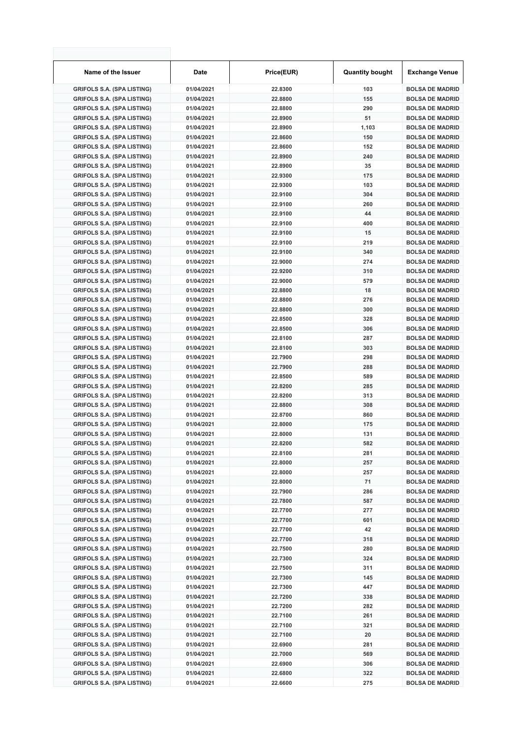| Name of the Issuer                | Date       | Price(EUR) | <b>Quantity bought</b> | <b>Exchange Venue</b>  |
|-----------------------------------|------------|------------|------------------------|------------------------|
| <b>GRIFOLS S.A. (SPA LISTING)</b> | 01/04/2021 | 22.8300    | 103                    | <b>BOLSA DE MADRID</b> |
| <b>GRIFOLS S.A. (SPA LISTING)</b> | 01/04/2021 | 22.8800    | 155                    | <b>BOLSA DE MADRID</b> |
| <b>GRIFOLS S.A. (SPA LISTING)</b> | 01/04/2021 | 22.8800    | 290                    | <b>BOLSA DE MADRID</b> |
| <b>GRIFOLS S.A. (SPA LISTING)</b> | 01/04/2021 | 22.8900    | 51                     | <b>BOLSA DE MADRID</b> |
| <b>GRIFOLS S.A. (SPA LISTING)</b> | 01/04/2021 | 22.8900    | 1,103                  | <b>BOLSA DE MADRID</b> |
| <b>GRIFOLS S.A. (SPA LISTING)</b> | 01/04/2021 | 22.8600    | 150                    | <b>BOLSA DE MADRID</b> |
| <b>GRIFOLS S.A. (SPA LISTING)</b> | 01/04/2021 | 22.8600    | 152                    | <b>BOLSA DE MADRID</b> |
| <b>GRIFOLS S.A. (SPA LISTING)</b> | 01/04/2021 | 22.8900    | 240                    | <b>BOLSA DE MADRID</b> |
| <b>GRIFOLS S.A. (SPA LISTING)</b> | 01/04/2021 | 22.8900    | 35                     | <b>BOLSA DE MADRID</b> |
| <b>GRIFOLS S.A. (SPA LISTING)</b> | 01/04/2021 | 22.9300    | 175                    | <b>BOLSA DE MADRID</b> |
| <b>GRIFOLS S.A. (SPA LISTING)</b> | 01/04/2021 | 22.9300    | 103                    | <b>BOLSA DE MADRID</b> |
| <b>GRIFOLS S.A. (SPA LISTING)</b> | 01/04/2021 | 22.9100    | 304                    | <b>BOLSA DE MADRID</b> |
| <b>GRIFOLS S.A. (SPA LISTING)</b> | 01/04/2021 | 22.9100    | 260                    | <b>BOLSA DE MADRID</b> |
| <b>GRIFOLS S.A. (SPA LISTING)</b> | 01/04/2021 | 22.9100    | 44                     | <b>BOLSA DE MADRID</b> |
| <b>GRIFOLS S.A. (SPA LISTING)</b> | 01/04/2021 | 22.9100    | 400                    | <b>BOLSA DE MADRID</b> |
| <b>GRIFOLS S.A. (SPA LISTING)</b> | 01/04/2021 | 22.9100    | 15                     | <b>BOLSA DE MADRID</b> |
| <b>GRIFOLS S.A. (SPA LISTING)</b> | 01/04/2021 | 22.9100    | 219                    | <b>BOLSA DE MADRID</b> |
| <b>GRIFOLS S.A. (SPA LISTING)</b> | 01/04/2021 | 22.9100    | 340                    | <b>BOLSA DE MADRID</b> |
| <b>GRIFOLS S.A. (SPA LISTING)</b> | 01/04/2021 | 22.9000    | 274                    | <b>BOLSA DE MADRID</b> |
| <b>GRIFOLS S.A. (SPA LISTING)</b> | 01/04/2021 | 22.9200    | 310                    | <b>BOLSA DE MADRID</b> |
| <b>GRIFOLS S.A. (SPA LISTING)</b> | 01/04/2021 | 22.9000    | 579                    | <b>BOLSA DE MADRID</b> |
|                                   | 01/04/2021 | 22.8800    | 18                     | <b>BOLSA DE MADRID</b> |
| <b>GRIFOLS S.A. (SPA LISTING)</b> |            |            |                        |                        |
| <b>GRIFOLS S.A. (SPA LISTING)</b> | 01/04/2021 | 22.8800    | 276                    | <b>BOLSA DE MADRID</b> |
| <b>GRIFOLS S.A. (SPA LISTING)</b> | 01/04/2021 | 22.8800    | 300                    | <b>BOLSA DE MADRID</b> |
| <b>GRIFOLS S.A. (SPA LISTING)</b> | 01/04/2021 | 22.8500    | 328                    | <b>BOLSA DE MADRID</b> |
| <b>GRIFOLS S.A. (SPA LISTING)</b> | 01/04/2021 | 22.8500    | 306                    | <b>BOLSA DE MADRID</b> |
| <b>GRIFOLS S.A. (SPA LISTING)</b> | 01/04/2021 | 22.8100    | 287                    | <b>BOLSA DE MADRID</b> |
| <b>GRIFOLS S.A. (SPA LISTING)</b> | 01/04/2021 | 22.8100    | 303                    | <b>BOLSA DE MADRID</b> |
| <b>GRIFOLS S.A. (SPA LISTING)</b> | 01/04/2021 | 22.7900    | 298                    | <b>BOLSA DE MADRID</b> |
| <b>GRIFOLS S.A. (SPA LISTING)</b> | 01/04/2021 | 22.7900    | 288                    | <b>BOLSA DE MADRID</b> |
| <b>GRIFOLS S.A. (SPA LISTING)</b> | 01/04/2021 | 22.8500    | 589                    | <b>BOLSA DE MADRID</b> |
| <b>GRIFOLS S.A. (SPA LISTING)</b> | 01/04/2021 | 22.8200    | 285                    | <b>BOLSA DE MADRID</b> |
| <b>GRIFOLS S.A. (SPA LISTING)</b> | 01/04/2021 | 22.8200    | 313                    | <b>BOLSA DE MADRID</b> |
| <b>GRIFOLS S.A. (SPA LISTING)</b> | 01/04/2021 | 22.8800    | 308                    | <b>BOLSA DE MADRID</b> |
| <b>GRIFOLS S.A. (SPA LISTING)</b> | 01/04/2021 | 22.8700    | 860                    | <b>BOLSA DE MADRID</b> |
| <b>GRIFOLS S.A. (SPA LISTING)</b> | 01/04/2021 | 22.8000    | 175                    | <b>BOLSA DE MADRID</b> |
| <b>GRIFOLS S.A. (SPA LISTING)</b> | 01/04/2021 | 22.8000    | 131                    | <b>BOLSA DE MADRID</b> |
| <b>GRIFOLS S.A. (SPA LISTING)</b> | 01/04/2021 | 22.8200    | 582                    | <b>BOLSA DE MADRID</b> |
| <b>GRIFOLS S.A. (SPA LISTING)</b> | 01/04/2021 | 22.8100    | 281                    | <b>BOLSA DE MADRID</b> |
| <b>GRIFOLS S.A. (SPA LISTING)</b> | 01/04/2021 | 22.8000    | 257                    | <b>BOLSA DE MADRID</b> |
| <b>GRIFOLS S.A. (SPA LISTING)</b> | 01/04/2021 | 22.8000    | 257                    | <b>BOLSA DE MADRID</b> |
| <b>GRIFOLS S.A. (SPA LISTING)</b> | 01/04/2021 | 22.8000    | 71                     | <b>BOLSA DE MADRID</b> |
| <b>GRIFOLS S.A. (SPA LISTING)</b> | 01/04/2021 | 22.7900    | 286                    | <b>BOLSA DE MADRID</b> |
| <b>GRIFOLS S.A. (SPA LISTING)</b> | 01/04/2021 | 22.7800    | 587                    | <b>BOLSA DE MADRID</b> |
| <b>GRIFOLS S.A. (SPA LISTING)</b> | 01/04/2021 | 22.7700    | 277                    | <b>BOLSA DE MADRID</b> |
| <b>GRIFOLS S.A. (SPA LISTING)</b> | 01/04/2021 | 22.7700    | 601                    | <b>BOLSA DE MADRID</b> |
| <b>GRIFOLS S.A. (SPA LISTING)</b> | 01/04/2021 | 22.7700    | 42                     | <b>BOLSA DE MADRID</b> |
| <b>GRIFOLS S.A. (SPA LISTING)</b> | 01/04/2021 | 22.7700    | 318                    | <b>BOLSA DE MADRID</b> |
| <b>GRIFOLS S.A. (SPA LISTING)</b> | 01/04/2021 | 22.7500    | 280                    | <b>BOLSA DE MADRID</b> |
| <b>GRIFOLS S.A. (SPA LISTING)</b> | 01/04/2021 | 22.7300    | 324                    | <b>BOLSA DE MADRID</b> |
| <b>GRIFOLS S.A. (SPA LISTING)</b> | 01/04/2021 | 22.7500    | 311                    | <b>BOLSA DE MADRID</b> |
| <b>GRIFOLS S.A. (SPA LISTING)</b> | 01/04/2021 | 22.7300    | 145                    | <b>BOLSA DE MADRID</b> |
| <b>GRIFOLS S.A. (SPA LISTING)</b> | 01/04/2021 | 22.7300    | 447                    | <b>BOLSA DE MADRID</b> |
| <b>GRIFOLS S.A. (SPA LISTING)</b> | 01/04/2021 | 22.7200    | 338                    | <b>BOLSA DE MADRID</b> |
| <b>GRIFOLS S.A. (SPA LISTING)</b> | 01/04/2021 | 22.7200    | 282                    | <b>BOLSA DE MADRID</b> |
| <b>GRIFOLS S.A. (SPA LISTING)</b> | 01/04/2021 | 22.7100    | 261                    | <b>BOLSA DE MADRID</b> |
| <b>GRIFOLS S.A. (SPA LISTING)</b> | 01/04/2021 | 22.7100    | 321                    | <b>BOLSA DE MADRID</b> |
| <b>GRIFOLS S.A. (SPA LISTING)</b> | 01/04/2021 | 22.7100    | 20                     | <b>BOLSA DE MADRID</b> |
| <b>GRIFOLS S.A. (SPA LISTING)</b> | 01/04/2021 | 22.6900    | 281                    | <b>BOLSA DE MADRID</b> |
| <b>GRIFOLS S.A. (SPA LISTING)</b> | 01/04/2021 | 22.7000    | 569                    | <b>BOLSA DE MADRID</b> |
| <b>GRIFOLS S.A. (SPA LISTING)</b> | 01/04/2021 | 22.6900    | 306                    | <b>BOLSA DE MADRID</b> |
| <b>GRIFOLS S.A. (SPA LISTING)</b> | 01/04/2021 | 22.6800    | 322                    | <b>BOLSA DE MADRID</b> |
| <b>GRIFOLS S.A. (SPA LISTING)</b> | 01/04/2021 | 22.6600    | 275                    | <b>BOLSA DE MADRID</b> |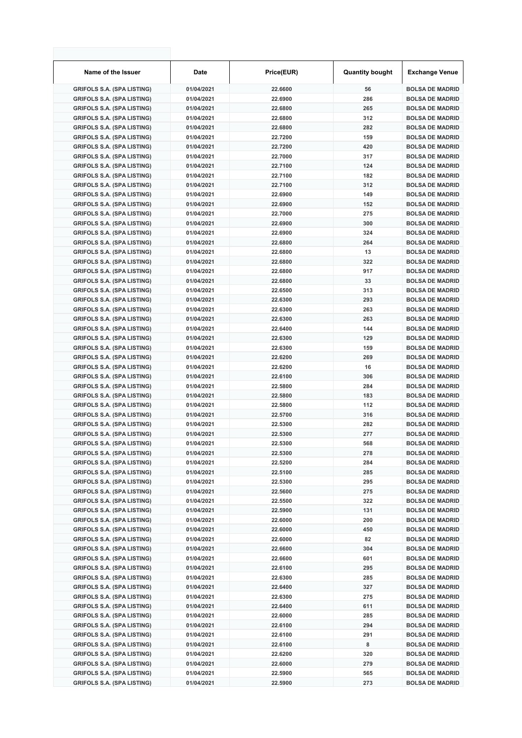| Name of the Issuer                | Date       | Price(EUR) | <b>Quantity bought</b> | <b>Exchange Venue</b>  |
|-----------------------------------|------------|------------|------------------------|------------------------|
| <b>GRIFOLS S.A. (SPA LISTING)</b> | 01/04/2021 | 22.6600    | 56                     | <b>BOLSA DE MADRID</b> |
| <b>GRIFOLS S.A. (SPA LISTING)</b> | 01/04/2021 | 22.6900    | 286                    | <b>BOLSA DE MADRID</b> |
| <b>GRIFOLS S.A. (SPA LISTING)</b> | 01/04/2021 | 22.6800    | 265                    | <b>BOLSA DE MADRID</b> |
| <b>GRIFOLS S.A. (SPA LISTING)</b> | 01/04/2021 | 22.6800    | 312                    | <b>BOLSA DE MADRID</b> |
| <b>GRIFOLS S.A. (SPA LISTING)</b> | 01/04/2021 | 22.6800    | 282                    | <b>BOLSA DE MADRID</b> |
| <b>GRIFOLS S.A. (SPA LISTING)</b> | 01/04/2021 | 22.7200    | 159                    | <b>BOLSA DE MADRID</b> |
| <b>GRIFOLS S.A. (SPA LISTING)</b> | 01/04/2021 | 22.7200    | 420                    | <b>BOLSA DE MADRID</b> |
| <b>GRIFOLS S.A. (SPA LISTING)</b> | 01/04/2021 | 22.7000    | 317                    | <b>BOLSA DE MADRID</b> |
| <b>GRIFOLS S.A. (SPA LISTING)</b> | 01/04/2021 | 22.7100    | 124                    | <b>BOLSA DE MADRID</b> |
| <b>GRIFOLS S.A. (SPA LISTING)</b> | 01/04/2021 | 22.7100    | 182                    | <b>BOLSA DE MADRID</b> |
| <b>GRIFOLS S.A. (SPA LISTING)</b> | 01/04/2021 | 22.7100    | 312                    | <b>BOLSA DE MADRID</b> |
| <b>GRIFOLS S.A. (SPA LISTING)</b> | 01/04/2021 | 22.6900    | 149                    | <b>BOLSA DE MADRID</b> |
| <b>GRIFOLS S.A. (SPA LISTING)</b> | 01/04/2021 | 22.6900    | 152                    | <b>BOLSA DE MADRID</b> |
| <b>GRIFOLS S.A. (SPA LISTING)</b> | 01/04/2021 | 22.7000    | 275                    | <b>BOLSA DE MADRID</b> |
| <b>GRIFOLS S.A. (SPA LISTING)</b> | 01/04/2021 | 22.6900    | 300                    | <b>BOLSA DE MADRID</b> |
|                                   | 01/04/2021 |            |                        | <b>BOLSA DE MADRID</b> |
| <b>GRIFOLS S.A. (SPA LISTING)</b> |            | 22.6900    | 324                    |                        |
| <b>GRIFOLS S.A. (SPA LISTING)</b> | 01/04/2021 | 22.6800    | 264                    | <b>BOLSA DE MADRID</b> |
| <b>GRIFOLS S.A. (SPA LISTING)</b> | 01/04/2021 | 22.6800    | 13                     | <b>BOLSA DE MADRID</b> |
| <b>GRIFOLS S.A. (SPA LISTING)</b> | 01/04/2021 | 22.6800    | 322                    | <b>BOLSA DE MADRID</b> |
| <b>GRIFOLS S.A. (SPA LISTING)</b> | 01/04/2021 | 22.6800    | 917                    | <b>BOLSA DE MADRID</b> |
| <b>GRIFOLS S.A. (SPA LISTING)</b> | 01/04/2021 | 22.6800    | 33                     | <b>BOLSA DE MADRID</b> |
| <b>GRIFOLS S.A. (SPA LISTING)</b> | 01/04/2021 | 22.6500    | 313                    | <b>BOLSA DE MADRID</b> |
| <b>GRIFOLS S.A. (SPA LISTING)</b> | 01/04/2021 | 22.6300    | 293                    | <b>BOLSA DE MADRID</b> |
| <b>GRIFOLS S.A. (SPA LISTING)</b> | 01/04/2021 | 22.6300    | 263                    | <b>BOLSA DE MADRID</b> |
| <b>GRIFOLS S.A. (SPA LISTING)</b> | 01/04/2021 | 22.6300    | 263                    | <b>BOLSA DE MADRID</b> |
| <b>GRIFOLS S.A. (SPA LISTING)</b> | 01/04/2021 | 22.6400    | 144                    | <b>BOLSA DE MADRID</b> |
| <b>GRIFOLS S.A. (SPA LISTING)</b> | 01/04/2021 | 22.6300    | 129                    | <b>BOLSA DE MADRID</b> |
| <b>GRIFOLS S.A. (SPA LISTING)</b> | 01/04/2021 | 22.6300    | 159                    | <b>BOLSA DE MADRID</b> |
| <b>GRIFOLS S.A. (SPA LISTING)</b> | 01/04/2021 | 22.6200    | 269                    | <b>BOLSA DE MADRID</b> |
| <b>GRIFOLS S.A. (SPA LISTING)</b> | 01/04/2021 | 22.6200    | 16                     | <b>BOLSA DE MADRID</b> |
| <b>GRIFOLS S.A. (SPA LISTING)</b> | 01/04/2021 | 22.6100    | 306                    | <b>BOLSA DE MADRID</b> |
| <b>GRIFOLS S.A. (SPA LISTING)</b> | 01/04/2021 | 22.5800    | 284                    | <b>BOLSA DE MADRID</b> |
| <b>GRIFOLS S.A. (SPA LISTING)</b> | 01/04/2021 | 22.5800    | 183                    | <b>BOLSA DE MADRID</b> |
| <b>GRIFOLS S.A. (SPA LISTING)</b> | 01/04/2021 | 22.5800    | 112                    | <b>BOLSA DE MADRID</b> |
| <b>GRIFOLS S.A. (SPA LISTING)</b> | 01/04/2021 | 22.5700    | 316                    | <b>BOLSA DE MADRID</b> |
| <b>GRIFOLS S.A. (SPA LISTING)</b> | 01/04/2021 | 22.5300    | 282                    | <b>BOLSA DE MADRID</b> |
| <b>GRIFOLS S.A. (SPA LISTING)</b> | 01/04/2021 | 22.5300    | 277                    | <b>BOLSA DE MADRID</b> |
| <b>GRIFOLS S.A. (SPA LISTING)</b> | 01/04/2021 | 22.5300    | 568                    | <b>BOLSA DE MADRID</b> |
| <b>GRIFOLS S.A. (SPA LISTING)</b> | 01/04/2021 | 22.5300    | 278                    | <b>BOLSA DE MADRID</b> |
| <b>GRIFOLS S.A. (SPA LISTING)</b> | 01/04/2021 | 22.5200    | 284                    | <b>BOLSA DE MADRID</b> |
| <b>GRIFOLS S.A. (SPA LISTING)</b> | 01/04/2021 | 22.5100    | 285                    | <b>BOLSA DE MADRID</b> |
| <b>GRIFOLS S.A. (SPA LISTING)</b> | 01/04/2021 | 22.5300    | 295                    | <b>BOLSA DE MADRID</b> |
| <b>GRIFOLS S.A. (SPA LISTING)</b> | 01/04/2021 | 22.5600    | 275                    | <b>BOLSA DE MADRID</b> |
| <b>GRIFOLS S.A. (SPA LISTING)</b> | 01/04/2021 | 22.5500    | 322                    | <b>BOLSA DE MADRID</b> |
| <b>GRIFOLS S.A. (SPA LISTING)</b> | 01/04/2021 | 22.5900    | 131                    | <b>BOLSA DE MADRID</b> |
| <b>GRIFOLS S.A. (SPA LISTING)</b> | 01/04/2021 | 22.6000    | 200                    | <b>BOLSA DE MADRID</b> |
| <b>GRIFOLS S.A. (SPA LISTING)</b> | 01/04/2021 | 22.6000    | 450                    | <b>BOLSA DE MADRID</b> |
| <b>GRIFOLS S.A. (SPA LISTING)</b> |            |            | 82                     |                        |
|                                   | 01/04/2021 | 22.6000    |                        | <b>BOLSA DE MADRID</b> |
| <b>GRIFOLS S.A. (SPA LISTING)</b> | 01/04/2021 | 22.6600    | 304                    | <b>BOLSA DE MADRID</b> |
| <b>GRIFOLS S.A. (SPA LISTING)</b> | 01/04/2021 | 22.6600    | 601                    | <b>BOLSA DE MADRID</b> |
| <b>GRIFOLS S.A. (SPA LISTING)</b> | 01/04/2021 | 22.6100    | 295                    | <b>BOLSA DE MADRID</b> |
| <b>GRIFOLS S.A. (SPA LISTING)</b> | 01/04/2021 | 22.6300    | 285                    | <b>BOLSA DE MADRID</b> |
| <b>GRIFOLS S.A. (SPA LISTING)</b> | 01/04/2021 | 22.6400    | 327                    | <b>BOLSA DE MADRID</b> |
| <b>GRIFOLS S.A. (SPA LISTING)</b> | 01/04/2021 | 22.6300    | 275                    | <b>BOLSA DE MADRID</b> |
| <b>GRIFOLS S.A. (SPA LISTING)</b> | 01/04/2021 | 22.6400    | 611                    | <b>BOLSA DE MADRID</b> |
| <b>GRIFOLS S.A. (SPA LISTING)</b> | 01/04/2021 | 22.6000    | 285                    | <b>BOLSA DE MADRID</b> |
| <b>GRIFOLS S.A. (SPA LISTING)</b> | 01/04/2021 | 22.6100    | 294                    | <b>BOLSA DE MADRID</b> |
| <b>GRIFOLS S.A. (SPA LISTING)</b> | 01/04/2021 | 22.6100    | 291                    | <b>BOLSA DE MADRID</b> |
| <b>GRIFOLS S.A. (SPA LISTING)</b> | 01/04/2021 | 22.6100    | 8                      | <b>BOLSA DE MADRID</b> |
| <b>GRIFOLS S.A. (SPA LISTING)</b> | 01/04/2021 | 22.6200    | 320                    | <b>BOLSA DE MADRID</b> |
| <b>GRIFOLS S.A. (SPA LISTING)</b> | 01/04/2021 | 22.6000    | 279                    | <b>BOLSA DE MADRID</b> |
| <b>GRIFOLS S.A. (SPA LISTING)</b> | 01/04/2021 | 22.5900    | 565                    | <b>BOLSA DE MADRID</b> |
| <b>GRIFOLS S.A. (SPA LISTING)</b> | 01/04/2021 | 22.5900    | 273                    | <b>BOLSA DE MADRID</b> |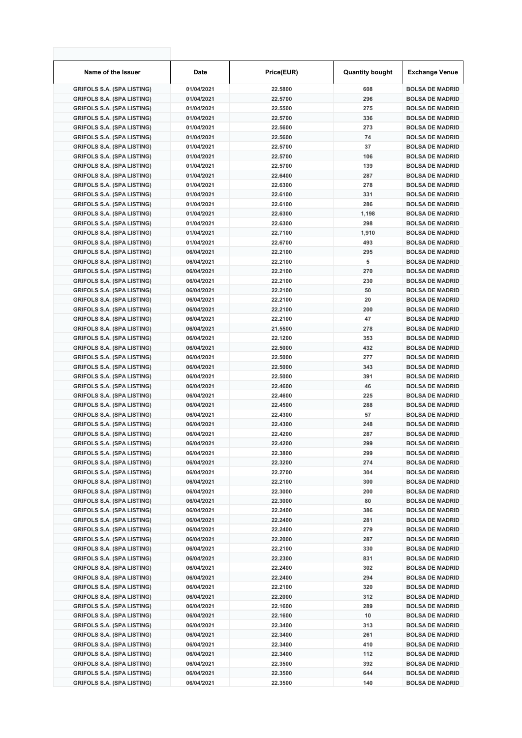| Name of the Issuer                | <b>Date</b> | Price(EUR) | <b>Quantity bought</b> | <b>Exchange Venue</b>  |
|-----------------------------------|-------------|------------|------------------------|------------------------|
| <b>GRIFOLS S.A. (SPA LISTING)</b> | 01/04/2021  | 22.5800    | 608                    | <b>BOLSA DE MADRID</b> |
| <b>GRIFOLS S.A. (SPA LISTING)</b> | 01/04/2021  | 22.5700    | 296                    | <b>BOLSA DE MADRID</b> |
| <b>GRIFOLS S.A. (SPA LISTING)</b> | 01/04/2021  | 22.5500    | 275                    | <b>BOLSA DE MADRID</b> |
| <b>GRIFOLS S.A. (SPA LISTING)</b> | 01/04/2021  | 22.5700    | 336                    | <b>BOLSA DE MADRID</b> |
| <b>GRIFOLS S.A. (SPA LISTING)</b> | 01/04/2021  | 22.5600    | 273                    | <b>BOLSA DE MADRID</b> |
| <b>GRIFOLS S.A. (SPA LISTING)</b> | 01/04/2021  | 22.5600    | 74                     | <b>BOLSA DE MADRID</b> |
| <b>GRIFOLS S.A. (SPA LISTING)</b> | 01/04/2021  | 22.5700    | 37                     | <b>BOLSA DE MADRID</b> |
| <b>GRIFOLS S.A. (SPA LISTING)</b> | 01/04/2021  | 22.5700    | 106                    | <b>BOLSA DE MADRID</b> |
| <b>GRIFOLS S.A. (SPA LISTING)</b> | 01/04/2021  | 22.5700    | 139                    | <b>BOLSA DE MADRID</b> |
| <b>GRIFOLS S.A. (SPA LISTING)</b> | 01/04/2021  | 22.6400    | 287                    | <b>BOLSA DE MADRID</b> |
| <b>GRIFOLS S.A. (SPA LISTING)</b> | 01/04/2021  | 22.6300    | 278                    | <b>BOLSA DE MADRID</b> |
| <b>GRIFOLS S.A. (SPA LISTING)</b> | 01/04/2021  | 22.6100    | 331                    | <b>BOLSA DE MADRID</b> |
| <b>GRIFOLS S.A. (SPA LISTING)</b> | 01/04/2021  | 22.6100    | 286                    | <b>BOLSA DE MADRID</b> |
| <b>GRIFOLS S.A. (SPA LISTING)</b> | 01/04/2021  | 22.6300    | 1,198                  | <b>BOLSA DE MADRID</b> |
| <b>GRIFOLS S.A. (SPA LISTING)</b> | 01/04/2021  | 22.6300    | 298                    | <b>BOLSA DE MADRID</b> |
| <b>GRIFOLS S.A. (SPA LISTING)</b> | 01/04/2021  | 22.7100    | 1,910                  | <b>BOLSA DE MADRID</b> |
| <b>GRIFOLS S.A. (SPA LISTING)</b> | 01/04/2021  | 22.6700    | 493                    | <b>BOLSA DE MADRID</b> |
| <b>GRIFOLS S.A. (SPA LISTING)</b> | 06/04/2021  | 22.2100    | 295                    | <b>BOLSA DE MADRID</b> |
| <b>GRIFOLS S.A. (SPA LISTING)</b> | 06/04/2021  | 22.2100    | 5                      | <b>BOLSA DE MADRID</b> |
| <b>GRIFOLS S.A. (SPA LISTING)</b> | 06/04/2021  | 22.2100    | 270                    | <b>BOLSA DE MADRID</b> |
| <b>GRIFOLS S.A. (SPA LISTING)</b> | 06/04/2021  | 22.2100    | 230                    | <b>BOLSA DE MADRID</b> |
| <b>GRIFOLS S.A. (SPA LISTING)</b> | 06/04/2021  | 22.2100    | 50                     | <b>BOLSA DE MADRID</b> |
| <b>GRIFOLS S.A. (SPA LISTING)</b> | 06/04/2021  | 22.2100    | 20                     | <b>BOLSA DE MADRID</b> |
| <b>GRIFOLS S.A. (SPA LISTING)</b> | 06/04/2021  | 22.2100    | 200                    | <b>BOLSA DE MADRID</b> |
| <b>GRIFOLS S.A. (SPA LISTING)</b> | 06/04/2021  | 22.2100    | 47                     | <b>BOLSA DE MADRID</b> |
| <b>GRIFOLS S.A. (SPA LISTING)</b> | 06/04/2021  | 21.5500    | 278                    | <b>BOLSA DE MADRID</b> |
| <b>GRIFOLS S.A. (SPA LISTING)</b> | 06/04/2021  | 22.1200    | 353                    | <b>BOLSA DE MADRID</b> |
| <b>GRIFOLS S.A. (SPA LISTING)</b> | 06/04/2021  | 22.5000    | 432                    | <b>BOLSA DE MADRID</b> |
| <b>GRIFOLS S.A. (SPA LISTING)</b> | 06/04/2021  | 22.5000    | 277                    | <b>BOLSA DE MADRID</b> |
| <b>GRIFOLS S.A. (SPA LISTING)</b> | 06/04/2021  | 22.5000    | 343                    | <b>BOLSA DE MADRID</b> |
| <b>GRIFOLS S.A. (SPA LISTING)</b> | 06/04/2021  | 22.5000    | 391                    | <b>BOLSA DE MADRID</b> |
| <b>GRIFOLS S.A. (SPA LISTING)</b> | 06/04/2021  | 22.4600    | 46                     | <b>BOLSA DE MADRID</b> |
| <b>GRIFOLS S.A. (SPA LISTING)</b> | 06/04/2021  | 22.4600    | 225                    | <b>BOLSA DE MADRID</b> |
| <b>GRIFOLS S.A. (SPA LISTING)</b> | 06/04/2021  | 22.4500    | 288                    | <b>BOLSA DE MADRID</b> |
| <b>GRIFOLS S.A. (SPA LISTING)</b> | 06/04/2021  | 22.4300    | 57                     | <b>BOLSA DE MADRID</b> |
| <b>GRIFOLS S.A. (SPA LISTING)</b> | 06/04/2021  | 22.4300    | 248                    | <b>BOLSA DE MADRID</b> |
| <b>GRIFOLS S.A. (SPA LISTING)</b> | 06/04/2021  | 22.4200    | 287                    | <b>BOLSA DE MADRID</b> |
| <b>GRIFOLS S.A. (SPA LISTING)</b> | 06/04/2021  | 22.4200    | 299                    | <b>BOLSA DE MADRID</b> |
| <b>GRIFOLS S.A. (SPA LISTING)</b> | 06/04/2021  | 22.3800    | 299                    | <b>BOLSA DE MADRID</b> |
| <b>GRIFOLS S.A. (SPA LISTING)</b> | 06/04/2021  | 22.3200    | 274                    | <b>BOLSA DE MADRID</b> |
| <b>GRIFOLS S.A. (SPA LISTING)</b> | 06/04/2021  | 22.2700    | 304                    | <b>BOLSA DE MADRID</b> |
| <b>GRIFOLS S.A. (SPA LISTING)</b> | 06/04/2021  | 22.2100    | 300                    | <b>BOLSA DE MADRID</b> |
| <b>GRIFOLS S.A. (SPA LISTING)</b> | 06/04/2021  | 22.3000    | 200                    | <b>BOLSA DE MADRID</b> |
| <b>GRIFOLS S.A. (SPA LISTING)</b> | 06/04/2021  | 22.3000    | 80                     | <b>BOLSA DE MADRID</b> |
| <b>GRIFOLS S.A. (SPA LISTING)</b> | 06/04/2021  | 22.2400    | 386                    | <b>BOLSA DE MADRID</b> |
| <b>GRIFOLS S.A. (SPA LISTING)</b> | 06/04/2021  | 22.2400    | 281                    | <b>BOLSA DE MADRID</b> |
| <b>GRIFOLS S.A. (SPA LISTING)</b> | 06/04/2021  | 22.2400    | 279                    | <b>BOLSA DE MADRID</b> |
| <b>GRIFOLS S.A. (SPA LISTING)</b> | 06/04/2021  | 22.2000    | 287                    | <b>BOLSA DE MADRID</b> |
| <b>GRIFOLS S.A. (SPA LISTING)</b> | 06/04/2021  | 22.2100    | 330                    | <b>BOLSA DE MADRID</b> |
| <b>GRIFOLS S.A. (SPA LISTING)</b> | 06/04/2021  | 22.2300    | 831                    | <b>BOLSA DE MADRID</b> |
| <b>GRIFOLS S.A. (SPA LISTING)</b> | 06/04/2021  | 22.2400    | 302                    | <b>BOLSA DE MADRID</b> |
| <b>GRIFOLS S.A. (SPA LISTING)</b> | 06/04/2021  | 22.2400    | 294                    | <b>BOLSA DE MADRID</b> |
| <b>GRIFOLS S.A. (SPA LISTING)</b> | 06/04/2021  | 22.2100    | 320                    | <b>BOLSA DE MADRID</b> |
| <b>GRIFOLS S.A. (SPA LISTING)</b> | 06/04/2021  | 22.2000    | 312                    | <b>BOLSA DE MADRID</b> |
| <b>GRIFOLS S.A. (SPA LISTING)</b> | 06/04/2021  | 22.1600    | 289                    | <b>BOLSA DE MADRID</b> |
| <b>GRIFOLS S.A. (SPA LISTING)</b> | 06/04/2021  | 22.1600    | 10                     | <b>BOLSA DE MADRID</b> |
| <b>GRIFOLS S.A. (SPA LISTING)</b> | 06/04/2021  | 22.3400    | 313                    | <b>BOLSA DE MADRID</b> |
| <b>GRIFOLS S.A. (SPA LISTING)</b> | 06/04/2021  | 22.3400    | 261                    | <b>BOLSA DE MADRID</b> |
| <b>GRIFOLS S.A. (SPA LISTING)</b> | 06/04/2021  | 22.3400    | 410                    | <b>BOLSA DE MADRID</b> |
| <b>GRIFOLS S.A. (SPA LISTING)</b> | 06/04/2021  | 22.3400    | 112                    | <b>BOLSA DE MADRID</b> |
| <b>GRIFOLS S.A. (SPA LISTING)</b> | 06/04/2021  | 22.3500    | 392                    | <b>BOLSA DE MADRID</b> |
| <b>GRIFOLS S.A. (SPA LISTING)</b> | 06/04/2021  | 22.3500    | 644                    | <b>BOLSA DE MADRID</b> |
| <b>GRIFOLS S.A. (SPA LISTING)</b> | 06/04/2021  | 22.3500    | 140                    | <b>BOLSA DE MADRID</b> |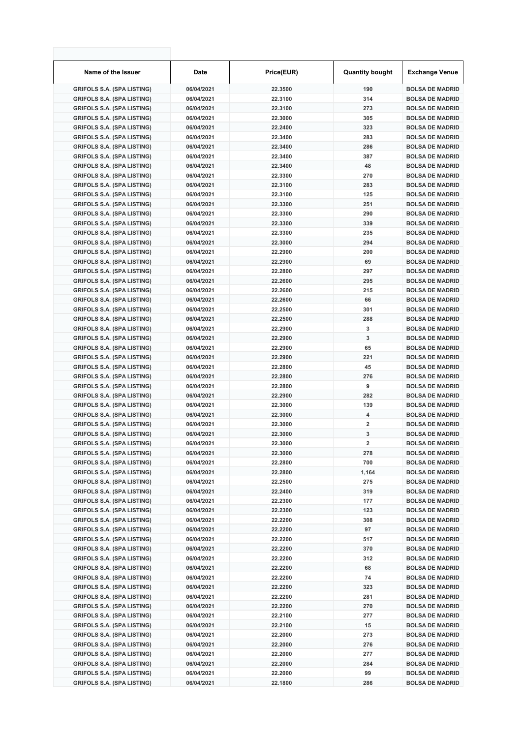| Name of the Issuer                | <b>Date</b> | Price(EUR) | <b>Quantity bought</b>  | <b>Exchange Venue</b>  |
|-----------------------------------|-------------|------------|-------------------------|------------------------|
| <b>GRIFOLS S.A. (SPA LISTING)</b> | 06/04/2021  | 22.3500    | 190                     | <b>BOLSA DE MADRID</b> |
| <b>GRIFOLS S.A. (SPA LISTING)</b> | 06/04/2021  | 22.3100    | 314                     | <b>BOLSA DE MADRID</b> |
| <b>GRIFOLS S.A. (SPA LISTING)</b> | 06/04/2021  | 22.3100    | 273                     | <b>BOLSA DE MADRID</b> |
| <b>GRIFOLS S.A. (SPA LISTING)</b> | 06/04/2021  | 22.3000    | 305                     | <b>BOLSA DE MADRID</b> |
| <b>GRIFOLS S.A. (SPA LISTING)</b> | 06/04/2021  | 22.2400    | 323                     | <b>BOLSA DE MADRID</b> |
| <b>GRIFOLS S.A. (SPA LISTING)</b> | 06/04/2021  | 22.3400    | 283                     | <b>BOLSA DE MADRID</b> |
| <b>GRIFOLS S.A. (SPA LISTING)</b> | 06/04/2021  | 22.3400    | 286                     | <b>BOLSA DE MADRID</b> |
| <b>GRIFOLS S.A. (SPA LISTING)</b> | 06/04/2021  | 22.3400    | 387                     | <b>BOLSA DE MADRID</b> |
| <b>GRIFOLS S.A. (SPA LISTING)</b> | 06/04/2021  | 22.3400    | 48                      | <b>BOLSA DE MADRID</b> |
| <b>GRIFOLS S.A. (SPA LISTING)</b> | 06/04/2021  | 22.3300    | 270                     | <b>BOLSA DE MADRID</b> |
| <b>GRIFOLS S.A. (SPA LISTING)</b> | 06/04/2021  | 22.3100    | 283                     | <b>BOLSA DE MADRID</b> |
| <b>GRIFOLS S.A. (SPA LISTING)</b> | 06/04/2021  | 22.3100    | 125                     | <b>BOLSA DE MADRID</b> |
| <b>GRIFOLS S.A. (SPA LISTING)</b> | 06/04/2021  | 22.3300    | 251                     | <b>BOLSA DE MADRID</b> |
| <b>GRIFOLS S.A. (SPA LISTING)</b> | 06/04/2021  | 22.3300    | 290                     | <b>BOLSA DE MADRID</b> |
| <b>GRIFOLS S.A. (SPA LISTING)</b> | 06/04/2021  | 22.3300    | 339                     | <b>BOLSA DE MADRID</b> |
| <b>GRIFOLS S.A. (SPA LISTING)</b> | 06/04/2021  | 22.3300    | 235                     | <b>BOLSA DE MADRID</b> |
| <b>GRIFOLS S.A. (SPA LISTING)</b> | 06/04/2021  | 22.3000    | 294                     | <b>BOLSA DE MADRID</b> |
| <b>GRIFOLS S.A. (SPA LISTING)</b> | 06/04/2021  | 22.2900    | 200                     | <b>BOLSA DE MADRID</b> |
| <b>GRIFOLS S.A. (SPA LISTING)</b> | 06/04/2021  | 22.2900    | 69                      | <b>BOLSA DE MADRID</b> |
| <b>GRIFOLS S.A. (SPA LISTING)</b> | 06/04/2021  | 22.2800    | 297                     | <b>BOLSA DE MADRID</b> |
| <b>GRIFOLS S.A. (SPA LISTING)</b> | 06/04/2021  | 22.2600    | 295                     | <b>BOLSA DE MADRID</b> |
| <b>GRIFOLS S.A. (SPA LISTING)</b> | 06/04/2021  | 22.2600    | 215                     | <b>BOLSA DE MADRID</b> |
| <b>GRIFOLS S.A. (SPA LISTING)</b> | 06/04/2021  | 22.2600    | 66                      | <b>BOLSA DE MADRID</b> |
| <b>GRIFOLS S.A. (SPA LISTING)</b> | 06/04/2021  | 22.2500    | 301                     | <b>BOLSA DE MADRID</b> |
| <b>GRIFOLS S.A. (SPA LISTING)</b> | 06/04/2021  | 22.2500    | 288                     | <b>BOLSA DE MADRID</b> |
| <b>GRIFOLS S.A. (SPA LISTING)</b> | 06/04/2021  | 22.2900    | 3                       | <b>BOLSA DE MADRID</b> |
| <b>GRIFOLS S.A. (SPA LISTING)</b> | 06/04/2021  | 22.2900    | 3                       | <b>BOLSA DE MADRID</b> |
| <b>GRIFOLS S.A. (SPA LISTING)</b> | 06/04/2021  | 22.2900    | 65                      | <b>BOLSA DE MADRID</b> |
| <b>GRIFOLS S.A. (SPA LISTING)</b> | 06/04/2021  | 22.2900    | 221                     | <b>BOLSA DE MADRID</b> |
| <b>GRIFOLS S.A. (SPA LISTING)</b> | 06/04/2021  | 22.2800    | 45                      | <b>BOLSA DE MADRID</b> |
| <b>GRIFOLS S.A. (SPA LISTING)</b> | 06/04/2021  | 22.2800    | 276                     | <b>BOLSA DE MADRID</b> |
| <b>GRIFOLS S.A. (SPA LISTING)</b> | 06/04/2021  | 22.2800    | 9                       | <b>BOLSA DE MADRID</b> |
| <b>GRIFOLS S.A. (SPA LISTING)</b> | 06/04/2021  | 22.2900    | 282                     | <b>BOLSA DE MADRID</b> |
| <b>GRIFOLS S.A. (SPA LISTING)</b> | 06/04/2021  | 22.3000    | 139                     | <b>BOLSA DE MADRID</b> |
| <b>GRIFOLS S.A. (SPA LISTING)</b> | 06/04/2021  | 22.3000    | 4                       | <b>BOLSA DE MADRID</b> |
| <b>GRIFOLS S.A. (SPA LISTING)</b> | 06/04/2021  | 22.3000    | $\overline{2}$          | <b>BOLSA DE MADRID</b> |
| <b>GRIFOLS S.A. (SPA LISTING)</b> | 06/04/2021  | 22.3000    | 3                       | <b>BOLSA DE MADRID</b> |
| <b>GRIFOLS S.A. (SPA LISTING)</b> | 06/04/2021  | 22.3000    | $\overline{\mathbf{c}}$ | <b>BOLSA DE MADRID</b> |
| <b>GRIFOLS S.A. (SPA LISTING)</b> | 06/04/2021  | 22.3000    | 278                     | <b>BOLSA DE MADRID</b> |
| <b>GRIFOLS S.A. (SPA LISTING)</b> | 06/04/2021  | 22.2800    | 700                     | <b>BOLSA DE MADRID</b> |
| <b>GRIFOLS S.A. (SPA LISTING)</b> | 06/04/2021  | 22.2800    | 1,164                   | <b>BOLSA DE MADRID</b> |
| <b>GRIFOLS S.A. (SPA LISTING)</b> | 06/04/2021  | 22.2500    | 275                     | <b>BOLSA DE MADRID</b> |
| <b>GRIFOLS S.A. (SPA LISTING)</b> | 06/04/2021  | 22.2400    | 319                     | <b>BOLSA DE MADRID</b> |
| <b>GRIFOLS S.A. (SPA LISTING)</b> | 06/04/2021  | 22.2300    | 177                     | <b>BOLSA DE MADRID</b> |
| <b>GRIFOLS S.A. (SPA LISTING)</b> | 06/04/2021  | 22.2300    | 123                     | <b>BOLSA DE MADRID</b> |
| <b>GRIFOLS S.A. (SPA LISTING)</b> | 06/04/2021  | 22.2200    | 308                     | <b>BOLSA DE MADRID</b> |
| <b>GRIFOLS S.A. (SPA LISTING)</b> | 06/04/2021  | 22.2200    | 97                      | <b>BOLSA DE MADRID</b> |
| <b>GRIFOLS S.A. (SPA LISTING)</b> | 06/04/2021  | 22.2200    | 517                     | <b>BOLSA DE MADRID</b> |
| <b>GRIFOLS S.A. (SPA LISTING)</b> | 06/04/2021  | 22.2200    | 370                     | <b>BOLSA DE MADRID</b> |
| <b>GRIFOLS S.A. (SPA LISTING)</b> | 06/04/2021  | 22.2200    | 312                     | <b>BOLSA DE MADRID</b> |
| <b>GRIFOLS S.A. (SPA LISTING)</b> | 06/04/2021  | 22.2200    | 68                      | <b>BOLSA DE MADRID</b> |
| <b>GRIFOLS S.A. (SPA LISTING)</b> | 06/04/2021  | 22.2200    | 74                      | <b>BOLSA DE MADRID</b> |
| <b>GRIFOLS S.A. (SPA LISTING)</b> | 06/04/2021  | 22.2200    | 323                     | <b>BOLSA DE MADRID</b> |
| <b>GRIFOLS S.A. (SPA LISTING)</b> | 06/04/2021  | 22.2200    | 281                     | <b>BOLSA DE MADRID</b> |
| <b>GRIFOLS S.A. (SPA LISTING)</b> | 06/04/2021  | 22.2200    | 270                     | <b>BOLSA DE MADRID</b> |
| <b>GRIFOLS S.A. (SPA LISTING)</b> | 06/04/2021  | 22.2100    | 277                     | <b>BOLSA DE MADRID</b> |
| <b>GRIFOLS S.A. (SPA LISTING)</b> | 06/04/2021  | 22.2100    | 15                      | <b>BOLSA DE MADRID</b> |
| <b>GRIFOLS S.A. (SPA LISTING)</b> | 06/04/2021  | 22.2000    | 273                     | <b>BOLSA DE MADRID</b> |
| <b>GRIFOLS S.A. (SPA LISTING)</b> | 06/04/2021  | 22.2000    | 276                     | <b>BOLSA DE MADRID</b> |
| <b>GRIFOLS S.A. (SPA LISTING)</b> | 06/04/2021  | 22.2000    | 277                     | <b>BOLSA DE MADRID</b> |
| <b>GRIFOLS S.A. (SPA LISTING)</b> | 06/04/2021  | 22.2000    | 284                     | <b>BOLSA DE MADRID</b> |
| <b>GRIFOLS S.A. (SPA LISTING)</b> | 06/04/2021  | 22.2000    | 99                      | <b>BOLSA DE MADRID</b> |
| <b>GRIFOLS S.A. (SPA LISTING)</b> | 06/04/2021  | 22.1800    | 286                     | <b>BOLSA DE MADRID</b> |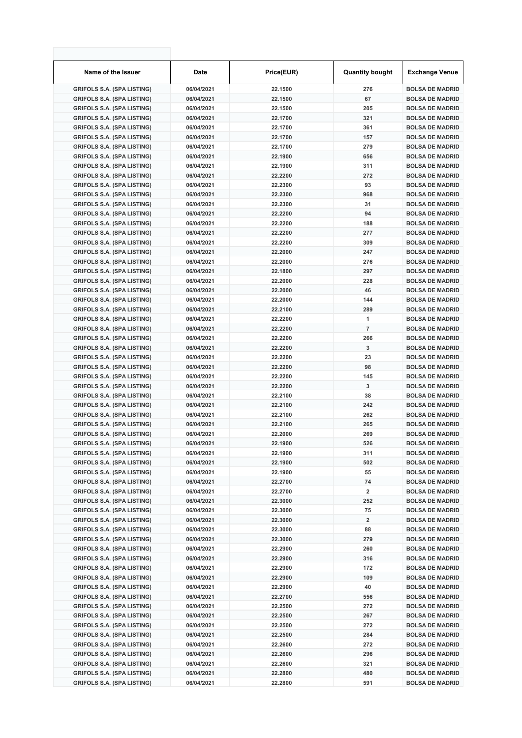| Name of the Issuer                | <b>Date</b> | Price(EUR) | <b>Quantity bought</b> | <b>Exchange Venue</b>  |
|-----------------------------------|-------------|------------|------------------------|------------------------|
| <b>GRIFOLS S.A. (SPA LISTING)</b> | 06/04/2021  | 22.1500    | 276                    | <b>BOLSA DE MADRID</b> |
| <b>GRIFOLS S.A. (SPA LISTING)</b> | 06/04/2021  | 22.1500    | 67                     | <b>BOLSA DE MADRID</b> |
| <b>GRIFOLS S.A. (SPA LISTING)</b> | 06/04/2021  | 22.1500    | 205                    | <b>BOLSA DE MADRID</b> |
| <b>GRIFOLS S.A. (SPA LISTING)</b> | 06/04/2021  | 22.1700    | 321                    | <b>BOLSA DE MADRID</b> |
| <b>GRIFOLS S.A. (SPA LISTING)</b> | 06/04/2021  | 22.1700    | 361                    | <b>BOLSA DE MADRID</b> |
| <b>GRIFOLS S.A. (SPA LISTING)</b> | 06/04/2021  | 22.1700    | 157                    | <b>BOLSA DE MADRID</b> |
| <b>GRIFOLS S.A. (SPA LISTING)</b> | 06/04/2021  | 22.1700    | 279                    | <b>BOLSA DE MADRID</b> |
| <b>GRIFOLS S.A. (SPA LISTING)</b> | 06/04/2021  | 22.1900    | 656                    | <b>BOLSA DE MADRID</b> |
| <b>GRIFOLS S.A. (SPA LISTING)</b> | 06/04/2021  | 22.1900    | 311                    | <b>BOLSA DE MADRID</b> |
| <b>GRIFOLS S.A. (SPA LISTING)</b> | 06/04/2021  | 22.2200    | 272                    | <b>BOLSA DE MADRID</b> |
| <b>GRIFOLS S.A. (SPA LISTING)</b> | 06/04/2021  | 22.2300    | 93                     | <b>BOLSA DE MADRID</b> |
| <b>GRIFOLS S.A. (SPA LISTING)</b> | 06/04/2021  | 22.2300    | 968                    | <b>BOLSA DE MADRID</b> |
| <b>GRIFOLS S.A. (SPA LISTING)</b> | 06/04/2021  | 22.2300    | 31                     | <b>BOLSA DE MADRID</b> |
| <b>GRIFOLS S.A. (SPA LISTING)</b> | 06/04/2021  | 22.2200    | 94                     | <b>BOLSA DE MADRID</b> |
| <b>GRIFOLS S.A. (SPA LISTING)</b> | 06/04/2021  | 22.2200    | 188                    | <b>BOLSA DE MADRID</b> |
| <b>GRIFOLS S.A. (SPA LISTING)</b> | 06/04/2021  | 22.2200    | 277                    | <b>BOLSA DE MADRID</b> |
| <b>GRIFOLS S.A. (SPA LISTING)</b> | 06/04/2021  | 22.2200    | 309                    | <b>BOLSA DE MADRID</b> |
| <b>GRIFOLS S.A. (SPA LISTING)</b> | 06/04/2021  | 22.2000    | 247                    | <b>BOLSA DE MADRID</b> |
| <b>GRIFOLS S.A. (SPA LISTING)</b> | 06/04/2021  | 22.2000    | 276                    | <b>BOLSA DE MADRID</b> |
| <b>GRIFOLS S.A. (SPA LISTING)</b> | 06/04/2021  | 22.1800    | 297                    | <b>BOLSA DE MADRID</b> |
| <b>GRIFOLS S.A. (SPA LISTING)</b> | 06/04/2021  | 22.2000    | 228                    | <b>BOLSA DE MADRID</b> |
| <b>GRIFOLS S.A. (SPA LISTING)</b> | 06/04/2021  | 22.2000    | 46                     | <b>BOLSA DE MADRID</b> |
| <b>GRIFOLS S.A. (SPA LISTING)</b> | 06/04/2021  | 22.2000    | 144                    | <b>BOLSA DE MADRID</b> |
| <b>GRIFOLS S.A. (SPA LISTING)</b> | 06/04/2021  | 22.2100    | 289                    | <b>BOLSA DE MADRID</b> |
| <b>GRIFOLS S.A. (SPA LISTING)</b> | 06/04/2021  | 22.2200    | 1                      | <b>BOLSA DE MADRID</b> |
| <b>GRIFOLS S.A. (SPA LISTING)</b> | 06/04/2021  | 22.2200    | $\overline{7}$         | <b>BOLSA DE MADRID</b> |
| <b>GRIFOLS S.A. (SPA LISTING)</b> | 06/04/2021  | 22.2200    | 266                    | <b>BOLSA DE MADRID</b> |
| <b>GRIFOLS S.A. (SPA LISTING)</b> | 06/04/2021  | 22.2200    | 3                      | <b>BOLSA DE MADRID</b> |
| <b>GRIFOLS S.A. (SPA LISTING)</b> | 06/04/2021  | 22.2200    | 23                     | <b>BOLSA DE MADRID</b> |
| <b>GRIFOLS S.A. (SPA LISTING)</b> | 06/04/2021  | 22.2200    | 98                     | <b>BOLSA DE MADRID</b> |
| <b>GRIFOLS S.A. (SPA LISTING)</b> | 06/04/2021  | 22.2200    | 145                    | <b>BOLSA DE MADRID</b> |
| <b>GRIFOLS S.A. (SPA LISTING)</b> | 06/04/2021  | 22.2200    | 3                      | <b>BOLSA DE MADRID</b> |
| <b>GRIFOLS S.A. (SPA LISTING)</b> | 06/04/2021  | 22.2100    | 38                     | <b>BOLSA DE MADRID</b> |
| <b>GRIFOLS S.A. (SPA LISTING)</b> | 06/04/2021  | 22.2100    | 242                    | <b>BOLSA DE MADRID</b> |
| <b>GRIFOLS S.A. (SPA LISTING)</b> | 06/04/2021  | 22.2100    | 262                    | <b>BOLSA DE MADRID</b> |
| <b>GRIFOLS S.A. (SPA LISTING)</b> | 06/04/2021  | 22.2100    | 265                    | <b>BOLSA DE MADRID</b> |
| <b>GRIFOLS S.A. (SPA LISTING)</b> | 06/04/2021  | 22.2000    | 269                    | <b>BOLSA DE MADRID</b> |
| <b>GRIFOLS S.A. (SPA LISTING)</b> | 06/04/2021  | 22.1900    | 526                    | <b>BOLSA DE MADRID</b> |
| <b>GRIFOLS S.A. (SPA LISTING)</b> | 06/04/2021  | 22.1900    | 311                    | <b>BOLSA DE MADRID</b> |
| <b>GRIFOLS S.A. (SPA LISTING)</b> | 06/04/2021  | 22.1900    | 502                    | <b>BOLSA DE MADRID</b> |
| <b>GRIFOLS S.A. (SPA LISTING)</b> | 06/04/2021  | 22.1900    | 55                     | <b>BOLSA DE MADRID</b> |
| <b>GRIFOLS S.A. (SPA LISTING)</b> | 06/04/2021  | 22.2700    | 74                     | <b>BOLSA DE MADRID</b> |
| <b>GRIFOLS S.A. (SPA LISTING)</b> | 06/04/2021  | 22.2700    | 2                      | <b>BOLSA DE MADRID</b> |
| <b>GRIFOLS S.A. (SPA LISTING)</b> | 06/04/2021  | 22.3000    | 252                    | <b>BOLSA DE MADRID</b> |
| <b>GRIFOLS S.A. (SPA LISTING)</b> | 06/04/2021  | 22.3000    | 75                     | <b>BOLSA DE MADRID</b> |
| <b>GRIFOLS S.A. (SPA LISTING)</b> | 06/04/2021  | 22.3000    | 2                      | <b>BOLSA DE MADRID</b> |
| <b>GRIFOLS S.A. (SPA LISTING)</b> | 06/04/2021  | 22.3000    | 88                     | <b>BOLSA DE MADRID</b> |
| <b>GRIFOLS S.A. (SPA LISTING)</b> | 06/04/2021  | 22.3000    | 279                    | <b>BOLSA DE MADRID</b> |
| <b>GRIFOLS S.A. (SPA LISTING)</b> | 06/04/2021  | 22.2900    | 260                    | <b>BOLSA DE MADRID</b> |
| <b>GRIFOLS S.A. (SPA LISTING)</b> | 06/04/2021  | 22.2900    | 316                    | <b>BOLSA DE MADRID</b> |
| <b>GRIFOLS S.A. (SPA LISTING)</b> | 06/04/2021  | 22.2900    | 172                    | <b>BOLSA DE MADRID</b> |
| <b>GRIFOLS S.A. (SPA LISTING)</b> | 06/04/2021  | 22.2900    | 109                    | <b>BOLSA DE MADRID</b> |
| <b>GRIFOLS S.A. (SPA LISTING)</b> | 06/04/2021  | 22.2900    | 40                     | <b>BOLSA DE MADRID</b> |
| <b>GRIFOLS S.A. (SPA LISTING)</b> | 06/04/2021  | 22.2700    | 556                    | <b>BOLSA DE MADRID</b> |
| <b>GRIFOLS S.A. (SPA LISTING)</b> | 06/04/2021  | 22.2500    | 272                    | <b>BOLSA DE MADRID</b> |
| <b>GRIFOLS S.A. (SPA LISTING)</b> | 06/04/2021  | 22.2500    | 267                    | <b>BOLSA DE MADRID</b> |
| <b>GRIFOLS S.A. (SPA LISTING)</b> | 06/04/2021  | 22.2500    | 272                    | <b>BOLSA DE MADRID</b> |
| <b>GRIFOLS S.A. (SPA LISTING)</b> | 06/04/2021  | 22.2500    | 284                    | <b>BOLSA DE MADRID</b> |
| <b>GRIFOLS S.A. (SPA LISTING)</b> | 06/04/2021  | 22.2600    | 272                    | <b>BOLSA DE MADRID</b> |
| <b>GRIFOLS S.A. (SPA LISTING)</b> | 06/04/2021  | 22.2600    | 296                    | <b>BOLSA DE MADRID</b> |
| <b>GRIFOLS S.A. (SPA LISTING)</b> | 06/04/2021  | 22.2600    | 321                    | <b>BOLSA DE MADRID</b> |
| <b>GRIFOLS S.A. (SPA LISTING)</b> | 06/04/2021  | 22.2800    | 480                    | <b>BOLSA DE MADRID</b> |
| <b>GRIFOLS S.A. (SPA LISTING)</b> | 06/04/2021  | 22.2800    | 591                    | <b>BOLSA DE MADRID</b> |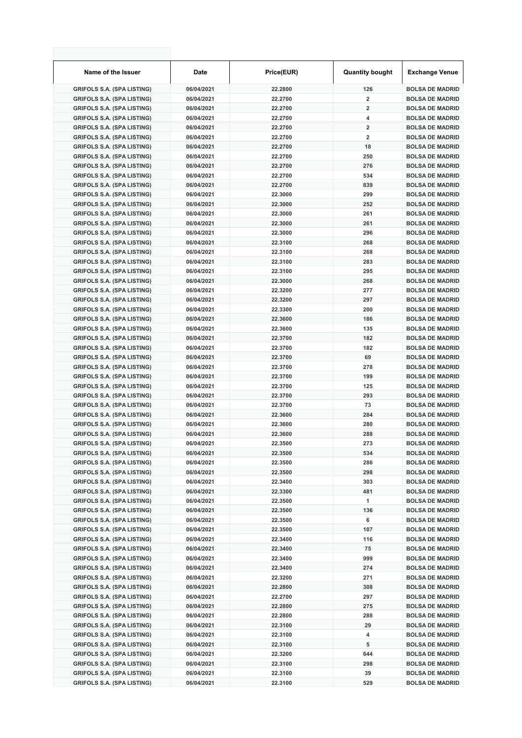| Name of the Issuer                                                     | <b>Date</b>              | Price(EUR)         | <b>Quantity bought</b>  | <b>Exchange Venue</b>                            |
|------------------------------------------------------------------------|--------------------------|--------------------|-------------------------|--------------------------------------------------|
| <b>GRIFOLS S.A. (SPA LISTING)</b>                                      | 06/04/2021               | 22.2800            | 126                     | <b>BOLSA DE MADRID</b>                           |
| <b>GRIFOLS S.A. (SPA LISTING)</b>                                      | 06/04/2021               | 22.2700            | $\overline{2}$          | <b>BOLSA DE MADRID</b>                           |
| <b>GRIFOLS S.A. (SPA LISTING)</b>                                      | 06/04/2021               | 22.2700            | $\overline{2}$          | <b>BOLSA DE MADRID</b>                           |
| <b>GRIFOLS S.A. (SPA LISTING)</b>                                      | 06/04/2021               | 22.2700            | 4                       | <b>BOLSA DE MADRID</b>                           |
| <b>GRIFOLS S.A. (SPA LISTING)</b>                                      | 06/04/2021               | 22.2700            | $\overline{\mathbf{2}}$ | <b>BOLSA DE MADRID</b>                           |
| <b>GRIFOLS S.A. (SPA LISTING)</b>                                      | 06/04/2021               | 22.2700            | $\overline{\mathbf{2}}$ | <b>BOLSA DE MADRID</b>                           |
| <b>GRIFOLS S.A. (SPA LISTING)</b>                                      | 06/04/2021               | 22.2700            | 18                      | <b>BOLSA DE MADRID</b>                           |
| <b>GRIFOLS S.A. (SPA LISTING)</b>                                      | 06/04/2021               | 22.2700            | 250                     | <b>BOLSA DE MADRID</b>                           |
| <b>GRIFOLS S.A. (SPA LISTING)</b>                                      | 06/04/2021               | 22.2700            | 276                     | <b>BOLSA DE MADRID</b>                           |
| <b>GRIFOLS S.A. (SPA LISTING)</b>                                      | 06/04/2021               | 22.2700            | 534                     | <b>BOLSA DE MADRID</b>                           |
| <b>GRIFOLS S.A. (SPA LISTING)</b>                                      | 06/04/2021               | 22.2700            | 839                     | <b>BOLSA DE MADRID</b>                           |
| <b>GRIFOLS S.A. (SPA LISTING)</b>                                      | 06/04/2021               | 22.3000            | 299                     | <b>BOLSA DE MADRID</b>                           |
| <b>GRIFOLS S.A. (SPA LISTING)</b>                                      | 06/04/2021               | 22.3000            | 252                     | <b>BOLSA DE MADRID</b>                           |
| <b>GRIFOLS S.A. (SPA LISTING)</b>                                      | 06/04/2021               | 22.3000            | 261                     | <b>BOLSA DE MADRID</b>                           |
| <b>GRIFOLS S.A. (SPA LISTING)</b>                                      | 06/04/2021               | 22.3000            | 261                     | <b>BOLSA DE MADRID</b>                           |
| <b>GRIFOLS S.A. (SPA LISTING)</b>                                      | 06/04/2021               | 22.3000            | 296                     | <b>BOLSA DE MADRID</b>                           |
| <b>GRIFOLS S.A. (SPA LISTING)</b>                                      | 06/04/2021               | 22.3100            | 268                     | <b>BOLSA DE MADRID</b>                           |
| <b>GRIFOLS S.A. (SPA LISTING)</b>                                      | 06/04/2021               | 22.3100            | 268                     | <b>BOLSA DE MADRID</b>                           |
| <b>GRIFOLS S.A. (SPA LISTING)</b>                                      | 06/04/2021               | 22.3100            | 283                     | <b>BOLSA DE MADRID</b>                           |
| <b>GRIFOLS S.A. (SPA LISTING)</b>                                      | 06/04/2021               | 22.3100            | 295                     | <b>BOLSA DE MADRID</b>                           |
| <b>GRIFOLS S.A. (SPA LISTING)</b>                                      | 06/04/2021               | 22.3000            | 268                     | <b>BOLSA DE MADRID</b>                           |
| <b>GRIFOLS S.A. (SPA LISTING)</b>                                      | 06/04/2021               | 22.3200            | 277                     | <b>BOLSA DE MADRID</b>                           |
| <b>GRIFOLS S.A. (SPA LISTING)</b>                                      | 06/04/2021               | 22.3200            | 297                     | <b>BOLSA DE MADRID</b>                           |
| <b>GRIFOLS S.A. (SPA LISTING)</b>                                      | 06/04/2021               | 22.3300            | 200                     | <b>BOLSA DE MADRID</b>                           |
| <b>GRIFOLS S.A. (SPA LISTING)</b>                                      | 06/04/2021               | 22.3600            | 186                     | <b>BOLSA DE MADRID</b>                           |
| <b>GRIFOLS S.A. (SPA LISTING)</b>                                      | 06/04/2021               | 22.3600            | 135                     | <b>BOLSA DE MADRID</b>                           |
| <b>GRIFOLS S.A. (SPA LISTING)</b>                                      | 06/04/2021               | 22.3700            | 182                     | <b>BOLSA DE MADRID</b>                           |
| <b>GRIFOLS S.A. (SPA LISTING)</b>                                      | 06/04/2021               | 22.3700            | 182                     | <b>BOLSA DE MADRID</b>                           |
| <b>GRIFOLS S.A. (SPA LISTING)</b>                                      | 06/04/2021               | 22.3700            | 69                      | <b>BOLSA DE MADRID</b>                           |
| <b>GRIFOLS S.A. (SPA LISTING)</b>                                      | 06/04/2021               | 22.3700            | 278                     | <b>BOLSA DE MADRID</b>                           |
| <b>GRIFOLS S.A. (SPA LISTING)</b>                                      | 06/04/2021               | 22.3700            | 199                     | <b>BOLSA DE MADRID</b>                           |
| <b>GRIFOLS S.A. (SPA LISTING)</b>                                      | 06/04/2021               | 22.3700            | 125                     | <b>BOLSA DE MADRID</b>                           |
| <b>GRIFOLS S.A. (SPA LISTING)</b>                                      | 06/04/2021               | 22.3700            | 293                     | <b>BOLSA DE MADRID</b>                           |
| <b>GRIFOLS S.A. (SPA LISTING)</b>                                      | 06/04/2021               | 22.3700            | 73                      | <b>BOLSA DE MADRID</b>                           |
| <b>GRIFOLS S.A. (SPA LISTING)</b>                                      | 06/04/2021               | 22.3600            | 284                     | <b>BOLSA DE MADRID</b>                           |
| <b>GRIFOLS S.A. (SPA LISTING)</b>                                      | 06/04/2021               | 22.3600            | 280                     | <b>BOLSA DE MADRID</b>                           |
| <b>GRIFOLS S.A. (SPA LISTING)</b>                                      | 06/04/2021               | 22.3600            | 288                     | <b>BOLSA DE MADRID</b>                           |
| <b>GRIFOLS S.A. (SPA LISTING)</b>                                      | 06/04/2021               | 22.3500            | 273                     | <b>BOLSA DE MADRID</b>                           |
| <b>GRIFOLS S.A. (SPA LISTING)</b>                                      | 06/04/2021               | 22.3500            | 534                     | <b>BOLSA DE MADRID</b>                           |
| <b>GRIFOLS S.A. (SPA LISTING)</b>                                      | 06/04/2021               | 22.3500            | 286                     | <b>BOLSA DE MADRID</b>                           |
| <b>GRIFOLS S.A. (SPA LISTING)</b>                                      | 06/04/2021               | 22.3500            | 298                     | <b>BOLSA DE MADRID</b>                           |
| <b>GRIFOLS S.A. (SPA LISTING)</b>                                      | 06/04/2021               | 22.3400            | 303                     | <b>BOLSA DE MADRID</b>                           |
| <b>GRIFOLS S.A. (SPA LISTING)</b>                                      |                          | 22.3300            | 481                     | <b>BOLSA DE MADRID</b>                           |
| <b>GRIFOLS S.A. (SPA LISTING)</b>                                      | 06/04/2021<br>06/04/2021 | 22.3500            | 1                       | <b>BOLSA DE MADRID</b>                           |
| <b>GRIFOLS S.A. (SPA LISTING)</b>                                      | 06/04/2021               | 22.3500            | 136                     | <b>BOLSA DE MADRID</b>                           |
| <b>GRIFOLS S.A. (SPA LISTING)</b>                                      | 06/04/2021               | 22.3500            | 6                       | <b>BOLSA DE MADRID</b>                           |
| <b>GRIFOLS S.A. (SPA LISTING)</b>                                      | 06/04/2021               | 22.3500            | 107                     | <b>BOLSA DE MADRID</b>                           |
| <b>GRIFOLS S.A. (SPA LISTING)</b>                                      | 06/04/2021               | 22.3400            | 116                     | <b>BOLSA DE MADRID</b>                           |
| <b>GRIFOLS S.A. (SPA LISTING)</b>                                      |                          |                    |                         |                                                  |
|                                                                        | 06/04/2021               | 22.3400            | 75                      | <b>BOLSA DE MADRID</b>                           |
| <b>GRIFOLS S.A. (SPA LISTING)</b><br><b>GRIFOLS S.A. (SPA LISTING)</b> | 06/04/2021               | 22.3400<br>22.3400 | 999<br>274              | <b>BOLSA DE MADRID</b><br><b>BOLSA DE MADRID</b> |
|                                                                        | 06/04/2021               |                    |                         |                                                  |
| <b>GRIFOLS S.A. (SPA LISTING)</b>                                      | 06/04/2021               | 22.3200            | 271                     | <b>BOLSA DE MADRID</b>                           |
| <b>GRIFOLS S.A. (SPA LISTING)</b>                                      | 06/04/2021               | 22.2800            | 308                     | <b>BOLSA DE MADRID</b>                           |
| <b>GRIFOLS S.A. (SPA LISTING)</b>                                      | 06/04/2021               | 22.2700            | 297                     | <b>BOLSA DE MADRID</b>                           |
| <b>GRIFOLS S.A. (SPA LISTING)</b>                                      | 06/04/2021               | 22.2800            | 275                     | <b>BOLSA DE MADRID</b>                           |
| <b>GRIFOLS S.A. (SPA LISTING)</b>                                      | 06/04/2021               | 22.2800            | 288                     | <b>BOLSA DE MADRID</b>                           |
| <b>GRIFOLS S.A. (SPA LISTING)</b>                                      | 06/04/2021               | 22.3100            | 29                      | <b>BOLSA DE MADRID</b>                           |
| <b>GRIFOLS S.A. (SPA LISTING)</b>                                      | 06/04/2021               | 22.3100            | 4                       | <b>BOLSA DE MADRID</b>                           |
| <b>GRIFOLS S.A. (SPA LISTING)</b>                                      | 06/04/2021               | 22.3100            | 5                       | <b>BOLSA DE MADRID</b>                           |
| <b>GRIFOLS S.A. (SPA LISTING)</b>                                      | 06/04/2021               | 22.3200            | 644                     | <b>BOLSA DE MADRID</b>                           |
| <b>GRIFOLS S.A. (SPA LISTING)</b>                                      | 06/04/2021               | 22.3100            | 298                     | <b>BOLSA DE MADRID</b>                           |
| <b>GRIFOLS S.A. (SPA LISTING)</b>                                      | 06/04/2021               | 22.3100            | 39                      | <b>BOLSA DE MADRID</b>                           |
| <b>GRIFOLS S.A. (SPA LISTING)</b>                                      | 06/04/2021               | 22.3100            | 529                     | <b>BOLSA DE MADRID</b>                           |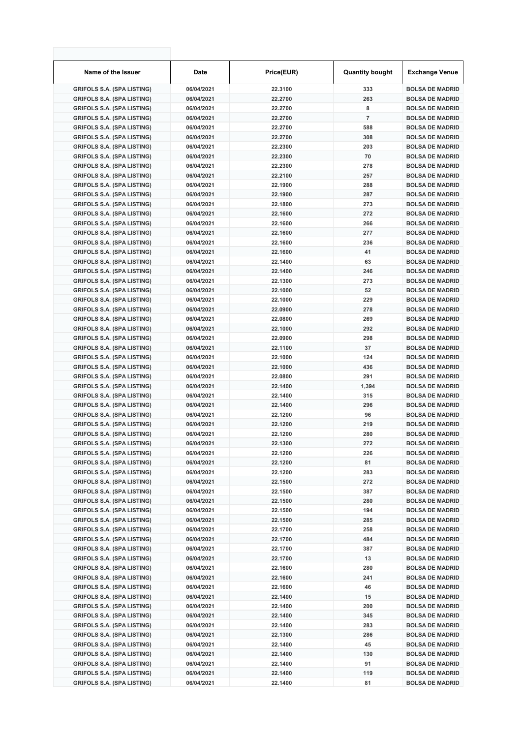| Name of the Issuer                | <b>Date</b> | Price(EUR) | <b>Quantity bought</b> | <b>Exchange Venue</b>  |
|-----------------------------------|-------------|------------|------------------------|------------------------|
| <b>GRIFOLS S.A. (SPA LISTING)</b> | 06/04/2021  | 22.3100    | 333                    | <b>BOLSA DE MADRID</b> |
| <b>GRIFOLS S.A. (SPA LISTING)</b> | 06/04/2021  | 22.2700    | 263                    | <b>BOLSA DE MADRID</b> |
| <b>GRIFOLS S.A. (SPA LISTING)</b> | 06/04/2021  | 22.2700    | 8                      | <b>BOLSA DE MADRID</b> |
| <b>GRIFOLS S.A. (SPA LISTING)</b> | 06/04/2021  | 22.2700    | $\overline{7}$         | <b>BOLSA DE MADRID</b> |
| <b>GRIFOLS S.A. (SPA LISTING)</b> | 06/04/2021  | 22.2700    | 588                    | <b>BOLSA DE MADRID</b> |
| <b>GRIFOLS S.A. (SPA LISTING)</b> | 06/04/2021  | 22.2700    | 308                    | <b>BOLSA DE MADRID</b> |
| <b>GRIFOLS S.A. (SPA LISTING)</b> | 06/04/2021  | 22.2300    | 203                    | <b>BOLSA DE MADRID</b> |
| <b>GRIFOLS S.A. (SPA LISTING)</b> | 06/04/2021  | 22.2300    | 70                     | <b>BOLSA DE MADRID</b> |
| <b>GRIFOLS S.A. (SPA LISTING)</b> | 06/04/2021  | 22.2300    | 278                    | <b>BOLSA DE MADRID</b> |
| <b>GRIFOLS S.A. (SPA LISTING)</b> | 06/04/2021  | 22.2100    | 257                    | <b>BOLSA DE MADRID</b> |
| <b>GRIFOLS S.A. (SPA LISTING)</b> | 06/04/2021  | 22.1900    | 288                    | <b>BOLSA DE MADRID</b> |
| <b>GRIFOLS S.A. (SPA LISTING)</b> | 06/04/2021  | 22.1900    | 287                    | <b>BOLSA DE MADRID</b> |
| <b>GRIFOLS S.A. (SPA LISTING)</b> | 06/04/2021  | 22.1800    | 273                    | <b>BOLSA DE MADRID</b> |
| <b>GRIFOLS S.A. (SPA LISTING)</b> | 06/04/2021  | 22.1600    | 272                    | <b>BOLSA DE MADRID</b> |
| <b>GRIFOLS S.A. (SPA LISTING)</b> | 06/04/2021  | 22.1600    | 266                    | <b>BOLSA DE MADRID</b> |
| <b>GRIFOLS S.A. (SPA LISTING)</b> | 06/04/2021  | 22.1600    | 277                    | <b>BOLSA DE MADRID</b> |
| <b>GRIFOLS S.A. (SPA LISTING)</b> | 06/04/2021  | 22.1600    | 236                    | <b>BOLSA DE MADRID</b> |
| <b>GRIFOLS S.A. (SPA LISTING)</b> | 06/04/2021  | 22.1600    | 41                     | <b>BOLSA DE MADRID</b> |
| <b>GRIFOLS S.A. (SPA LISTING)</b> | 06/04/2021  | 22.1400    | 63                     | <b>BOLSA DE MADRID</b> |
| <b>GRIFOLS S.A. (SPA LISTING)</b> | 06/04/2021  | 22.1400    | 246                    | <b>BOLSA DE MADRID</b> |
| <b>GRIFOLS S.A. (SPA LISTING)</b> | 06/04/2021  | 22.1300    | 273                    | <b>BOLSA DE MADRID</b> |
| <b>GRIFOLS S.A. (SPA LISTING)</b> | 06/04/2021  | 22.1000    | 52                     | <b>BOLSA DE MADRID</b> |
| <b>GRIFOLS S.A. (SPA LISTING)</b> | 06/04/2021  | 22.1000    | 229                    | <b>BOLSA DE MADRID</b> |
|                                   | 06/04/2021  | 22.0900    | 278                    | <b>BOLSA DE MADRID</b> |
| <b>GRIFOLS S.A. (SPA LISTING)</b> |             |            |                        |                        |
| <b>GRIFOLS S.A. (SPA LISTING)</b> | 06/04/2021  | 22.0800    | 269                    | <b>BOLSA DE MADRID</b> |
| <b>GRIFOLS S.A. (SPA LISTING)</b> | 06/04/2021  | 22.1000    | 292                    | <b>BOLSA DE MADRID</b> |
| <b>GRIFOLS S.A. (SPA LISTING)</b> | 06/04/2021  | 22.0900    | 298                    | <b>BOLSA DE MADRID</b> |
| <b>GRIFOLS S.A. (SPA LISTING)</b> | 06/04/2021  | 22.1100    | 37                     | <b>BOLSA DE MADRID</b> |
| <b>GRIFOLS S.A. (SPA LISTING)</b> | 06/04/2021  | 22.1000    | 124                    | <b>BOLSA DE MADRID</b> |
| <b>GRIFOLS S.A. (SPA LISTING)</b> | 06/04/2021  | 22.1000    | 436                    | <b>BOLSA DE MADRID</b> |
| <b>GRIFOLS S.A. (SPA LISTING)</b> | 06/04/2021  | 22.0800    | 291                    | <b>BOLSA DE MADRID</b> |
| <b>GRIFOLS S.A. (SPA LISTING)</b> | 06/04/2021  | 22.1400    | 1,394                  | <b>BOLSA DE MADRID</b> |
| <b>GRIFOLS S.A. (SPA LISTING)</b> | 06/04/2021  | 22.1400    | 315                    | <b>BOLSA DE MADRID</b> |
| <b>GRIFOLS S.A. (SPA LISTING)</b> | 06/04/2021  | 22.1400    | 296                    | <b>BOLSA DE MADRID</b> |
| <b>GRIFOLS S.A. (SPA LISTING)</b> | 06/04/2021  | 22.1200    | 96                     | <b>BOLSA DE MADRID</b> |
| <b>GRIFOLS S.A. (SPA LISTING)</b> | 06/04/2021  | 22.1200    | 219                    | <b>BOLSA DE MADRID</b> |
| <b>GRIFOLS S.A. (SPA LISTING)</b> | 06/04/2021  | 22.1200    | 280                    | <b>BOLSA DE MADRID</b> |
| <b>GRIFOLS S.A. (SPA LISTING)</b> | 06/04/2021  | 22.1300    | 272                    | <b>BOLSA DE MADRID</b> |
| <b>GRIFOLS S.A. (SPA LISTING)</b> | 06/04/2021  | 22.1200    | 226                    | <b>BOLSA DE MADRID</b> |
| <b>GRIFOLS S.A. (SPA LISTING)</b> | 06/04/2021  | 22.1200    | 81                     | <b>BOLSA DE MADRID</b> |
| <b>GRIFOLS S.A. (SPA LISTING)</b> | 06/04/2021  | 22.1200    | 283                    | <b>BOLSA DE MADRID</b> |
| <b>GRIFOLS S.A. (SPA LISTING)</b> | 06/04/2021  | 22.1500    | 272                    | <b>BOLSA DE MADRID</b> |
| <b>GRIFOLS S.A. (SPA LISTING)</b> | 06/04/2021  | 22.1500    | 387                    | <b>BOLSA DE MADRID</b> |
| <b>GRIFOLS S.A. (SPA LISTING)</b> | 06/04/2021  | 22.1500    | 280                    | <b>BOLSA DE MADRID</b> |
| <b>GRIFOLS S.A. (SPA LISTING)</b> | 06/04/2021  | 22.1500    | 194                    | <b>BOLSA DE MADRID</b> |
| <b>GRIFOLS S.A. (SPA LISTING)</b> | 06/04/2021  | 22.1500    | 285                    | <b>BOLSA DE MADRID</b> |
| <b>GRIFOLS S.A. (SPA LISTING)</b> | 06/04/2021  | 22.1700    | 258                    | <b>BOLSA DE MADRID</b> |
| <b>GRIFOLS S.A. (SPA LISTING)</b> | 06/04/2021  | 22.1700    | 484                    | <b>BOLSA DE MADRID</b> |
| <b>GRIFOLS S.A. (SPA LISTING)</b> | 06/04/2021  | 22.1700    | 387                    | <b>BOLSA DE MADRID</b> |
| <b>GRIFOLS S.A. (SPA LISTING)</b> | 06/04/2021  | 22.1700    | 13                     | <b>BOLSA DE MADRID</b> |
| <b>GRIFOLS S.A. (SPA LISTING)</b> | 06/04/2021  | 22.1600    | 280                    | <b>BOLSA DE MADRID</b> |
| <b>GRIFOLS S.A. (SPA LISTING)</b> | 06/04/2021  | 22.1600    | 241                    | <b>BOLSA DE MADRID</b> |
| <b>GRIFOLS S.A. (SPA LISTING)</b> | 06/04/2021  | 22.1600    | 46                     | <b>BOLSA DE MADRID</b> |
| <b>GRIFOLS S.A. (SPA LISTING)</b> | 06/04/2021  | 22.1400    | 15                     | <b>BOLSA DE MADRID</b> |
| <b>GRIFOLS S.A. (SPA LISTING)</b> | 06/04/2021  | 22.1400    | 200                    | <b>BOLSA DE MADRID</b> |
| <b>GRIFOLS S.A. (SPA LISTING)</b> | 06/04/2021  | 22.1400    | 345                    | <b>BOLSA DE MADRID</b> |
| <b>GRIFOLS S.A. (SPA LISTING)</b> | 06/04/2021  | 22.1400    | 283                    | <b>BOLSA DE MADRID</b> |
| <b>GRIFOLS S.A. (SPA LISTING)</b> | 06/04/2021  | 22.1300    | 286                    | <b>BOLSA DE MADRID</b> |
| <b>GRIFOLS S.A. (SPA LISTING)</b> | 06/04/2021  | 22.1400    | 45                     | <b>BOLSA DE MADRID</b> |
| <b>GRIFOLS S.A. (SPA LISTING)</b> | 06/04/2021  | 22.1400    | 130                    | <b>BOLSA DE MADRID</b> |
| <b>GRIFOLS S.A. (SPA LISTING)</b> | 06/04/2021  | 22.1400    | 91                     | <b>BOLSA DE MADRID</b> |
| <b>GRIFOLS S.A. (SPA LISTING)</b> | 06/04/2021  | 22.1400    | 119                    | <b>BOLSA DE MADRID</b> |
| <b>GRIFOLS S.A. (SPA LISTING)</b> | 06/04/2021  | 22.1400    | 81                     | <b>BOLSA DE MADRID</b> |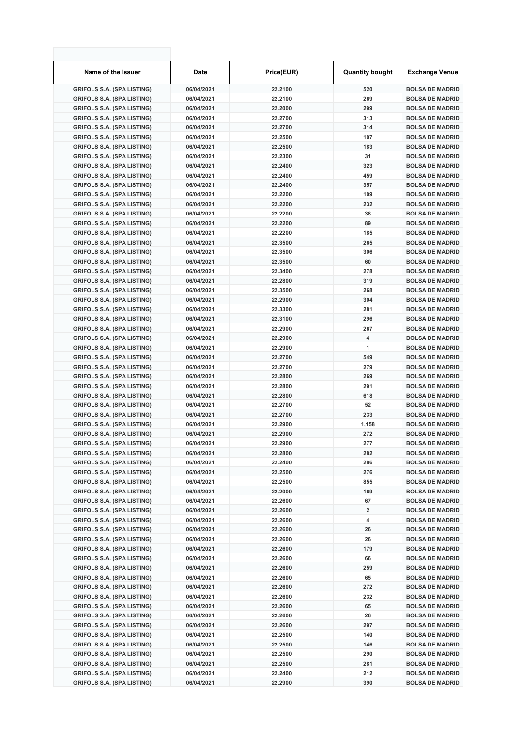| Name of the Issuer                | <b>Date</b> | Price(EUR) | <b>Quantity bought</b> | <b>Exchange Venue</b>  |
|-----------------------------------|-------------|------------|------------------------|------------------------|
| <b>GRIFOLS S.A. (SPA LISTING)</b> | 06/04/2021  | 22.2100    | 520                    | <b>BOLSA DE MADRID</b> |
| <b>GRIFOLS S.A. (SPA LISTING)</b> | 06/04/2021  | 22.2100    | 269                    | <b>BOLSA DE MADRID</b> |
| <b>GRIFOLS S.A. (SPA LISTING)</b> | 06/04/2021  | 22.2000    | 299                    | <b>BOLSA DE MADRID</b> |
| <b>GRIFOLS S.A. (SPA LISTING)</b> | 06/04/2021  | 22.2700    | 313                    | <b>BOLSA DE MADRID</b> |
| <b>GRIFOLS S.A. (SPA LISTING)</b> | 06/04/2021  | 22.2700    | 314                    | <b>BOLSA DE MADRID</b> |
| <b>GRIFOLS S.A. (SPA LISTING)</b> | 06/04/2021  | 22.2500    | 107                    | <b>BOLSA DE MADRID</b> |
| <b>GRIFOLS S.A. (SPA LISTING)</b> | 06/04/2021  | 22.2500    | 183                    | <b>BOLSA DE MADRID</b> |
| <b>GRIFOLS S.A. (SPA LISTING)</b> | 06/04/2021  | 22.2300    | 31                     | <b>BOLSA DE MADRID</b> |
| <b>GRIFOLS S.A. (SPA LISTING)</b> | 06/04/2021  | 22.2400    | 323                    | <b>BOLSA DE MADRID</b> |
| <b>GRIFOLS S.A. (SPA LISTING)</b> | 06/04/2021  | 22.2400    | 459                    | <b>BOLSA DE MADRID</b> |
| <b>GRIFOLS S.A. (SPA LISTING)</b> | 06/04/2021  | 22.2400    | 357                    | <b>BOLSA DE MADRID</b> |
| <b>GRIFOLS S.A. (SPA LISTING)</b> | 06/04/2021  | 22.2200    | 109                    | <b>BOLSA DE MADRID</b> |
| <b>GRIFOLS S.A. (SPA LISTING)</b> | 06/04/2021  | 22.2200    | 232                    | <b>BOLSA DE MADRID</b> |
| <b>GRIFOLS S.A. (SPA LISTING)</b> | 06/04/2021  | 22.2200    | 38                     | <b>BOLSA DE MADRID</b> |
| <b>GRIFOLS S.A. (SPA LISTING)</b> | 06/04/2021  | 22.2200    | 89                     | <b>BOLSA DE MADRID</b> |
| <b>GRIFOLS S.A. (SPA LISTING)</b> | 06/04/2021  | 22.2200    | 185                    | <b>BOLSA DE MADRID</b> |
| <b>GRIFOLS S.A. (SPA LISTING)</b> | 06/04/2021  | 22.3500    | 265                    | <b>BOLSA DE MADRID</b> |
| <b>GRIFOLS S.A. (SPA LISTING)</b> | 06/04/2021  | 22.3500    | 306                    | <b>BOLSA DE MADRID</b> |
| <b>GRIFOLS S.A. (SPA LISTING)</b> | 06/04/2021  | 22.3500    | 60                     | <b>BOLSA DE MADRID</b> |
| <b>GRIFOLS S.A. (SPA LISTING)</b> | 06/04/2021  | 22.3400    | 278                    | <b>BOLSA DE MADRID</b> |
| <b>GRIFOLS S.A. (SPA LISTING)</b> | 06/04/2021  | 22.2800    | 319                    | <b>BOLSA DE MADRID</b> |
| <b>GRIFOLS S.A. (SPA LISTING)</b> | 06/04/2021  | 22.3500    | 268                    | <b>BOLSA DE MADRID</b> |
| <b>GRIFOLS S.A. (SPA LISTING)</b> | 06/04/2021  | 22.2900    | 304                    | <b>BOLSA DE MADRID</b> |
| <b>GRIFOLS S.A. (SPA LISTING)</b> | 06/04/2021  | 22.3300    | 281                    | <b>BOLSA DE MADRID</b> |
| <b>GRIFOLS S.A. (SPA LISTING)</b> | 06/04/2021  | 22.3100    | 296                    | <b>BOLSA DE MADRID</b> |
| <b>GRIFOLS S.A. (SPA LISTING)</b> | 06/04/2021  | 22.2900    | 267                    | <b>BOLSA DE MADRID</b> |
| <b>GRIFOLS S.A. (SPA LISTING)</b> | 06/04/2021  | 22.2900    | 4                      | <b>BOLSA DE MADRID</b> |
| <b>GRIFOLS S.A. (SPA LISTING)</b> | 06/04/2021  | 22.2900    | 1                      | <b>BOLSA DE MADRID</b> |
| <b>GRIFOLS S.A. (SPA LISTING)</b> | 06/04/2021  | 22.2700    | 549                    | <b>BOLSA DE MADRID</b> |
| <b>GRIFOLS S.A. (SPA LISTING)</b> | 06/04/2021  | 22.2700    | 279                    | <b>BOLSA DE MADRID</b> |
| <b>GRIFOLS S.A. (SPA LISTING)</b> | 06/04/2021  | 22.2800    | 269                    | <b>BOLSA DE MADRID</b> |
| <b>GRIFOLS S.A. (SPA LISTING)</b> | 06/04/2021  | 22.2800    | 291                    | <b>BOLSA DE MADRID</b> |
| <b>GRIFOLS S.A. (SPA LISTING)</b> | 06/04/2021  | 22.2800    | 618                    | <b>BOLSA DE MADRID</b> |
| <b>GRIFOLS S.A. (SPA LISTING)</b> | 06/04/2021  | 22.2700    | 52                     | <b>BOLSA DE MADRID</b> |
| <b>GRIFOLS S.A. (SPA LISTING)</b> | 06/04/2021  | 22.2700    | 233                    | <b>BOLSA DE MADRID</b> |
| <b>GRIFOLS S.A. (SPA LISTING)</b> | 06/04/2021  | 22.2900    | 1,158                  | <b>BOLSA DE MADRID</b> |
| <b>GRIFOLS S.A. (SPA LISTING)</b> | 06/04/2021  | 22.2900    | 272                    | <b>BOLSA DE MADRID</b> |
| <b>GRIFOLS S.A. (SPA LISTING)</b> | 06/04/2021  | 22.2900    | 277                    | <b>BOLSA DE MADRID</b> |
| <b>GRIFOLS S.A. (SPA LISTING)</b> | 06/04/2021  | 22.2800    | 282                    | <b>BOLSA DE MADRID</b> |
| <b>GRIFOLS S.A. (SPA LISTING)</b> | 06/04/2021  | 22.2400    | 286                    | <b>BOLSA DE MADRID</b> |
| <b>GRIFOLS S.A. (SPA LISTING)</b> | 06/04/2021  | 22.2500    | 276                    | <b>BOLSA DE MADRID</b> |
| <b>GRIFOLS S.A. (SPA LISTING)</b> | 06/04/2021  | 22.2500    | 855                    | <b>BOLSA DE MADRID</b> |
| <b>GRIFOLS S.A. (SPA LISTING)</b> | 06/04/2021  | 22.2000    | 169                    | <b>BOLSA DE MADRID</b> |
| <b>GRIFOLS S.A. (SPA LISTING)</b> | 06/04/2021  | 22.2600    | 67                     | <b>BOLSA DE MADRID</b> |
| <b>GRIFOLS S.A. (SPA LISTING)</b> | 06/04/2021  | 22.2600    | 2                      | <b>BOLSA DE MADRID</b> |
| <b>GRIFOLS S.A. (SPA LISTING)</b> | 06/04/2021  | 22.2600    | 4                      | <b>BOLSA DE MADRID</b> |
| <b>GRIFOLS S.A. (SPA LISTING)</b> | 06/04/2021  | 22.2600    | 26                     | <b>BOLSA DE MADRID</b> |
| <b>GRIFOLS S.A. (SPA LISTING)</b> | 06/04/2021  | 22.2600    | 26                     | <b>BOLSA DE MADRID</b> |
| <b>GRIFOLS S.A. (SPA LISTING)</b> | 06/04/2021  | 22.2600    | 179                    | <b>BOLSA DE MADRID</b> |
| <b>GRIFOLS S.A. (SPA LISTING)</b> | 06/04/2021  | 22.2600    | 66                     | <b>BOLSA DE MADRID</b> |
| <b>GRIFOLS S.A. (SPA LISTING)</b> | 06/04/2021  | 22.2600    | 259                    | <b>BOLSA DE MADRID</b> |
| <b>GRIFOLS S.A. (SPA LISTING)</b> | 06/04/2021  | 22.2600    | 65                     | <b>BOLSA DE MADRID</b> |
| <b>GRIFOLS S.A. (SPA LISTING)</b> | 06/04/2021  | 22.2600    | 272                    | <b>BOLSA DE MADRID</b> |
| <b>GRIFOLS S.A. (SPA LISTING)</b> | 06/04/2021  | 22.2600    | 232                    | <b>BOLSA DE MADRID</b> |
| <b>GRIFOLS S.A. (SPA LISTING)</b> | 06/04/2021  | 22.2600    | 65                     | <b>BOLSA DE MADRID</b> |
| <b>GRIFOLS S.A. (SPA LISTING)</b> | 06/04/2021  | 22.2600    | 26                     | <b>BOLSA DE MADRID</b> |
| <b>GRIFOLS S.A. (SPA LISTING)</b> | 06/04/2021  | 22.2600    | 297                    | <b>BOLSA DE MADRID</b> |
| <b>GRIFOLS S.A. (SPA LISTING)</b> | 06/04/2021  | 22.2500    | 140                    | <b>BOLSA DE MADRID</b> |
| <b>GRIFOLS S.A. (SPA LISTING)</b> | 06/04/2021  | 22.2500    | 146                    | <b>BOLSA DE MADRID</b> |
| <b>GRIFOLS S.A. (SPA LISTING)</b> | 06/04/2021  | 22.2500    | 290                    | <b>BOLSA DE MADRID</b> |
| <b>GRIFOLS S.A. (SPA LISTING)</b> | 06/04/2021  | 22.2500    | 281                    | <b>BOLSA DE MADRID</b> |
| <b>GRIFOLS S.A. (SPA LISTING)</b> | 06/04/2021  | 22.2400    | 212                    | <b>BOLSA DE MADRID</b> |
| <b>GRIFOLS S.A. (SPA LISTING)</b> | 06/04/2021  | 22.2900    | 390                    | <b>BOLSA DE MADRID</b> |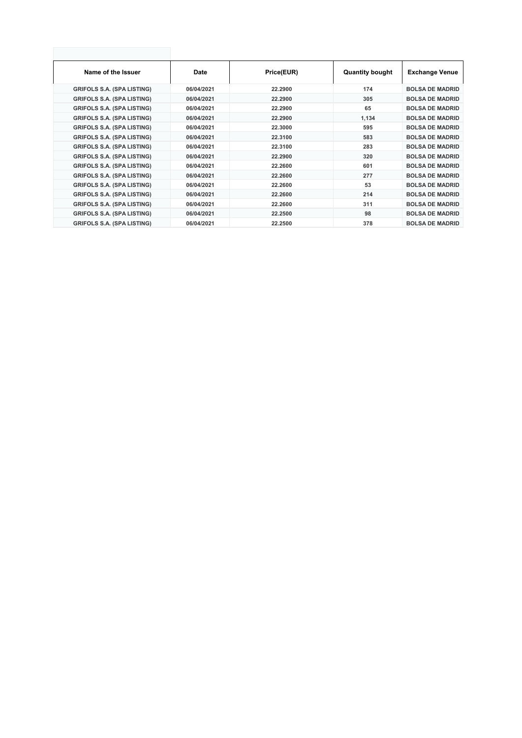| Name of the Issuer                | Date       | Price(EUR) | <b>Quantity bought</b> | <b>Exchange Venue</b>  |
|-----------------------------------|------------|------------|------------------------|------------------------|
| <b>GRIFOLS S.A. (SPA LISTING)</b> | 06/04/2021 | 22.2900    | 174                    | <b>BOLSA DE MADRID</b> |
| <b>GRIFOLS S.A. (SPA LISTING)</b> | 06/04/2021 | 22.2900    | 305                    | <b>BOLSA DE MADRID</b> |
| <b>GRIFOLS S.A. (SPA LISTING)</b> | 06/04/2021 | 22.2900    | 65                     | <b>BOLSA DE MADRID</b> |
| <b>GRIFOLS S.A. (SPA LISTING)</b> | 06/04/2021 | 22.2900    | 1,134                  | <b>BOLSA DE MADRID</b> |
| <b>GRIFOLS S.A. (SPA LISTING)</b> | 06/04/2021 | 22,3000    | 595                    | <b>BOLSA DE MADRID</b> |
| <b>GRIFOLS S.A. (SPA LISTING)</b> | 06/04/2021 | 22,3100    | 583                    | <b>BOLSA DE MADRID</b> |
| <b>GRIFOLS S.A. (SPA LISTING)</b> | 06/04/2021 | 22,3100    | 283                    | <b>BOLSA DE MADRID</b> |
| <b>GRIFOLS S.A. (SPA LISTING)</b> | 06/04/2021 | 22.2900    | 320                    | <b>BOLSA DE MADRID</b> |
| <b>GRIFOLS S.A. (SPA LISTING)</b> | 06/04/2021 | 22.2600    | 601                    | <b>BOLSA DE MADRID</b> |
| <b>GRIFOLS S.A. (SPA LISTING)</b> | 06/04/2021 | 22.2600    | 277                    | <b>BOLSA DE MADRID</b> |
| <b>GRIFOLS S.A. (SPA LISTING)</b> | 06/04/2021 | 22.2600    | 53                     | <b>BOLSA DE MADRID</b> |
| <b>GRIFOLS S.A. (SPA LISTING)</b> | 06/04/2021 | 22.2600    | 214                    | <b>BOLSA DE MADRID</b> |
| <b>GRIFOLS S.A. (SPA LISTING)</b> | 06/04/2021 | 22.2600    | 311                    | <b>BOLSA DE MADRID</b> |
| <b>GRIFOLS S.A. (SPA LISTING)</b> | 06/04/2021 | 22.2500    | 98                     | <b>BOLSA DE MADRID</b> |
| <b>GRIFOLS S.A. (SPA LISTING)</b> | 06/04/2021 | 22.2500    | 378                    | <b>BOLSA DE MADRID</b> |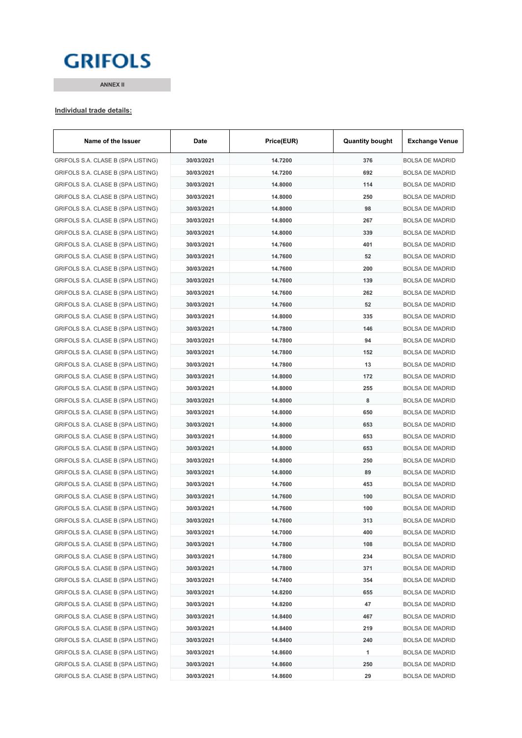# **GRIFOLS**

**ANNEX II**

#### **Individual trade details:**

| Name of the Issuer                 | Date       | Price(EUR) | <b>Quantity bought</b> | <b>Exchange Venue</b>  |
|------------------------------------|------------|------------|------------------------|------------------------|
| GRIFOLS S.A. CLASE B (SPA LISTING) | 30/03/2021 | 14.7200    | 376                    | <b>BOLSA DE MADRID</b> |
| GRIFOLS S.A. CLASE B (SPA LISTING) | 30/03/2021 | 14.7200    | 692                    | <b>BOLSA DE MADRID</b> |
| GRIFOLS S.A. CLASE B (SPA LISTING) | 30/03/2021 | 14.8000    | 114                    | <b>BOLSA DE MADRID</b> |
| GRIFOLS S.A. CLASE B (SPA LISTING) | 30/03/2021 | 14.8000    | 250                    | <b>BOLSA DE MADRID</b> |
| GRIFOLS S.A. CLASE B (SPA LISTING) | 30/03/2021 | 14.8000    | 98                     | <b>BOLSA DE MADRID</b> |
| GRIFOLS S.A. CLASE B (SPA LISTING) | 30/03/2021 | 14.8000    | 267                    | <b>BOLSA DE MADRID</b> |
| GRIFOLS S.A. CLASE B (SPA LISTING) | 30/03/2021 | 14.8000    | 339                    | <b>BOLSA DE MADRID</b> |
| GRIFOLS S.A. CLASE B (SPA LISTING) | 30/03/2021 | 14.7600    | 401                    | <b>BOLSA DE MADRID</b> |
| GRIFOLS S.A. CLASE B (SPA LISTING) | 30/03/2021 | 14.7600    | 52                     | <b>BOLSA DE MADRID</b> |
| GRIFOLS S.A. CLASE B (SPA LISTING) | 30/03/2021 | 14.7600    | 200                    | <b>BOLSA DE MADRID</b> |
| GRIFOLS S.A. CLASE B (SPA LISTING) | 30/03/2021 | 14.7600    | 139                    | <b>BOLSA DE MADRID</b> |
| GRIFOLS S.A. CLASE B (SPA LISTING) | 30/03/2021 | 14.7600    | 262                    | <b>BOLSA DE MADRID</b> |
| GRIFOLS S.A. CLASE B (SPA LISTING) | 30/03/2021 | 14.7600    | 52                     | <b>BOLSA DE MADRID</b> |
| GRIFOLS S.A. CLASE B (SPA LISTING) | 30/03/2021 | 14.8000    | 335                    | <b>BOLSA DE MADRID</b> |
| GRIFOLS S.A. CLASE B (SPA LISTING) | 30/03/2021 | 14.7800    | 146                    | <b>BOLSA DE MADRID</b> |
| GRIFOLS S.A. CLASE B (SPA LISTING) | 30/03/2021 | 14.7800    | 94                     | <b>BOLSA DE MADRID</b> |
| GRIFOLS S.A. CLASE B (SPA LISTING) | 30/03/2021 | 14.7800    | 152                    | <b>BOLSA DE MADRID</b> |
| GRIFOLS S.A. CLASE B (SPA LISTING) | 30/03/2021 | 14.7800    | 13                     | <b>BOLSA DE MADRID</b> |
| GRIFOLS S.A. CLASE B (SPA LISTING) | 30/03/2021 | 14.8000    | 172                    | <b>BOLSA DE MADRID</b> |
| GRIFOLS S.A. CLASE B (SPA LISTING) | 30/03/2021 | 14.8000    | 255                    | <b>BOLSA DE MADRID</b> |
| GRIFOLS S.A. CLASE B (SPA LISTING) | 30/03/2021 | 14.8000    | 8                      | <b>BOLSA DE MADRID</b> |
| GRIFOLS S.A. CLASE B (SPA LISTING) | 30/03/2021 | 14.8000    | 650                    | <b>BOLSA DE MADRID</b> |
| GRIFOLS S.A. CLASE B (SPA LISTING) | 30/03/2021 | 14.8000    | 653                    | <b>BOLSA DE MADRID</b> |
| GRIFOLS S.A. CLASE B (SPA LISTING) | 30/03/2021 | 14.8000    | 653                    | <b>BOLSA DE MADRID</b> |
| GRIFOLS S.A. CLASE B (SPA LISTING) | 30/03/2021 | 14.8000    | 653                    | <b>BOLSA DE MADRID</b> |
| GRIFOLS S.A. CLASE B (SPA LISTING) | 30/03/2021 | 14.8000    | 250                    | <b>BOLSA DE MADRID</b> |
| GRIFOLS S.A. CLASE B (SPA LISTING) | 30/03/2021 | 14.8000    | 89                     | <b>BOLSA DE MADRID</b> |
| GRIFOLS S.A. CLASE B (SPA LISTING) | 30/03/2021 | 14.7600    | 453                    | <b>BOLSA DE MADRID</b> |
| GRIFOLS S.A. CLASE B (SPA LISTING) | 30/03/2021 | 14.7600    | 100                    | <b>BOLSA DE MADRID</b> |
| GRIFOLS S.A. CLASE B (SPA LISTING) | 30/03/2021 | 14.7600    | 100                    | <b>BOLSA DE MADRID</b> |
| GRIFOLS S.A. CLASE B (SPA LISTING) | 30/03/2021 | 14.7600    | 313                    | BOLSA DE MADRID        |
| GRIFOLS S.A. CLASE B (SPA LISTING) | 30/03/2021 | 14.7000    | 400                    | <b>BOLSA DE MADRID</b> |
| GRIFOLS S.A. CLASE B (SPA LISTING) | 30/03/2021 | 14.7800    | 108                    | <b>BOLSA DE MADRID</b> |
| GRIFOLS S.A. CLASE B (SPA LISTING) | 30/03/2021 | 14.7800    | 234                    | <b>BOLSA DE MADRID</b> |
| GRIFOLS S.A. CLASE B (SPA LISTING) | 30/03/2021 | 14.7800    | 371                    | <b>BOLSA DE MADRID</b> |
| GRIFOLS S.A. CLASE B (SPA LISTING) | 30/03/2021 | 14.7400    | 354                    | <b>BOLSA DE MADRID</b> |
| GRIFOLS S.A. CLASE B (SPA LISTING) | 30/03/2021 | 14.8200    | 655                    | <b>BOLSA DE MADRID</b> |
| GRIFOLS S.A. CLASE B (SPA LISTING) | 30/03/2021 | 14.8200    | 47                     | <b>BOLSA DE MADRID</b> |
| GRIFOLS S.A. CLASE B (SPA LISTING) | 30/03/2021 | 14.8400    | 467                    | <b>BOLSA DE MADRID</b> |
| GRIFOLS S.A. CLASE B (SPA LISTING) | 30/03/2021 | 14.8400    | 219                    | <b>BOLSA DE MADRID</b> |
| GRIFOLS S.A. CLASE B (SPA LISTING) | 30/03/2021 | 14.8400    | 240                    | <b>BOLSA DE MADRID</b> |
| GRIFOLS S.A. CLASE B (SPA LISTING) | 30/03/2021 | 14.8600    | 1                      | <b>BOLSA DE MADRID</b> |
| GRIFOLS S.A. CLASE B (SPA LISTING) | 30/03/2021 | 14.8600    | 250                    | <b>BOLSA DE MADRID</b> |
| GRIFOLS S.A. CLASE B (SPA LISTING) | 30/03/2021 | 14.8600    | 29                     | <b>BOLSA DE MADRID</b> |
|                                    |            |            |                        |                        |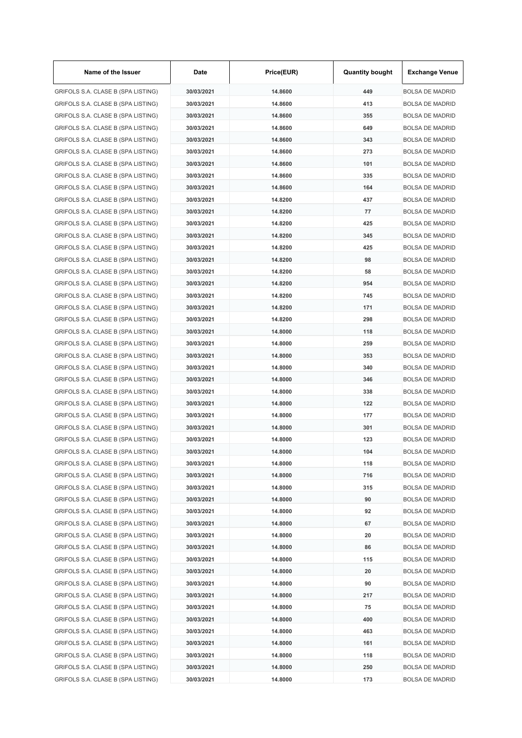| Name of the Issuer                 | Date       | Price(EUR) | <b>Quantity bought</b> | <b>Exchange Venue</b>  |
|------------------------------------|------------|------------|------------------------|------------------------|
| GRIFOLS S.A. CLASE B (SPA LISTING) | 30/03/2021 | 14.8600    | 449                    | <b>BOLSA DE MADRID</b> |
| GRIFOLS S.A. CLASE B (SPA LISTING) | 30/03/2021 | 14.8600    | 413                    | <b>BOLSA DE MADRID</b> |
| GRIFOLS S.A. CLASE B (SPA LISTING) | 30/03/2021 | 14.8600    | 355                    | <b>BOLSA DE MADRID</b> |
| GRIFOLS S.A. CLASE B (SPA LISTING) | 30/03/2021 | 14.8600    | 649                    | <b>BOLSA DE MADRID</b> |
| GRIFOLS S.A. CLASE B (SPA LISTING) | 30/03/2021 | 14.8600    | 343                    | <b>BOLSA DE MADRID</b> |
| GRIFOLS S.A. CLASE B (SPA LISTING) | 30/03/2021 | 14.8600    | 273                    | <b>BOLSA DE MADRID</b> |
| GRIFOLS S.A. CLASE B (SPA LISTING) | 30/03/2021 | 14.8600    | 101                    | <b>BOLSA DE MADRID</b> |
| GRIFOLS S.A. CLASE B (SPA LISTING) | 30/03/2021 | 14.8600    | 335                    | <b>BOLSA DE MADRID</b> |
| GRIFOLS S.A. CLASE B (SPA LISTING) | 30/03/2021 | 14.8600    | 164                    | <b>BOLSA DE MADRID</b> |
| GRIFOLS S.A. CLASE B (SPA LISTING) | 30/03/2021 | 14.8200    | 437                    | <b>BOLSA DE MADRID</b> |
| GRIFOLS S.A. CLASE B (SPA LISTING) | 30/03/2021 | 14.8200    | 77                     | <b>BOLSA DE MADRID</b> |
| GRIFOLS S.A. CLASE B (SPA LISTING) | 30/03/2021 | 14.8200    | 425                    | <b>BOLSA DE MADRID</b> |
| GRIFOLS S.A. CLASE B (SPA LISTING) | 30/03/2021 | 14.8200    | 345                    | <b>BOLSA DE MADRID</b> |
| GRIFOLS S.A. CLASE B (SPA LISTING) | 30/03/2021 | 14.8200    | 425                    | <b>BOLSA DE MADRID</b> |
| GRIFOLS S.A. CLASE B (SPA LISTING) | 30/03/2021 | 14.8200    | 98                     | <b>BOLSA DE MADRID</b> |
| GRIFOLS S.A. CLASE B (SPA LISTING) | 30/03/2021 | 14.8200    | 58                     | <b>BOLSA DE MADRID</b> |
| GRIFOLS S.A. CLASE B (SPA LISTING) | 30/03/2021 | 14.8200    | 954                    | <b>BOLSA DE MADRID</b> |
| GRIFOLS S.A. CLASE B (SPA LISTING) | 30/03/2021 | 14.8200    | 745                    | <b>BOLSA DE MADRID</b> |
| GRIFOLS S.A. CLASE B (SPA LISTING) | 30/03/2021 | 14.8200    | 171                    | <b>BOLSA DE MADRID</b> |
| GRIFOLS S.A. CLASE B (SPA LISTING) | 30/03/2021 | 14.8200    | 298                    | <b>BOLSA DE MADRID</b> |
| GRIFOLS S.A. CLASE B (SPA LISTING) | 30/03/2021 | 14.8000    | 118                    | <b>BOLSA DE MADRID</b> |
| GRIFOLS S.A. CLASE B (SPA LISTING) | 30/03/2021 | 14.8000    | 259                    | <b>BOLSA DE MADRID</b> |
| GRIFOLS S.A. CLASE B (SPA LISTING) | 30/03/2021 | 14.8000    | 353                    | <b>BOLSA DE MADRID</b> |
| GRIFOLS S.A. CLASE B (SPA LISTING) | 30/03/2021 | 14.8000    | 340                    | <b>BOLSA DE MADRID</b> |
| GRIFOLS S.A. CLASE B (SPA LISTING) | 30/03/2021 | 14.8000    | 346                    | <b>BOLSA DE MADRID</b> |
|                                    | 30/03/2021 | 14.8000    | 338                    | <b>BOLSA DE MADRID</b> |
| GRIFOLS S.A. CLASE B (SPA LISTING) | 30/03/2021 |            |                        |                        |
| GRIFOLS S.A. CLASE B (SPA LISTING) |            | 14.8000    | 122                    | <b>BOLSA DE MADRID</b> |
| GRIFOLS S.A. CLASE B (SPA LISTING) | 30/03/2021 | 14.8000    | 177                    | <b>BOLSA DE MADRID</b> |
| GRIFOLS S.A. CLASE B (SPA LISTING) | 30/03/2021 | 14.8000    | 301                    | <b>BOLSA DE MADRID</b> |
| GRIFOLS S.A. CLASE B (SPA LISTING) | 30/03/2021 | 14.8000    | 123                    | <b>BOLSA DE MADRID</b> |
| GRIFOLS S.A. CLASE B (SPA LISTING) | 30/03/2021 | 14.8000    | 104                    | <b>BOLSA DE MADRID</b> |
| GRIFOLS S.A. CLASE B (SPA LISTING) | 30/03/2021 | 14.8000    | 118                    | <b>BOLSA DE MADRID</b> |
| GRIFOLS S.A. CLASE B (SPA LISTING) | 30/03/2021 | 14.8000    | 716                    | <b>BOLSA DE MADRID</b> |
| GRIFOLS S.A. CLASE B (SPA LISTING) | 30/03/2021 | 14.8000    | 315                    | <b>BOLSA DE MADRID</b> |
| GRIFOLS S.A. CLASE B (SPA LISTING) | 30/03/2021 | 14.8000    | 90                     | <b>BOLSA DE MADRID</b> |
| GRIFOLS S.A. CLASE B (SPA LISTING) | 30/03/2021 | 14.8000    | 92                     | <b>BOLSA DE MADRID</b> |
| GRIFOLS S.A. CLASE B (SPA LISTING) | 30/03/2021 | 14.8000    | 67                     | <b>BOLSA DE MADRID</b> |
| GRIFOLS S.A. CLASE B (SPA LISTING) | 30/03/2021 | 14.8000    | 20                     | <b>BOLSA DE MADRID</b> |
| GRIFOLS S.A. CLASE B (SPA LISTING) | 30/03/2021 | 14.8000    | 86                     | <b>BOLSA DE MADRID</b> |
| GRIFOLS S.A. CLASE B (SPA LISTING) | 30/03/2021 | 14.8000    | 115                    | <b>BOLSA DE MADRID</b> |
| GRIFOLS S.A. CLASE B (SPA LISTING) | 30/03/2021 | 14.8000    | 20                     | <b>BOLSA DE MADRID</b> |
| GRIFOLS S.A. CLASE B (SPA LISTING) | 30/03/2021 | 14.8000    | 90                     | <b>BOLSA DE MADRID</b> |
| GRIFOLS S.A. CLASE B (SPA LISTING) | 30/03/2021 | 14.8000    | 217                    | <b>BOLSA DE MADRID</b> |
| GRIFOLS S.A. CLASE B (SPA LISTING) | 30/03/2021 | 14.8000    | 75                     | <b>BOLSA DE MADRID</b> |
| GRIFOLS S.A. CLASE B (SPA LISTING) | 30/03/2021 | 14.8000    | 400                    | <b>BOLSA DE MADRID</b> |
| GRIFOLS S.A. CLASE B (SPA LISTING) | 30/03/2021 | 14.8000    | 463                    | <b>BOLSA DE MADRID</b> |
| GRIFOLS S.A. CLASE B (SPA LISTING) | 30/03/2021 | 14.8000    | 161                    | <b>BOLSA DE MADRID</b> |
| GRIFOLS S.A. CLASE B (SPA LISTING) | 30/03/2021 | 14.8000    | 118                    | <b>BOLSA DE MADRID</b> |
| GRIFOLS S.A. CLASE B (SPA LISTING) | 30/03/2021 | 14.8000    | 250                    | <b>BOLSA DE MADRID</b> |
| GRIFOLS S.A. CLASE B (SPA LISTING) | 30/03/2021 | 14.8000    | 173                    | <b>BOLSA DE MADRID</b> |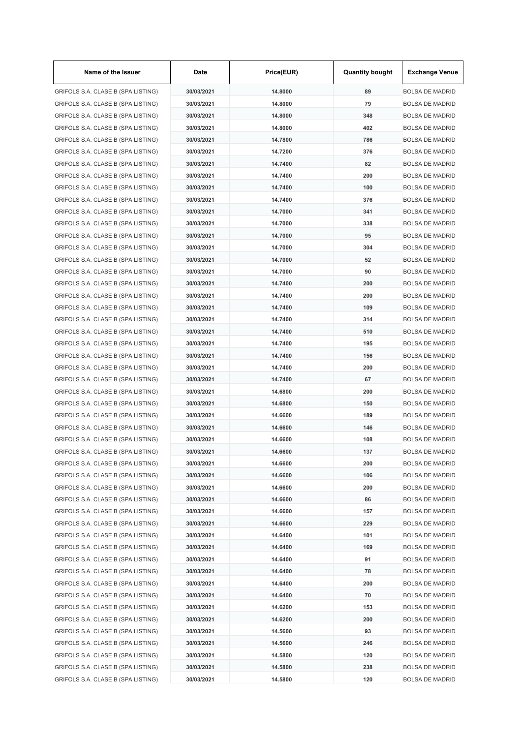| Name of the Issuer                 | Date       | Price(EUR) | <b>Quantity bought</b> | <b>Exchange Venue</b>  |
|------------------------------------|------------|------------|------------------------|------------------------|
| GRIFOLS S.A. CLASE B (SPA LISTING) | 30/03/2021 | 14.8000    | 89                     | <b>BOLSA DE MADRID</b> |
| GRIFOLS S.A. CLASE B (SPA LISTING) | 30/03/2021 | 14.8000    | 79                     | <b>BOLSA DE MADRID</b> |
| GRIFOLS S.A. CLASE B (SPA LISTING) | 30/03/2021 | 14.8000    | 348                    | <b>BOLSA DE MADRID</b> |
| GRIFOLS S.A. CLASE B (SPA LISTING) | 30/03/2021 | 14.8000    | 402                    | <b>BOLSA DE MADRID</b> |
| GRIFOLS S.A. CLASE B (SPA LISTING) | 30/03/2021 | 14.7800    | 786                    | <b>BOLSA DE MADRID</b> |
| GRIFOLS S.A. CLASE B (SPA LISTING) | 30/03/2021 | 14.7200    | 376                    | <b>BOLSA DE MADRID</b> |
| GRIFOLS S.A. CLASE B (SPA LISTING) | 30/03/2021 | 14.7400    | 82                     | <b>BOLSA DE MADRID</b> |
| GRIFOLS S.A. CLASE B (SPA LISTING) | 30/03/2021 | 14.7400    | 200                    | <b>BOLSA DE MADRID</b> |
| GRIFOLS S.A. CLASE B (SPA LISTING) | 30/03/2021 | 14.7400    | 100                    | <b>BOLSA DE MADRID</b> |
| GRIFOLS S.A. CLASE B (SPA LISTING) | 30/03/2021 | 14.7400    | 376                    | <b>BOLSA DE MADRID</b> |
| GRIFOLS S.A. CLASE B (SPA LISTING) | 30/03/2021 | 14.7000    | 341                    | <b>BOLSA DE MADRID</b> |
| GRIFOLS S.A. CLASE B (SPA LISTING) | 30/03/2021 | 14.7000    | 338                    | <b>BOLSA DE MADRID</b> |
| GRIFOLS S.A. CLASE B (SPA LISTING) | 30/03/2021 | 14.7000    | 95                     | <b>BOLSA DE MADRID</b> |
| GRIFOLS S.A. CLASE B (SPA LISTING) | 30/03/2021 | 14.7000    | 304                    | <b>BOLSA DE MADRID</b> |
| GRIFOLS S.A. CLASE B (SPA LISTING) | 30/03/2021 | 14.7000    | 52                     | <b>BOLSA DE MADRID</b> |
| GRIFOLS S.A. CLASE B (SPA LISTING) | 30/03/2021 | 14.7000    | 90                     | <b>BOLSA DE MADRID</b> |
| GRIFOLS S.A. CLASE B (SPA LISTING) | 30/03/2021 | 14.7400    | 200                    | <b>BOLSA DE MADRID</b> |
| GRIFOLS S.A. CLASE B (SPA LISTING) | 30/03/2021 | 14.7400    | 200                    | <b>BOLSA DE MADRID</b> |
| GRIFOLS S.A. CLASE B (SPA LISTING) | 30/03/2021 | 14.7400    | 109                    | <b>BOLSA DE MADRID</b> |
| GRIFOLS S.A. CLASE B (SPA LISTING) | 30/03/2021 | 14.7400    | 314                    | <b>BOLSA DE MADRID</b> |
| GRIFOLS S.A. CLASE B (SPA LISTING) | 30/03/2021 | 14.7400    | 510                    | <b>BOLSA DE MADRID</b> |
| GRIFOLS S.A. CLASE B (SPA LISTING) | 30/03/2021 | 14.7400    | 195                    | <b>BOLSA DE MADRID</b> |
| GRIFOLS S.A. CLASE B (SPA LISTING) | 30/03/2021 | 14.7400    | 156                    | <b>BOLSA DE MADRID</b> |
| GRIFOLS S.A. CLASE B (SPA LISTING) | 30/03/2021 | 14.7400    | 200                    | <b>BOLSA DE MADRID</b> |
|                                    | 30/03/2021 | 14.7400    | 67                     | <b>BOLSA DE MADRID</b> |
| GRIFOLS S.A. CLASE B (SPA LISTING) |            |            |                        |                        |
| GRIFOLS S.A. CLASE B (SPA LISTING) | 30/03/2021 | 14.6800    | 200                    | <b>BOLSA DE MADRID</b> |
| GRIFOLS S.A. CLASE B (SPA LISTING) | 30/03/2021 | 14.6800    | 150                    | <b>BOLSA DE MADRID</b> |
| GRIFOLS S.A. CLASE B (SPA LISTING) | 30/03/2021 | 14.6600    | 189                    | <b>BOLSA DE MADRID</b> |
| GRIFOLS S.A. CLASE B (SPA LISTING) | 30/03/2021 | 14.6600    | 146                    | <b>BOLSA DE MADRID</b> |
| GRIFOLS S.A. CLASE B (SPA LISTING) | 30/03/2021 | 14.6600    | 108                    | <b>BOLSA DE MADRID</b> |
| GRIFOLS S.A. CLASE B (SPA LISTING) | 30/03/2021 | 14.6600    | 137                    | <b>BOLSA DE MADRID</b> |
| GRIFOLS S.A. CLASE B (SPA LISTING) | 30/03/2021 | 14.6600    | 200                    | <b>BOLSA DE MADRID</b> |
| GRIFOLS S.A. CLASE B (SPA LISTING) | 30/03/2021 | 14.6600    | 106                    | <b>BOLSA DE MADRID</b> |
| GRIFOLS S.A. CLASE B (SPA LISTING) | 30/03/2021 | 14.6600    | 200                    | <b>BOLSA DE MADRID</b> |
| GRIFOLS S.A. CLASE B (SPA LISTING) | 30/03/2021 | 14.6600    | 86                     | <b>BOLSA DE MADRID</b> |
| GRIFOLS S.A. CLASE B (SPA LISTING) | 30/03/2021 | 14.6600    | 157                    | <b>BOLSA DE MADRID</b> |
| GRIFOLS S.A. CLASE B (SPA LISTING) | 30/03/2021 | 14.6600    | 229                    | <b>BOLSA DE MADRID</b> |
| GRIFOLS S.A. CLASE B (SPA LISTING) | 30/03/2021 | 14.6400    | 101                    | <b>BOLSA DE MADRID</b> |
| GRIFOLS S.A. CLASE B (SPA LISTING) | 30/03/2021 | 14.6400    | 169                    | <b>BOLSA DE MADRID</b> |
| GRIFOLS S.A. CLASE B (SPA LISTING) | 30/03/2021 | 14.6400    | 91                     | <b>BOLSA DE MADRID</b> |
| GRIFOLS S.A. CLASE B (SPA LISTING) | 30/03/2021 | 14.6400    | 78                     | <b>BOLSA DE MADRID</b> |
| GRIFOLS S.A. CLASE B (SPA LISTING) | 30/03/2021 | 14.6400    | 200                    | <b>BOLSA DE MADRID</b> |
| GRIFOLS S.A. CLASE B (SPA LISTING) | 30/03/2021 | 14.6400    | 70                     | <b>BOLSA DE MADRID</b> |
| GRIFOLS S.A. CLASE B (SPA LISTING) | 30/03/2021 | 14.6200    | 153                    | <b>BOLSA DE MADRID</b> |
| GRIFOLS S.A. CLASE B (SPA LISTING) | 30/03/2021 | 14.6200    | 200                    | <b>BOLSA DE MADRID</b> |
| GRIFOLS S.A. CLASE B (SPA LISTING) | 30/03/2021 | 14.5600    | 93                     | <b>BOLSA DE MADRID</b> |
| GRIFOLS S.A. CLASE B (SPA LISTING) | 30/03/2021 | 14.5600    | 246                    | <b>BOLSA DE MADRID</b> |
| GRIFOLS S.A. CLASE B (SPA LISTING) | 30/03/2021 | 14.5800    | 120                    | <b>BOLSA DE MADRID</b> |
| GRIFOLS S.A. CLASE B (SPA LISTING) | 30/03/2021 | 14.5800    | 238                    | <b>BOLSA DE MADRID</b> |
| GRIFOLS S.A. CLASE B (SPA LISTING) | 30/03/2021 | 14.5800    | 120                    | <b>BOLSA DE MADRID</b> |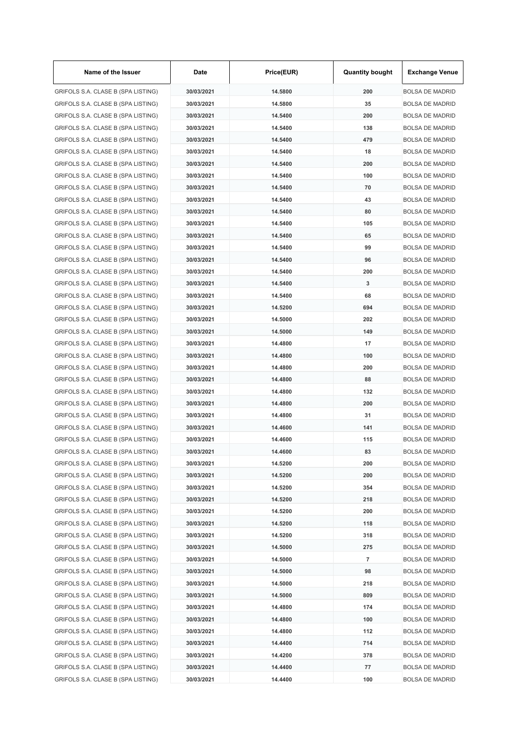| Name of the Issuer                 | Date       | Price(EUR) | <b>Quantity bought</b> | <b>Exchange Venue</b>  |
|------------------------------------|------------|------------|------------------------|------------------------|
| GRIFOLS S.A. CLASE B (SPA LISTING) | 30/03/2021 | 14.5800    | 200                    | <b>BOLSA DE MADRID</b> |
| GRIFOLS S.A. CLASE B (SPA LISTING) | 30/03/2021 | 14.5800    | 35                     | <b>BOLSA DE MADRID</b> |
| GRIFOLS S.A. CLASE B (SPA LISTING) | 30/03/2021 | 14.5400    | 200                    | <b>BOLSA DE MADRID</b> |
| GRIFOLS S.A. CLASE B (SPA LISTING) | 30/03/2021 | 14.5400    | 138                    | <b>BOLSA DE MADRID</b> |
| GRIFOLS S.A. CLASE B (SPA LISTING) | 30/03/2021 | 14.5400    | 479                    | <b>BOLSA DE MADRID</b> |
| GRIFOLS S.A. CLASE B (SPA LISTING) | 30/03/2021 | 14.5400    | 18                     | <b>BOLSA DE MADRID</b> |
| GRIFOLS S.A. CLASE B (SPA LISTING) | 30/03/2021 | 14.5400    | 200                    | <b>BOLSA DE MADRID</b> |
| GRIFOLS S.A. CLASE B (SPA LISTING) | 30/03/2021 | 14.5400    | 100                    | <b>BOLSA DE MADRID</b> |
| GRIFOLS S.A. CLASE B (SPA LISTING) | 30/03/2021 | 14.5400    | 70                     | <b>BOLSA DE MADRID</b> |
| GRIFOLS S.A. CLASE B (SPA LISTING) | 30/03/2021 | 14.5400    | 43                     | <b>BOLSA DE MADRID</b> |
| GRIFOLS S.A. CLASE B (SPA LISTING) | 30/03/2021 | 14.5400    | 80                     | <b>BOLSA DE MADRID</b> |
| GRIFOLS S.A. CLASE B (SPA LISTING) | 30/03/2021 | 14.5400    | 105                    | <b>BOLSA DE MADRID</b> |
| GRIFOLS S.A. CLASE B (SPA LISTING) | 30/03/2021 | 14.5400    | 65                     | <b>BOLSA DE MADRID</b> |
| GRIFOLS S.A. CLASE B (SPA LISTING) | 30/03/2021 | 14.5400    | 99                     | <b>BOLSA DE MADRID</b> |
| GRIFOLS S.A. CLASE B (SPA LISTING) | 30/03/2021 | 14.5400    | 96                     | <b>BOLSA DE MADRID</b> |
| GRIFOLS S.A. CLASE B (SPA LISTING) | 30/03/2021 | 14.5400    | 200                    | <b>BOLSA DE MADRID</b> |
| GRIFOLS S.A. CLASE B (SPA LISTING) | 30/03/2021 | 14.5400    | 3                      | <b>BOLSA DE MADRID</b> |
| GRIFOLS S.A. CLASE B (SPA LISTING) | 30/03/2021 | 14.5400    | 68                     | <b>BOLSA DE MADRID</b> |
| GRIFOLS S.A. CLASE B (SPA LISTING) | 30/03/2021 | 14.5200    | 694                    | <b>BOLSA DE MADRID</b> |
| GRIFOLS S.A. CLASE B (SPA LISTING) | 30/03/2021 | 14.5000    | 202                    | <b>BOLSA DE MADRID</b> |
| GRIFOLS S.A. CLASE B (SPA LISTING) | 30/03/2021 | 14.5000    | 149                    | <b>BOLSA DE MADRID</b> |
| GRIFOLS S.A. CLASE B (SPA LISTING) | 30/03/2021 | 14.4800    | 17                     | <b>BOLSA DE MADRID</b> |
| GRIFOLS S.A. CLASE B (SPA LISTING) | 30/03/2021 | 14.4800    | 100                    | <b>BOLSA DE MADRID</b> |
| GRIFOLS S.A. CLASE B (SPA LISTING) | 30/03/2021 | 14.4800    | 200                    | <b>BOLSA DE MADRID</b> |
| GRIFOLS S.A. CLASE B (SPA LISTING) | 30/03/2021 | 14.4800    | 88                     | <b>BOLSA DE MADRID</b> |
| GRIFOLS S.A. CLASE B (SPA LISTING) | 30/03/2021 | 14.4800    | 132                    | <b>BOLSA DE MADRID</b> |
|                                    |            |            | 200                    |                        |
| GRIFOLS S.A. CLASE B (SPA LISTING) | 30/03/2021 | 14.4800    | 31                     | <b>BOLSA DE MADRID</b> |
| GRIFOLS S.A. CLASE B (SPA LISTING) | 30/03/2021 | 14.4800    |                        | <b>BOLSA DE MADRID</b> |
| GRIFOLS S.A. CLASE B (SPA LISTING) | 30/03/2021 | 14.4600    | 141                    | <b>BOLSA DE MADRID</b> |
| GRIFOLS S.A. CLASE B (SPA LISTING) | 30/03/2021 | 14.4600    | 115                    | <b>BOLSA DE MADRID</b> |
| GRIFOLS S.A. CLASE B (SPA LISTING) | 30/03/2021 | 14.4600    | 83                     | <b>BOLSA DE MADRID</b> |
| GRIFOLS S.A. CLASE B (SPA LISTING) | 30/03/2021 | 14.5200    | 200                    | <b>BOLSA DE MADRID</b> |
| GRIFOLS S.A. CLASE B (SPA LISTING) | 30/03/2021 | 14.5200    | 200                    | <b>BOLSA DE MADRID</b> |
| GRIFOLS S.A. CLASE B (SPA LISTING) | 30/03/2021 | 14.5200    | 354                    | <b>BOLSA DE MADRID</b> |
| GRIFOLS S.A. CLASE B (SPA LISTING) | 30/03/2021 | 14.5200    | 218                    | <b>BOLSA DE MADRID</b> |
| GRIFOLS S.A. CLASE B (SPA LISTING) | 30/03/2021 | 14.5200    | 200                    | <b>BOLSA DE MADRID</b> |
| GRIFOLS S.A. CLASE B (SPA LISTING) | 30/03/2021 | 14.5200    | 118                    | <b>BOLSA DE MADRID</b> |
| GRIFOLS S.A. CLASE B (SPA LISTING) | 30/03/2021 | 14.5200    | 318                    | <b>BOLSA DE MADRID</b> |
| GRIFOLS S.A. CLASE B (SPA LISTING) | 30/03/2021 | 14.5000    | 275                    | <b>BOLSA DE MADRID</b> |
| GRIFOLS S.A. CLASE B (SPA LISTING) | 30/03/2021 | 14.5000    | 7                      | <b>BOLSA DE MADRID</b> |
| GRIFOLS S.A. CLASE B (SPA LISTING) | 30/03/2021 | 14.5000    | 98                     | <b>BOLSA DE MADRID</b> |
| GRIFOLS S.A. CLASE B (SPA LISTING) | 30/03/2021 | 14.5000    | 218                    | <b>BOLSA DE MADRID</b> |
| GRIFOLS S.A. CLASE B (SPA LISTING) | 30/03/2021 | 14.5000    | 809                    | <b>BOLSA DE MADRID</b> |
| GRIFOLS S.A. CLASE B (SPA LISTING) | 30/03/2021 | 14.4800    | 174                    | <b>BOLSA DE MADRID</b> |
| GRIFOLS S.A. CLASE B (SPA LISTING) | 30/03/2021 | 14.4800    | 100                    | <b>BOLSA DE MADRID</b> |
| GRIFOLS S.A. CLASE B (SPA LISTING) | 30/03/2021 | 14.4800    | 112                    | <b>BOLSA DE MADRID</b> |
| GRIFOLS S.A. CLASE B (SPA LISTING) | 30/03/2021 | 14.4400    | 714                    | <b>BOLSA DE MADRID</b> |
| GRIFOLS S.A. CLASE B (SPA LISTING) | 30/03/2021 | 14.4200    | 378                    | <b>BOLSA DE MADRID</b> |
| GRIFOLS S.A. CLASE B (SPA LISTING) | 30/03/2021 | 14.4400    | 77                     | <b>BOLSA DE MADRID</b> |
| GRIFOLS S.A. CLASE B (SPA LISTING) | 30/03/2021 | 14.4400    | 100                    | <b>BOLSA DE MADRID</b> |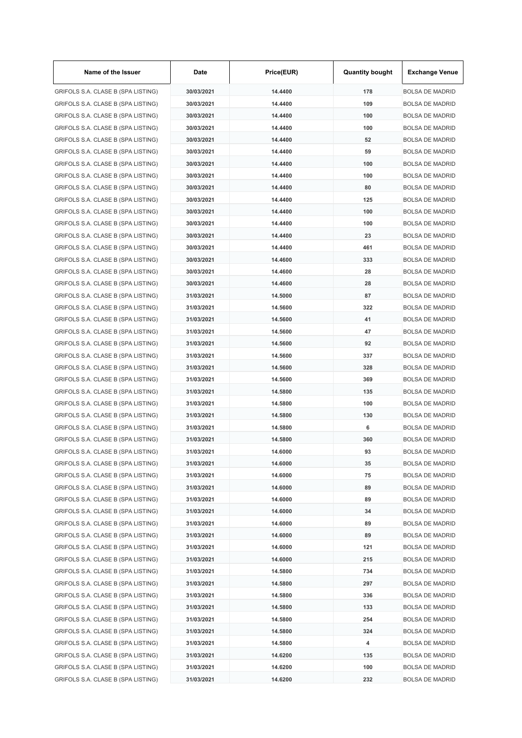| Name of the Issuer                 | Date       | Price(EUR) | <b>Quantity bought</b> | <b>Exchange Venue</b>  |
|------------------------------------|------------|------------|------------------------|------------------------|
| GRIFOLS S.A. CLASE B (SPA LISTING) | 30/03/2021 | 14.4400    | 178                    | <b>BOLSA DE MADRID</b> |
| GRIFOLS S.A. CLASE B (SPA LISTING) | 30/03/2021 | 14.4400    | 109                    | <b>BOLSA DE MADRID</b> |
| GRIFOLS S.A. CLASE B (SPA LISTING) | 30/03/2021 | 14.4400    | 100                    | <b>BOLSA DE MADRID</b> |
| GRIFOLS S.A. CLASE B (SPA LISTING) | 30/03/2021 | 14.4400    | 100                    | <b>BOLSA DE MADRID</b> |
| GRIFOLS S.A. CLASE B (SPA LISTING) | 30/03/2021 | 14.4400    | 52                     | <b>BOLSA DE MADRID</b> |
| GRIFOLS S.A. CLASE B (SPA LISTING) | 30/03/2021 | 14.4400    | 59                     | <b>BOLSA DE MADRID</b> |
| GRIFOLS S.A. CLASE B (SPA LISTING) | 30/03/2021 | 14.4400    | 100                    | <b>BOLSA DE MADRID</b> |
| GRIFOLS S.A. CLASE B (SPA LISTING) | 30/03/2021 | 14.4400    | 100                    | <b>BOLSA DE MADRID</b> |
| GRIFOLS S.A. CLASE B (SPA LISTING) | 30/03/2021 | 14.4400    | 80                     | <b>BOLSA DE MADRID</b> |
| GRIFOLS S.A. CLASE B (SPA LISTING) | 30/03/2021 | 14.4400    | 125                    | <b>BOLSA DE MADRID</b> |
| GRIFOLS S.A. CLASE B (SPA LISTING) | 30/03/2021 | 14.4400    | 100                    | <b>BOLSA DE MADRID</b> |
| GRIFOLS S.A. CLASE B (SPA LISTING) | 30/03/2021 | 14.4400    | 100                    | <b>BOLSA DE MADRID</b> |
| GRIFOLS S.A. CLASE B (SPA LISTING) | 30/03/2021 | 14.4400    | 23                     | <b>BOLSA DE MADRID</b> |
| GRIFOLS S.A. CLASE B (SPA LISTING) | 30/03/2021 | 14.4400    | 461                    | <b>BOLSA DE MADRID</b> |
| GRIFOLS S.A. CLASE B (SPA LISTING) | 30/03/2021 | 14.4600    | 333                    | <b>BOLSA DE MADRID</b> |
| GRIFOLS S.A. CLASE B (SPA LISTING) | 30/03/2021 | 14.4600    | 28                     | <b>BOLSA DE MADRID</b> |
| GRIFOLS S.A. CLASE B (SPA LISTING) | 30/03/2021 | 14.4600    | 28                     | <b>BOLSA DE MADRID</b> |
| GRIFOLS S.A. CLASE B (SPA LISTING) | 31/03/2021 | 14.5000    | 87                     | <b>BOLSA DE MADRID</b> |
| GRIFOLS S.A. CLASE B (SPA LISTING) | 31/03/2021 | 14.5600    | 322                    | <b>BOLSA DE MADRID</b> |
|                                    | 31/03/2021 | 14.5600    | 41                     | <b>BOLSA DE MADRID</b> |
| GRIFOLS S.A. CLASE B (SPA LISTING) |            |            |                        |                        |
| GRIFOLS S.A. CLASE B (SPA LISTING) | 31/03/2021 | 14.5600    | 47                     | <b>BOLSA DE MADRID</b> |
| GRIFOLS S.A. CLASE B (SPA LISTING) | 31/03/2021 | 14.5600    | 92                     | <b>BOLSA DE MADRID</b> |
| GRIFOLS S.A. CLASE B (SPA LISTING) | 31/03/2021 | 14.5600    | 337                    | <b>BOLSA DE MADRID</b> |
| GRIFOLS S.A. CLASE B (SPA LISTING) | 31/03/2021 | 14.5600    | 328                    | <b>BOLSA DE MADRID</b> |
| GRIFOLS S.A. CLASE B (SPA LISTING) | 31/03/2021 | 14.5600    | 369                    | <b>BOLSA DE MADRID</b> |
| GRIFOLS S.A. CLASE B (SPA LISTING) | 31/03/2021 | 14.5800    | 135                    | <b>BOLSA DE MADRID</b> |
| GRIFOLS S.A. CLASE B (SPA LISTING) | 31/03/2021 | 14.5800    | 100                    | <b>BOLSA DE MADRID</b> |
| GRIFOLS S.A. CLASE B (SPA LISTING) | 31/03/2021 | 14.5800    | 130                    | <b>BOLSA DE MADRID</b> |
| GRIFOLS S.A. CLASE B (SPA LISTING) | 31/03/2021 | 14.5800    | 6                      | <b>BOLSA DE MADRID</b> |
| GRIFOLS S.A. CLASE B (SPA LISTING) | 31/03/2021 | 14.5800    | 360                    | <b>BOLSA DE MADRID</b> |
| GRIFOLS S.A. CLASE B (SPA LISTING) | 31/03/2021 | 14.6000    | 93                     | <b>BOLSA DE MADRID</b> |
| GRIFOLS S.A. CLASE B (SPA LISTING) | 31/03/2021 | 14.6000    | 35                     | <b>BOLSA DE MADRID</b> |
| GRIFOLS S.A. CLASE B (SPA LISTING) | 31/03/2021 | 14.6000    | 75                     | <b>BOLSA DE MADRID</b> |
| GRIFOLS S.A. CLASE B (SPA LISTING) | 31/03/2021 | 14.6000    | 89                     | <b>BOLSA DE MADRID</b> |
| GRIFOLS S.A. CLASE B (SPA LISTING) | 31/03/2021 | 14.6000    | 89                     | <b>BOLSA DE MADRID</b> |
| GRIFOLS S.A. CLASE B (SPA LISTING) | 31/03/2021 | 14.6000    | 34                     | <b>BOLSA DE MADRID</b> |
| GRIFOLS S.A. CLASE B (SPA LISTING) | 31/03/2021 | 14.6000    | 89                     | <b>BOLSA DE MADRID</b> |
| GRIFOLS S.A. CLASE B (SPA LISTING) | 31/03/2021 | 14.6000    | 89                     | <b>BOLSA DE MADRID</b> |
| GRIFOLS S.A. CLASE B (SPA LISTING) | 31/03/2021 | 14.6000    | 121                    | <b>BOLSA DE MADRID</b> |
| GRIFOLS S.A. CLASE B (SPA LISTING) | 31/03/2021 | 14.6000    | 215                    | <b>BOLSA DE MADRID</b> |
| GRIFOLS S.A. CLASE B (SPA LISTING) | 31/03/2021 | 14.5800    | 734                    | <b>BOLSA DE MADRID</b> |
| GRIFOLS S.A. CLASE B (SPA LISTING) | 31/03/2021 | 14.5800    | 297                    | <b>BOLSA DE MADRID</b> |
| GRIFOLS S.A. CLASE B (SPA LISTING) | 31/03/2021 | 14.5800    | 336                    | <b>BOLSA DE MADRID</b> |
| GRIFOLS S.A. CLASE B (SPA LISTING) | 31/03/2021 | 14.5800    | 133                    | <b>BOLSA DE MADRID</b> |
| GRIFOLS S.A. CLASE B (SPA LISTING) | 31/03/2021 | 14.5800    | 254                    | <b>BOLSA DE MADRID</b> |
| GRIFOLS S.A. CLASE B (SPA LISTING) | 31/03/2021 | 14.5800    | 324                    | <b>BOLSA DE MADRID</b> |
| GRIFOLS S.A. CLASE B (SPA LISTING) | 31/03/2021 | 14.5800    | 4                      | <b>BOLSA DE MADRID</b> |
| GRIFOLS S.A. CLASE B (SPA LISTING) | 31/03/2021 | 14.6200    | 135                    | <b>BOLSA DE MADRID</b> |
| GRIFOLS S.A. CLASE B (SPA LISTING) | 31/03/2021 | 14.6200    | 100                    | <b>BOLSA DE MADRID</b> |
| GRIFOLS S.A. CLASE B (SPA LISTING) | 31/03/2021 | 14.6200    | 232                    | <b>BOLSA DE MADRID</b> |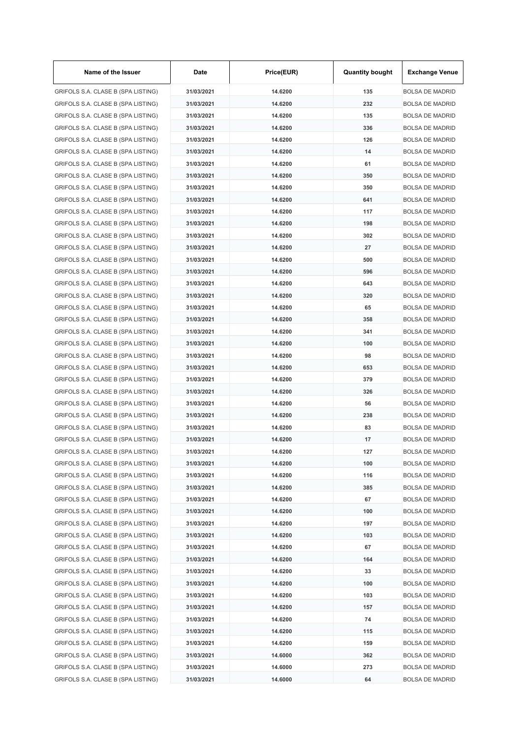| Name of the Issuer                                                       | Date                     | Price(EUR)         | <b>Quantity bought</b> | <b>Exchange Venue</b>                            |
|--------------------------------------------------------------------------|--------------------------|--------------------|------------------------|--------------------------------------------------|
| GRIFOLS S.A. CLASE B (SPA LISTING)                                       | 31/03/2021               | 14.6200            | 135                    | <b>BOLSA DE MADRID</b>                           |
| GRIFOLS S.A. CLASE B (SPA LISTING)                                       | 31/03/2021               | 14.6200            | 232                    | <b>BOLSA DE MADRID</b>                           |
| GRIFOLS S.A. CLASE B (SPA LISTING)                                       | 31/03/2021               | 14.6200            | 135                    | <b>BOLSA DE MADRID</b>                           |
| GRIFOLS S.A. CLASE B (SPA LISTING)                                       | 31/03/2021               | 14.6200            | 336                    | <b>BOLSA DE MADRID</b>                           |
| GRIFOLS S.A. CLASE B (SPA LISTING)                                       | 31/03/2021               | 14.6200            | 126                    | <b>BOLSA DE MADRID</b>                           |
| GRIFOLS S.A. CLASE B (SPA LISTING)                                       | 31/03/2021               | 14.6200            | 14                     | <b>BOLSA DE MADRID</b>                           |
| GRIFOLS S.A. CLASE B (SPA LISTING)                                       | 31/03/2021               | 14.6200            | 61                     | <b>BOLSA DE MADRID</b>                           |
| GRIFOLS S.A. CLASE B (SPA LISTING)                                       | 31/03/2021               | 14.6200            | 350                    | <b>BOLSA DE MADRID</b>                           |
| GRIFOLS S.A. CLASE B (SPA LISTING)                                       | 31/03/2021               | 14.6200            | 350                    | <b>BOLSA DE MADRID</b>                           |
| GRIFOLS S.A. CLASE B (SPA LISTING)                                       | 31/03/2021               | 14.6200            | 641                    | <b>BOLSA DE MADRID</b>                           |
| GRIFOLS S.A. CLASE B (SPA LISTING)                                       | 31/03/2021               | 14.6200            | 117                    | <b>BOLSA DE MADRID</b>                           |
| GRIFOLS S.A. CLASE B (SPA LISTING)                                       | 31/03/2021               | 14.6200            | 198                    | <b>BOLSA DE MADRID</b>                           |
| GRIFOLS S.A. CLASE B (SPA LISTING)                                       | 31/03/2021               | 14.6200            | 302                    | <b>BOLSA DE MADRID</b>                           |
| GRIFOLS S.A. CLASE B (SPA LISTING)                                       | 31/03/2021               | 14.6200            | 27                     | <b>BOLSA DE MADRID</b>                           |
| GRIFOLS S.A. CLASE B (SPA LISTING)                                       | 31/03/2021               | 14.6200            | 500                    | <b>BOLSA DE MADRID</b>                           |
| GRIFOLS S.A. CLASE B (SPA LISTING)                                       | 31/03/2021               | 14.6200            | 596                    | <b>BOLSA DE MADRID</b>                           |
| GRIFOLS S.A. CLASE B (SPA LISTING)                                       | 31/03/2021               | 14.6200            | 643                    | <b>BOLSA DE MADRID</b>                           |
| GRIFOLS S.A. CLASE B (SPA LISTING)                                       | 31/03/2021               | 14.6200            | 320                    | <b>BOLSA DE MADRID</b>                           |
| GRIFOLS S.A. CLASE B (SPA LISTING)                                       | 31/03/2021               | 14.6200            | 65                     | <b>BOLSA DE MADRID</b>                           |
| GRIFOLS S.A. CLASE B (SPA LISTING)                                       | 31/03/2021               | 14.6200            | 358                    | <b>BOLSA DE MADRID</b>                           |
| GRIFOLS S.A. CLASE B (SPA LISTING)                                       | 31/03/2021               | 14.6200            | 341                    | <b>BOLSA DE MADRID</b>                           |
| GRIFOLS S.A. CLASE B (SPA LISTING)                                       | 31/03/2021               | 14.6200            | 100                    | <b>BOLSA DE MADRID</b>                           |
| GRIFOLS S.A. CLASE B (SPA LISTING)                                       | 31/03/2021               | 14.6200            | 98                     | <b>BOLSA DE MADRID</b>                           |
| GRIFOLS S.A. CLASE B (SPA LISTING)                                       | 31/03/2021               | 14.6200            | 653                    | <b>BOLSA DE MADRID</b>                           |
| GRIFOLS S.A. CLASE B (SPA LISTING)                                       | 31/03/2021               | 14.6200            | 379                    | <b>BOLSA DE MADRID</b>                           |
| GRIFOLS S.A. CLASE B (SPA LISTING)                                       | 31/03/2021               | 14.6200            | 326                    | <b>BOLSA DE MADRID</b>                           |
| GRIFOLS S.A. CLASE B (SPA LISTING)                                       | 31/03/2021               | 14.6200            | 56                     | <b>BOLSA DE MADRID</b>                           |
| GRIFOLS S.A. CLASE B (SPA LISTING)                                       | 31/03/2021               | 14.6200            | 238                    | <b>BOLSA DE MADRID</b>                           |
| GRIFOLS S.A. CLASE B (SPA LISTING)                                       | 31/03/2021               | 14.6200            | 83                     | <b>BOLSA DE MADRID</b>                           |
| GRIFOLS S.A. CLASE B (SPA LISTING)                                       | 31/03/2021               | 14.6200            | 17                     | <b>BOLSA DE MADRID</b>                           |
| GRIFOLS S.A. CLASE B (SPA LISTING)                                       | 31/03/2021               | 14.6200            | 127                    | <b>BOLSA DE MADRID</b>                           |
| GRIFOLS S.A. CLASE B (SPA LISTING)                                       | 31/03/2021               | 14.6200            | 100                    | <b>BOLSA DE MADRID</b>                           |
| GRIFOLS S.A. CLASE B (SPA LISTING)                                       | 31/03/2021               | 14.6200            | 116                    | <b>BOLSA DE MADRID</b>                           |
| GRIFOLS S.A. CLASE B (SPA LISTING)                                       | 31/03/2021               | 14.6200            | 385                    | <b>BOLSA DE MADRID</b>                           |
|                                                                          |                          |                    |                        |                                                  |
| GRIFOLS S.A. CLASE B (SPA LISTING)<br>GRIFOLS S.A. CLASE B (SPA LISTING) | 31/03/2021<br>31/03/2021 | 14.6200<br>14.6200 | 67<br>100              | <b>BOLSA DE MADRID</b><br><b>BOLSA DE MADRID</b> |
|                                                                          |                          |                    |                        |                                                  |
| GRIFOLS S.A. CLASE B (SPA LISTING)                                       | 31/03/2021               | 14.6200            | 197                    | <b>BOLSA DE MADRID</b>                           |
| GRIFOLS S.A. CLASE B (SPA LISTING)                                       | 31/03/2021               | 14.6200            | 103                    | <b>BOLSA DE MADRID</b>                           |
| GRIFOLS S.A. CLASE B (SPA LISTING)                                       | 31/03/2021               | 14.6200            | 67                     | <b>BOLSA DE MADRID</b>                           |
| GRIFOLS S.A. CLASE B (SPA LISTING)                                       | 31/03/2021               | 14.6200            | 164                    | <b>BOLSA DE MADRID</b>                           |
| GRIFOLS S.A. CLASE B (SPA LISTING)                                       | 31/03/2021               | 14.6200            | 33                     | <b>BOLSA DE MADRID</b>                           |
| GRIFOLS S.A. CLASE B (SPA LISTING)                                       | 31/03/2021               | 14.6200            | 100                    | <b>BOLSA DE MADRID</b>                           |
| GRIFOLS S.A. CLASE B (SPA LISTING)                                       | 31/03/2021               | 14.6200            | 103                    | <b>BOLSA DE MADRID</b>                           |
| GRIFOLS S.A. CLASE B (SPA LISTING)                                       | 31/03/2021               | 14.6200            | 157                    | <b>BOLSA DE MADRID</b>                           |
| GRIFOLS S.A. CLASE B (SPA LISTING)                                       | 31/03/2021               | 14.6200            | 74                     | <b>BOLSA DE MADRID</b>                           |
| GRIFOLS S.A. CLASE B (SPA LISTING)                                       | 31/03/2021               | 14.6200            | 115                    | <b>BOLSA DE MADRID</b>                           |
| GRIFOLS S.A. CLASE B (SPA LISTING)                                       | 31/03/2021               | 14.6200            | 159                    | <b>BOLSA DE MADRID</b>                           |
| GRIFOLS S.A. CLASE B (SPA LISTING)                                       | 31/03/2021               | 14.6000            | 362                    | <b>BOLSA DE MADRID</b>                           |
| GRIFOLS S.A. CLASE B (SPA LISTING)                                       | 31/03/2021               | 14.6000            | 273                    | <b>BOLSA DE MADRID</b>                           |
| GRIFOLS S.A. CLASE B (SPA LISTING)                                       | 31/03/2021               | 14.6000            | 64                     | <b>BOLSA DE MADRID</b>                           |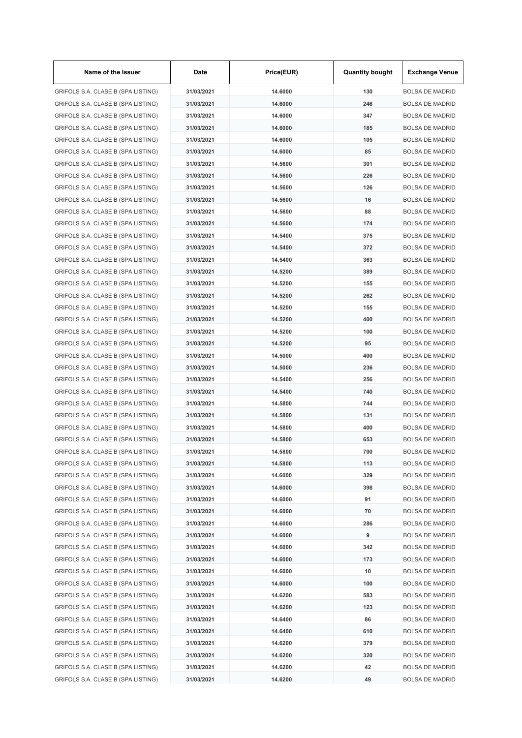| Name of the Issuer                 | Date       | Price(EUR) | <b>Quantity bought</b> | <b>Exchange Venue</b>  |
|------------------------------------|------------|------------|------------------------|------------------------|
| GRIFOLS S.A. CLASE B (SPA LISTING) | 31/03/2021 | 14.6000    | 130                    | <b>BOLSA DE MADRID</b> |
| GRIFOLS S.A. CLASE B (SPA LISTING) | 31/03/2021 | 14.6000    | 246                    | <b>BOLSA DE MADRID</b> |
| GRIFOLS S.A. CLASE B (SPA LISTING) | 31/03/2021 | 14.6000    | 347                    | <b>BOLSA DE MADRID</b> |
| GRIFOLS S.A. CLASE B (SPA LISTING) | 31/03/2021 | 14.6000    | 185                    | <b>BOLSA DE MADRID</b> |
| GRIFOLS S.A. CLASE B (SPA LISTING) | 31/03/2021 | 14.6000    | 105                    | <b>BOLSA DE MADRID</b> |
| GRIFOLS S.A. CLASE B (SPA LISTING) | 31/03/2021 | 14.6000    | 85                     | <b>BOLSA DE MADRID</b> |
| GRIFOLS S.A. CLASE B (SPA LISTING) | 31/03/2021 | 14.5600    | 301                    | <b>BOLSA DE MADRID</b> |
| GRIFOLS S.A. CLASE B (SPA LISTING) | 31/03/2021 | 14.5600    | 226                    | <b>BOLSA DE MADRID</b> |
| GRIFOLS S.A. CLASE B (SPA LISTING) | 31/03/2021 | 14.5600    | 126                    | <b>BOLSA DE MADRID</b> |
| GRIFOLS S.A. CLASE B (SPA LISTING) | 31/03/2021 | 14.5600    | 16                     | <b>BOLSA DE MADRID</b> |
| GRIFOLS S.A. CLASE B (SPA LISTING) | 31/03/2021 | 14.5600    | 88                     | <b>BOLSA DE MADRID</b> |
| GRIFOLS S.A. CLASE B (SPA LISTING) | 31/03/2021 | 14.5600    | 174                    | <b>BOLSA DE MADRID</b> |
| GRIFOLS S.A. CLASE B (SPA LISTING) | 31/03/2021 | 14.5400    | 375                    | <b>BOLSA DE MADRID</b> |
| GRIFOLS S.A. CLASE B (SPA LISTING) | 31/03/2021 | 14.5400    | 372                    | <b>BOLSA DE MADRID</b> |
| GRIFOLS S.A. CLASE B (SPA LISTING) | 31/03/2021 | 14.5400    | 363                    | <b>BOLSA DE MADRID</b> |
| GRIFOLS S.A. CLASE B (SPA LISTING) | 31/03/2021 | 14.5200    | 389                    | <b>BOLSA DE MADRID</b> |
| GRIFOLS S.A. CLASE B (SPA LISTING) | 31/03/2021 | 14.5200    | 155                    | <b>BOLSA DE MADRID</b> |
| GRIFOLS S.A. CLASE B (SPA LISTING) | 31/03/2021 | 14.5200    | 262                    | <b>BOLSA DE MADRID</b> |
|                                    | 31/03/2021 | 14.5200    | 155                    |                        |
| GRIFOLS S.A. CLASE B (SPA LISTING) |            |            |                        | <b>BOLSA DE MADRID</b> |
| GRIFOLS S.A. CLASE B (SPA LISTING) | 31/03/2021 | 14.5200    | 400                    | <b>BOLSA DE MADRID</b> |
| GRIFOLS S.A. CLASE B (SPA LISTING) | 31/03/2021 | 14.5200    | 100                    | <b>BOLSA DE MADRID</b> |
| GRIFOLS S.A. CLASE B (SPA LISTING) | 31/03/2021 | 14.5200    | 95                     | <b>BOLSA DE MADRID</b> |
| GRIFOLS S.A. CLASE B (SPA LISTING) | 31/03/2021 | 14.5000    | 400                    | <b>BOLSA DE MADRID</b> |
| GRIFOLS S.A. CLASE B (SPA LISTING) | 31/03/2021 | 14.5000    | 236                    | <b>BOLSA DE MADRID</b> |
| GRIFOLS S.A. CLASE B (SPA LISTING) | 31/03/2021 | 14.5400    | 256                    | <b>BOLSA DE MADRID</b> |
| GRIFOLS S.A. CLASE B (SPA LISTING) | 31/03/2021 | 14.5400    | 740                    | <b>BOLSA DE MADRID</b> |
| GRIFOLS S.A. CLASE B (SPA LISTING) | 31/03/2021 | 14.5800    | 744                    | <b>BOLSA DE MADRID</b> |
| GRIFOLS S.A. CLASE B (SPA LISTING) | 31/03/2021 | 14.5800    | 131                    | <b>BOLSA DE MADRID</b> |
| GRIFOLS S.A. CLASE B (SPA LISTING) | 31/03/2021 | 14.5800    | 400                    | <b>BOLSA DE MADRID</b> |
| GRIFOLS S.A. CLASE B (SPA LISTING) | 31/03/2021 | 14.5800    | 653                    | <b>BOLSA DE MADRID</b> |
| GRIFOLS S.A. CLASE B (SPA LISTING) | 31/03/2021 | 14.5800    | 700                    | <b>BOLSA DE MADRID</b> |
| GRIFOLS S.A. CLASE B (SPA LISTING) | 31/03/2021 | 14.5800    | 113                    | <b>BOLSA DE MADRID</b> |
| GRIFOLS S.A. CLASE B (SPA LISTING) | 31/03/2021 | 14.6000    | 329                    | <b>BOLSA DE MADRID</b> |
| GRIFOLS S.A. CLASE B (SPA LISTING) | 31/03/2021 | 14.6000    | 398                    | <b>BOLSA DE MADRID</b> |
| GRIFOLS S.A. CLASE B (SPA LISTING) | 31/03/2021 | 14.6000    | 91                     | <b>BOLSA DE MADRID</b> |
| GRIFOLS S.A. CLASE B (SPA LISTING) | 31/03/2021 | 14.6000    | 70                     | <b>BOLSA DE MADRID</b> |
| GRIFOLS S.A. CLASE B (SPA LISTING) | 31/03/2021 | 14.6000    | 286                    | <b>BOLSA DE MADRID</b> |
| GRIFOLS S.A. CLASE B (SPA LISTING) | 31/03/2021 | 14.6000    | 9                      | <b>BOLSA DE MADRID</b> |
| GRIFOLS S.A. CLASE B (SPA LISTING) | 31/03/2021 | 14.6000    | 342                    | <b>BOLSA DE MADRID</b> |
| GRIFOLS S.A. CLASE B (SPA LISTING) | 31/03/2021 | 14.6000    | 173                    | <b>BOLSA DE MADRID</b> |
| GRIFOLS S.A. CLASE B (SPA LISTING) | 31/03/2021 | 14.6000    | 10                     | <b>BOLSA DE MADRID</b> |
| GRIFOLS S.A. CLASE B (SPA LISTING) | 31/03/2021 | 14.6000    | 100                    | <b>BOLSA DE MADRID</b> |
| GRIFOLS S.A. CLASE B (SPA LISTING) | 31/03/2021 | 14.6200    | 583                    | <b>BOLSA DE MADRID</b> |
| GRIFOLS S.A. CLASE B (SPA LISTING) | 31/03/2021 | 14.6200    | 123                    | <b>BOLSA DE MADRID</b> |
| GRIFOLS S.A. CLASE B (SPA LISTING) | 31/03/2021 | 14.6400    | 86                     | <b>BOLSA DE MADRID</b> |
| GRIFOLS S.A. CLASE B (SPA LISTING) | 31/03/2021 | 14.6400    | 610                    | <b>BOLSA DE MADRID</b> |
| GRIFOLS S.A. CLASE B (SPA LISTING) | 31/03/2021 | 14.6200    | 379                    | <b>BOLSA DE MADRID</b> |
| GRIFOLS S.A. CLASE B (SPA LISTING) | 31/03/2021 | 14.6200    | 320                    | <b>BOLSA DE MADRID</b> |
| GRIFOLS S.A. CLASE B (SPA LISTING) | 31/03/2021 | 14.6200    | 42                     | <b>BOLSA DE MADRID</b> |
| GRIFOLS S.A. CLASE B (SPA LISTING) | 31/03/2021 | 14.6200    | 49                     | <b>BOLSA DE MADRID</b> |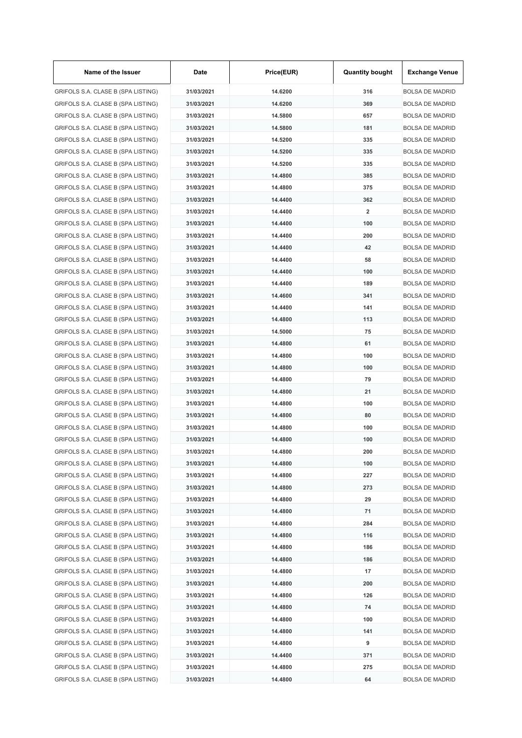| Name of the Issuer                 | Date       | Price(EUR) | <b>Quantity bought</b>  | <b>Exchange Venue</b>  |
|------------------------------------|------------|------------|-------------------------|------------------------|
| GRIFOLS S.A. CLASE B (SPA LISTING) | 31/03/2021 | 14.6200    | 316                     | <b>BOLSA DE MADRID</b> |
| GRIFOLS S.A. CLASE B (SPA LISTING) | 31/03/2021 | 14.6200    | 369                     | <b>BOLSA DE MADRID</b> |
| GRIFOLS S.A. CLASE B (SPA LISTING) | 31/03/2021 | 14.5800    | 657                     | <b>BOLSA DE MADRID</b> |
| GRIFOLS S.A. CLASE B (SPA LISTING) | 31/03/2021 | 14.5800    | 181                     | <b>BOLSA DE MADRID</b> |
| GRIFOLS S.A. CLASE B (SPA LISTING) | 31/03/2021 | 14.5200    | 335                     | <b>BOLSA DE MADRID</b> |
| GRIFOLS S.A. CLASE B (SPA LISTING) | 31/03/2021 | 14.5200    | 335                     | <b>BOLSA DE MADRID</b> |
| GRIFOLS S.A. CLASE B (SPA LISTING) | 31/03/2021 | 14.5200    | 335                     | <b>BOLSA DE MADRID</b> |
| GRIFOLS S.A. CLASE B (SPA LISTING) | 31/03/2021 | 14.4800    | 385                     | <b>BOLSA DE MADRID</b> |
| GRIFOLS S.A. CLASE B (SPA LISTING) | 31/03/2021 | 14.4800    | 375                     | <b>BOLSA DE MADRID</b> |
| GRIFOLS S.A. CLASE B (SPA LISTING) | 31/03/2021 | 14.4400    | 362                     | <b>BOLSA DE MADRID</b> |
| GRIFOLS S.A. CLASE B (SPA LISTING) | 31/03/2021 | 14.4400    | $\overline{\mathbf{2}}$ | <b>BOLSA DE MADRID</b> |
| GRIFOLS S.A. CLASE B (SPA LISTING) | 31/03/2021 | 14.4400    | 100                     | <b>BOLSA DE MADRID</b> |
| GRIFOLS S.A. CLASE B (SPA LISTING) | 31/03/2021 | 14.4400    | 200                     | <b>BOLSA DE MADRID</b> |
| GRIFOLS S.A. CLASE B (SPA LISTING) | 31/03/2021 | 14.4400    | 42                      | <b>BOLSA DE MADRID</b> |
| GRIFOLS S.A. CLASE B (SPA LISTING) | 31/03/2021 | 14.4400    | 58                      | <b>BOLSA DE MADRID</b> |
| GRIFOLS S.A. CLASE B (SPA LISTING) | 31/03/2021 | 14.4400    | 100                     | <b>BOLSA DE MADRID</b> |
| GRIFOLS S.A. CLASE B (SPA LISTING) | 31/03/2021 | 14.4400    | 189                     | <b>BOLSA DE MADRID</b> |
| GRIFOLS S.A. CLASE B (SPA LISTING) | 31/03/2021 | 14.4600    | 341                     | <b>BOLSA DE MADRID</b> |
| GRIFOLS S.A. CLASE B (SPA LISTING) | 31/03/2021 | 14.4400    | 141                     | <b>BOLSA DE MADRID</b> |
| GRIFOLS S.A. CLASE B (SPA LISTING) | 31/03/2021 | 14.4800    | 113                     | <b>BOLSA DE MADRID</b> |
| GRIFOLS S.A. CLASE B (SPA LISTING) | 31/03/2021 | 14.5000    | 75                      | <b>BOLSA DE MADRID</b> |
| GRIFOLS S.A. CLASE B (SPA LISTING) | 31/03/2021 | 14.4800    | 61                      | <b>BOLSA DE MADRID</b> |
| GRIFOLS S.A. CLASE B (SPA LISTING) | 31/03/2021 | 14.4800    | 100                     | <b>BOLSA DE MADRID</b> |
| GRIFOLS S.A. CLASE B (SPA LISTING) | 31/03/2021 | 14.4800    | 100                     | <b>BOLSA DE MADRID</b> |
| GRIFOLS S.A. CLASE B (SPA LISTING) | 31/03/2021 | 14.4800    | 79                      | <b>BOLSA DE MADRID</b> |
|                                    | 31/03/2021 | 14.4800    | 21                      | <b>BOLSA DE MADRID</b> |
| GRIFOLS S.A. CLASE B (SPA LISTING) |            |            |                         |                        |
| GRIFOLS S.A. CLASE B (SPA LISTING) | 31/03/2021 | 14.4800    | 100                     | <b>BOLSA DE MADRID</b> |
| GRIFOLS S.A. CLASE B (SPA LISTING) | 31/03/2021 | 14.4800    | 80                      | <b>BOLSA DE MADRID</b> |
| GRIFOLS S.A. CLASE B (SPA LISTING) | 31/03/2021 | 14.4800    | 100                     | <b>BOLSA DE MADRID</b> |
| GRIFOLS S.A. CLASE B (SPA LISTING) | 31/03/2021 | 14.4800    | 100                     | <b>BOLSA DE MADRID</b> |
| GRIFOLS S.A. CLASE B (SPA LISTING) | 31/03/2021 | 14.4800    | 200                     | <b>BOLSA DE MADRID</b> |
| GRIFOLS S.A. CLASE B (SPA LISTING) | 31/03/2021 | 14.4800    | 100                     | <b>BOLSA DE MADRID</b> |
| GRIFOLS S.A. CLASE B (SPA LISTING) | 31/03/2021 | 14.4800    | 227                     | <b>BOLSA DE MADRID</b> |
| GRIFOLS S.A. CLASE B (SPA LISTING) | 31/03/2021 | 14.4800    | 273                     | <b>BOLSA DE MADRID</b> |
| GRIFOLS S.A. CLASE B (SPA LISTING) | 31/03/2021 | 14.4800    | 29                      | <b>BOLSA DE MADRID</b> |
| GRIFOLS S.A. CLASE B (SPA LISTING) | 31/03/2021 | 14.4800    | 71                      | <b>BOLSA DE MADRID</b> |
| GRIFOLS S.A. CLASE B (SPA LISTING) | 31/03/2021 | 14.4800    | 284                     | <b>BOLSA DE MADRID</b> |
| GRIFOLS S.A. CLASE B (SPA LISTING) | 31/03/2021 | 14.4800    | 116                     | <b>BOLSA DE MADRID</b> |
| GRIFOLS S.A. CLASE B (SPA LISTING) | 31/03/2021 | 14.4800    | 186                     | <b>BOLSA DE MADRID</b> |
| GRIFOLS S.A. CLASE B (SPA LISTING) | 31/03/2021 | 14.4800    | 186                     | <b>BOLSA DE MADRID</b> |
| GRIFOLS S.A. CLASE B (SPA LISTING) | 31/03/2021 | 14.4800    | 17                      | <b>BOLSA DE MADRID</b> |
| GRIFOLS S.A. CLASE B (SPA LISTING) | 31/03/2021 | 14.4800    | 200                     | <b>BOLSA DE MADRID</b> |
| GRIFOLS S.A. CLASE B (SPA LISTING) | 31/03/2021 | 14.4800    | 126                     | <b>BOLSA DE MADRID</b> |
| GRIFOLS S.A. CLASE B (SPA LISTING) | 31/03/2021 | 14.4800    | 74                      | <b>BOLSA DE MADRID</b> |
| GRIFOLS S.A. CLASE B (SPA LISTING) | 31/03/2021 | 14.4800    | 100                     | <b>BOLSA DE MADRID</b> |
| GRIFOLS S.A. CLASE B (SPA LISTING) | 31/03/2021 | 14.4800    | 141                     | <b>BOLSA DE MADRID</b> |
| GRIFOLS S.A. CLASE B (SPA LISTING) | 31/03/2021 | 14.4800    | 9                       | <b>BOLSA DE MADRID</b> |
| GRIFOLS S.A. CLASE B (SPA LISTING) | 31/03/2021 | 14.4400    | 371                     | <b>BOLSA DE MADRID</b> |
| GRIFOLS S.A. CLASE B (SPA LISTING) | 31/03/2021 | 14.4800    | 275                     | <b>BOLSA DE MADRID</b> |
| GRIFOLS S.A. CLASE B (SPA LISTING) | 31/03/2021 | 14.4800    | 64                      | <b>BOLSA DE MADRID</b> |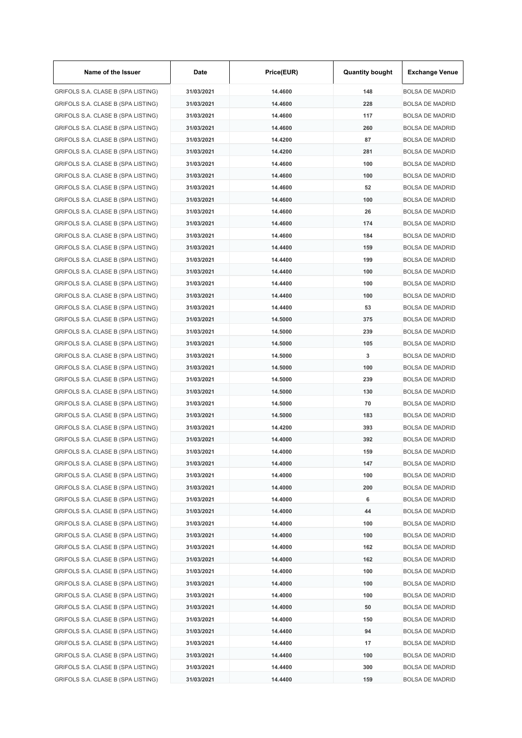| Name of the Issuer                 | Date       | Price(EUR) | <b>Quantity bought</b> | <b>Exchange Venue</b>  |
|------------------------------------|------------|------------|------------------------|------------------------|
| GRIFOLS S.A. CLASE B (SPA LISTING) | 31/03/2021 | 14.4600    | 148                    | <b>BOLSA DE MADRID</b> |
| GRIFOLS S.A. CLASE B (SPA LISTING) | 31/03/2021 | 14.4600    | 228                    | <b>BOLSA DE MADRID</b> |
| GRIFOLS S.A. CLASE B (SPA LISTING) | 31/03/2021 | 14.4600    | 117                    | <b>BOLSA DE MADRID</b> |
| GRIFOLS S.A. CLASE B (SPA LISTING) | 31/03/2021 | 14.4600    | 260                    | <b>BOLSA DE MADRID</b> |
| GRIFOLS S.A. CLASE B (SPA LISTING) | 31/03/2021 | 14.4200    | 87                     | <b>BOLSA DE MADRID</b> |
| GRIFOLS S.A. CLASE B (SPA LISTING) | 31/03/2021 | 14.4200    | 281                    | <b>BOLSA DE MADRID</b> |
| GRIFOLS S.A. CLASE B (SPA LISTING) | 31/03/2021 | 14.4600    | 100                    | <b>BOLSA DE MADRID</b> |
| GRIFOLS S.A. CLASE B (SPA LISTING) | 31/03/2021 | 14.4600    | 100                    | <b>BOLSA DE MADRID</b> |
| GRIFOLS S.A. CLASE B (SPA LISTING) | 31/03/2021 | 14.4600    | 52                     | <b>BOLSA DE MADRID</b> |
| GRIFOLS S.A. CLASE B (SPA LISTING) | 31/03/2021 | 14.4600    | 100                    | <b>BOLSA DE MADRID</b> |
| GRIFOLS S.A. CLASE B (SPA LISTING) | 31/03/2021 | 14.4600    | 26                     | <b>BOLSA DE MADRID</b> |
| GRIFOLS S.A. CLASE B (SPA LISTING) | 31/03/2021 | 14.4600    | 174                    | <b>BOLSA DE MADRID</b> |
| GRIFOLS S.A. CLASE B (SPA LISTING) | 31/03/2021 | 14.4600    | 184                    | <b>BOLSA DE MADRID</b> |
| GRIFOLS S.A. CLASE B (SPA LISTING) | 31/03/2021 | 14.4400    | 159                    | <b>BOLSA DE MADRID</b> |
| GRIFOLS S.A. CLASE B (SPA LISTING) | 31/03/2021 | 14.4400    | 199                    | <b>BOLSA DE MADRID</b> |
| GRIFOLS S.A. CLASE B (SPA LISTING) | 31/03/2021 | 14.4400    | 100                    | <b>BOLSA DE MADRID</b> |
| GRIFOLS S.A. CLASE B (SPA LISTING) | 31/03/2021 | 14.4400    | 100                    | <b>BOLSA DE MADRID</b> |
| GRIFOLS S.A. CLASE B (SPA LISTING) | 31/03/2021 | 14.4400    | 100                    | <b>BOLSA DE MADRID</b> |
| GRIFOLS S.A. CLASE B (SPA LISTING) | 31/03/2021 | 14.4400    | 53                     | <b>BOLSA DE MADRID</b> |
| GRIFOLS S.A. CLASE B (SPA LISTING) | 31/03/2021 | 14.5000    | 375                    | <b>BOLSA DE MADRID</b> |
| GRIFOLS S.A. CLASE B (SPA LISTING) | 31/03/2021 | 14.5000    | 239                    | <b>BOLSA DE MADRID</b> |
| GRIFOLS S.A. CLASE B (SPA LISTING) | 31/03/2021 | 14.5000    | 105                    | <b>BOLSA DE MADRID</b> |
| GRIFOLS S.A. CLASE B (SPA LISTING) | 31/03/2021 | 14.5000    | 3                      | <b>BOLSA DE MADRID</b> |
| GRIFOLS S.A. CLASE B (SPA LISTING) | 31/03/2021 | 14.5000    | 100                    | <b>BOLSA DE MADRID</b> |
| GRIFOLS S.A. CLASE B (SPA LISTING) | 31/03/2021 | 14.5000    | 239                    | <b>BOLSA DE MADRID</b> |
| GRIFOLS S.A. CLASE B (SPA LISTING) | 31/03/2021 | 14.5000    | 130                    | <b>BOLSA DE MADRID</b> |
| GRIFOLS S.A. CLASE B (SPA LISTING) | 31/03/2021 | 14.5000    | 70                     | <b>BOLSA DE MADRID</b> |
| GRIFOLS S.A. CLASE B (SPA LISTING) | 31/03/2021 | 14.5000    | 183                    | <b>BOLSA DE MADRID</b> |
| GRIFOLS S.A. CLASE B (SPA LISTING) | 31/03/2021 | 14.4200    | 393                    | <b>BOLSA DE MADRID</b> |
| GRIFOLS S.A. CLASE B (SPA LISTING) | 31/03/2021 | 14.4000    | 392                    | <b>BOLSA DE MADRID</b> |
| GRIFOLS S.A. CLASE B (SPA LISTING) |            | 14.4000    |                        | <b>BOLSA DE MADRID</b> |
|                                    | 31/03/2021 |            | 159                    |                        |
| GRIFOLS S.A. CLASE B (SPA LISTING) | 31/03/2021 | 14.4000    | 147                    | <b>BOLSA DE MADRID</b> |
| GRIFOLS S.A. CLASE B (SPA LISTING) | 31/03/2021 | 14.4000    | 100                    | <b>BOLSA DE MADRID</b> |
| GRIFOLS S.A. CLASE B (SPA LISTING) | 31/03/2021 | 14.4000    | 200                    | <b>BOLSA DE MADRID</b> |
| GRIFOLS S.A. CLASE B (SPA LISTING) | 31/03/2021 | 14.4000    | 6                      | <b>BOLSA DE MADRID</b> |
| GRIFOLS S.A. CLASE B (SPA LISTING) | 31/03/2021 | 14.4000    | 44                     | <b>BOLSA DE MADRID</b> |
| GRIFOLS S.A. CLASE B (SPA LISTING) | 31/03/2021 | 14.4000    | 100                    | <b>BOLSA DE MADRID</b> |
| GRIFOLS S.A. CLASE B (SPA LISTING) | 31/03/2021 | 14.4000    | 100                    | <b>BOLSA DE MADRID</b> |
| GRIFOLS S.A. CLASE B (SPA LISTING) | 31/03/2021 | 14.4000    | 162                    | <b>BOLSA DE MADRID</b> |
| GRIFOLS S.A. CLASE B (SPA LISTING) | 31/03/2021 | 14.4000    | 162                    | <b>BOLSA DE MADRID</b> |
| GRIFOLS S.A. CLASE B (SPA LISTING) | 31/03/2021 | 14.4000    | 100                    | <b>BOLSA DE MADRID</b> |
| GRIFOLS S.A. CLASE B (SPA LISTING) | 31/03/2021 | 14.4000    | 100                    | <b>BOLSA DE MADRID</b> |
| GRIFOLS S.A. CLASE B (SPA LISTING) | 31/03/2021 | 14.4000    | 100                    | <b>BOLSA DE MADRID</b> |
| GRIFOLS S.A. CLASE B (SPA LISTING) | 31/03/2021 | 14.4000    | 50                     | <b>BOLSA DE MADRID</b> |
| GRIFOLS S.A. CLASE B (SPA LISTING) | 31/03/2021 | 14.4000    | 150                    | <b>BOLSA DE MADRID</b> |
| GRIFOLS S.A. CLASE B (SPA LISTING) | 31/03/2021 | 14.4400    | 94                     | <b>BOLSA DE MADRID</b> |
| GRIFOLS S.A. CLASE B (SPA LISTING) | 31/03/2021 | 14.4400    | 17                     | <b>BOLSA DE MADRID</b> |
| GRIFOLS S.A. CLASE B (SPA LISTING) | 31/03/2021 | 14.4400    | 100                    | <b>BOLSA DE MADRID</b> |
| GRIFOLS S.A. CLASE B (SPA LISTING) | 31/03/2021 | 14.4400    | 300                    | <b>BOLSA DE MADRID</b> |
| GRIFOLS S.A. CLASE B (SPA LISTING) | 31/03/2021 | 14.4400    | 159                    | <b>BOLSA DE MADRID</b> |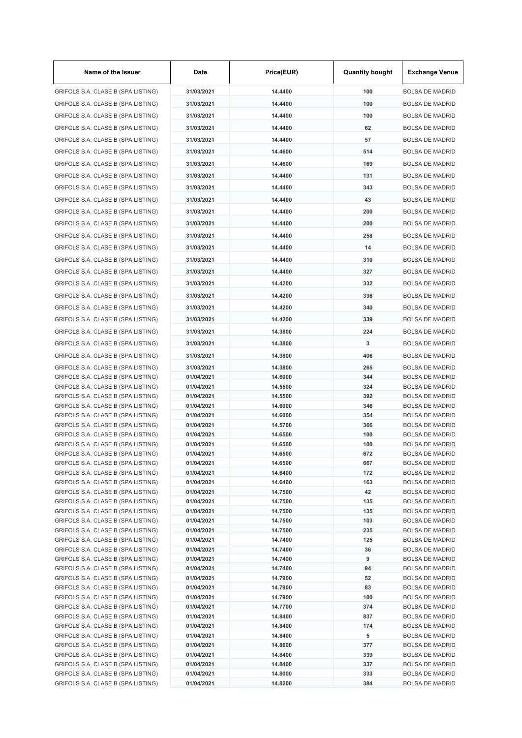| Name of the Issuer                                                       | Date                     | Price(EUR)         | <b>Quantity bought</b> | <b>Exchange Venue</b>                            |
|--------------------------------------------------------------------------|--------------------------|--------------------|------------------------|--------------------------------------------------|
| GRIFOLS S.A. CLASE B (SPA LISTING)                                       | 31/03/2021               | 14.4400            | 100                    | <b>BOLSA DE MADRID</b>                           |
| GRIFOLS S.A. CLASE B (SPA LISTING)                                       | 31/03/2021               | 14.4400            | 100                    | <b>BOLSA DE MADRID</b>                           |
| GRIFOLS S.A. CLASE B (SPA LISTING)                                       | 31/03/2021               | 14.4400            | 100                    | <b>BOLSA DE MADRID</b>                           |
| GRIFOLS S.A. CLASE B (SPA LISTING)                                       | 31/03/2021               | 14.4400            | 62                     | <b>BOLSA DE MADRID</b>                           |
| GRIFOLS S.A. CLASE B (SPA LISTING)                                       | 31/03/2021               | 14.4400            | 57                     | <b>BOLSA DE MADRID</b>                           |
| GRIFOLS S.A. CLASE B (SPA LISTING)                                       | 31/03/2021               | 14.4600            | 514                    | <b>BOLSA DE MADRID</b>                           |
| GRIFOLS S.A. CLASE B (SPA LISTING)                                       | 31/03/2021               | 14.4600            | 169                    | <b>BOLSA DE MADRID</b>                           |
|                                                                          | 31/03/2021               | 14.4400            | 131                    | <b>BOLSA DE MADRID</b>                           |
| GRIFOLS S.A. CLASE B (SPA LISTING)                                       |                          |                    |                        |                                                  |
| GRIFOLS S.A. CLASE B (SPA LISTING)                                       | 31/03/2021               | 14.4400            | 343                    | <b>BOLSA DE MADRID</b>                           |
| GRIFOLS S.A. CLASE B (SPA LISTING)                                       | 31/03/2021               | 14.4400            | 43                     | <b>BOLSA DE MADRID</b>                           |
| GRIFOLS S.A. CLASE B (SPA LISTING)                                       | 31/03/2021               | 14.4400            | 200                    | <b>BOLSA DE MADRID</b>                           |
| GRIFOLS S.A. CLASE B (SPA LISTING)                                       | 31/03/2021               | 14.4400            | 200                    | <b>BOLSA DE MADRID</b>                           |
| GRIFOLS S.A. CLASE B (SPA LISTING)                                       | 31/03/2021               | 14.4400            | 258                    | <b>BOLSA DE MADRID</b>                           |
| GRIFOLS S.A. CLASE B (SPA LISTING)                                       | 31/03/2021               | 14.4400            | 14                     | <b>BOLSA DE MADRID</b>                           |
| GRIFOLS S.A. CLASE B (SPA LISTING)                                       | 31/03/2021               | 14.4400            | 310                    | <b>BOLSA DE MADRID</b>                           |
| GRIFOLS S.A. CLASE B (SPA LISTING)                                       | 31/03/2021               | 14.4400            | 327                    | <b>BOLSA DE MADRID</b>                           |
| GRIFOLS S.A. CLASE B (SPA LISTING)                                       | 31/03/2021               | 14.4200            | 332                    | <b>BOLSA DE MADRID</b>                           |
| GRIFOLS S.A. CLASE B (SPA LISTING)                                       | 31/03/2021               | 14.4200            | 336                    | <b>BOLSA DE MADRID</b>                           |
| GRIFOLS S.A. CLASE B (SPA LISTING)                                       | 31/03/2021               | 14.4200            | 340                    | <b>BOLSA DE MADRID</b>                           |
|                                                                          |                          |                    |                        |                                                  |
| GRIFOLS S.A. CLASE B (SPA LISTING)                                       | 31/03/2021               | 14.4200            | 339                    | <b>BOLSA DE MADRID</b>                           |
| GRIFOLS S.A. CLASE B (SPA LISTING)                                       | 31/03/2021               | 14.3800            | 224                    | <b>BOLSA DE MADRID</b>                           |
| GRIFOLS S.A. CLASE B (SPA LISTING)                                       | 31/03/2021               | 14.3800            | 3                      | <b>BOLSA DE MADRID</b>                           |
| GRIFOLS S.A. CLASE B (SPA LISTING)                                       | 31/03/2021               | 14.3800            | 406                    | <b>BOLSA DE MADRID</b>                           |
| GRIFOLS S.A. CLASE B (SPA LISTING)                                       | 31/03/2021               | 14.3800            | 265                    | <b>BOLSA DE MADRID</b>                           |
| GRIFOLS S.A. CLASE B (SPA LISTING)                                       | 01/04/2021               | 14.6000            | 344                    | BOLSA DE MADRID                                  |
| GRIFOLS S.A. CLASE B (SPA LISTING)<br>GRIFOLS S.A. CLASE B (SPA LISTING) | 01/04/2021<br>01/04/2021 | 14.5500<br>14.5500 | 324<br>392             | <b>BOLSA DE MADRID</b><br><b>BOLSA DE MADRID</b> |
| GRIFOLS S.A. CLASE B (SPA LISTING)                                       | 01/04/2021               | 14.6000            | 346                    | <b>BOLSA DE MADRID</b>                           |
| GRIFOLS S.A. CLASE B (SPA LISTING)                                       | 01/04/2021               | 14.6000            | 354                    | <b>BOLSA DE MADRID</b>                           |
| GRIFOLS S.A. CLASE B (SPA LISTING)                                       | 01/04/2021               | 14.5700            | 366                    | BOLSA DE MADRID                                  |
| GRIFOLS S.A. CLASE B (SPA LISTING)                                       | 01/04/2021               | 14.6500            | 100                    | <b>BOLSA DE MADRID</b>                           |
| GRIFOLS S.A. CLASE B (SPA LISTING)                                       | 01/04/2021               | 14.6500            | 100                    | <b>BOLSA DE MADRID</b>                           |
| GRIFOLS S.A. CLASE B (SPA LISTING)                                       | 01/04/2021               | 14.6500            | 672                    | <b>BOLSA DE MADRID</b>                           |
| GRIFOLS S.A. CLASE B (SPA LISTING)<br>GRIFOLS S.A. CLASE B (SPA LISTING) | 01/04/2021<br>01/04/2021 | 14.6500<br>14.6400 | 667<br>172             | <b>BOLSA DE MADRID</b><br><b>BOLSA DE MADRID</b> |
| GRIFOLS S.A. CLASE B (SPA LISTING)                                       | 01/04/2021               | 14.6400            | 163                    | <b>BOLSA DE MADRID</b>                           |
| GRIFOLS S.A. CLASE B (SPA LISTING)                                       | 01/04/2021               | 14.7500            | 42                     | <b>BOLSA DE MADRID</b>                           |
| GRIFOLS S.A. CLASE B (SPA LISTING)                                       | 01/04/2021               | 14.7500            | 135                    | <b>BOLSA DE MADRID</b>                           |
| GRIFOLS S.A. CLASE B (SPA LISTING)                                       | 01/04/2021               | 14.7500            | 135                    | <b>BOLSA DE MADRID</b>                           |
| GRIFOLS S.A. CLASE B (SPA LISTING)                                       | 01/04/2021               | 14.7500            | 103                    | <b>BOLSA DE MADRID</b>                           |
| GRIFOLS S.A. CLASE B (SPA LISTING)<br>GRIFOLS S.A. CLASE B (SPA LISTING) | 01/04/2021<br>01/04/2021 | 14.7500<br>14.7400 | 235<br>125             | BOLSA DE MADRID<br><b>BOLSA DE MADRID</b>        |
| GRIFOLS S.A. CLASE B (SPA LISTING)                                       | 01/04/2021               | 14.7400            | 36                     | <b>BOLSA DE MADRID</b>                           |
| GRIFOLS S.A. CLASE B (SPA LISTING)                                       | 01/04/2021               | 14.7400            | 9                      | <b>BOLSA DE MADRID</b>                           |
| GRIFOLS S.A. CLASE B (SPA LISTING)                                       | 01/04/2021               | 14.7400            | 94                     | <b>BOLSA DE MADRID</b>                           |
| GRIFOLS S.A. CLASE B (SPA LISTING)                                       | 01/04/2021               | 14.7900            | 52                     | <b>BOLSA DE MADRID</b>                           |
| GRIFOLS S.A. CLASE B (SPA LISTING)                                       | 01/04/2021               | 14.7900            | 83                     | <b>BOLSA DE MADRID</b>                           |
| GRIFOLS S.A. CLASE B (SPA LISTING)                                       | 01/04/2021               | 14.7900            | 100                    | <b>BOLSA DE MADRID</b>                           |
| GRIFOLS S.A. CLASE B (SPA LISTING)<br>GRIFOLS S.A. CLASE B (SPA LISTING) | 01/04/2021<br>01/04/2021 | 14.7700<br>14.8400 | 374<br>837             | <b>BOLSA DE MADRID</b><br><b>BOLSA DE MADRID</b> |
| GRIFOLS S.A. CLASE B (SPA LISTING)                                       | 01/04/2021               | 14.8400            | 174                    | <b>BOLSA DE MADRID</b>                           |
| GRIFOLS S.A. CLASE B (SPA LISTING)                                       | 01/04/2021               | 14.8400            | 5                      | <b>BOLSA DE MADRID</b>                           |
| GRIFOLS S.A. CLASE B (SPA LISTING)                                       | 01/04/2021               | 14.8600            | 377                    | <b>BOLSA DE MADRID</b>                           |
| GRIFOLS S.A. CLASE B (SPA LISTING)                                       | 01/04/2021               | 14.8400            | 339                    | <b>BOLSA DE MADRID</b>                           |
| GRIFOLS S.A. CLASE B (SPA LISTING)                                       | 01/04/2021               | 14.8400            | 337                    | <b>BOLSA DE MADRID</b>                           |
| GRIFOLS S.A. CLASE B (SPA LISTING)                                       | 01/04/2021               | 14.8000            | 333                    | <b>BOLSA DE MADRID</b>                           |
| GRIFOLS S.A. CLASE B (SPA LISTING)                                       | 01/04/2021               | 14.8200            | 384                    | <b>BOLSA DE MADRID</b>                           |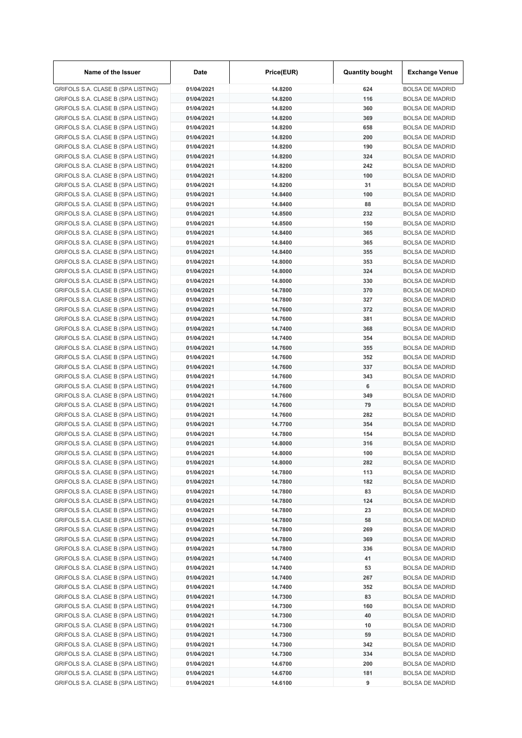| Name of the Issuer                                                       | Date                     | Price(EUR)         | <b>Quantity bought</b> | <b>Exchange Venue</b>                            |
|--------------------------------------------------------------------------|--------------------------|--------------------|------------------------|--------------------------------------------------|
| GRIFOLS S.A. CLASE B (SPA LISTING)                                       | 01/04/2021               | 14.8200            | 624                    | <b>BOLSA DE MADRID</b>                           |
| GRIFOLS S.A. CLASE B (SPA LISTING)                                       | 01/04/2021               | 14.8200            | 116                    | <b>BOLSA DE MADRID</b>                           |
| GRIFOLS S.A. CLASE B (SPA LISTING)                                       | 01/04/2021               | 14.8200            | 360                    | <b>BOLSA DE MADRID</b>                           |
| GRIFOLS S.A. CLASE B (SPA LISTING)                                       | 01/04/2021               | 14.8200            | 369                    | <b>BOLSA DE MADRID</b>                           |
| GRIFOLS S.A. CLASE B (SPA LISTING)                                       | 01/04/2021               | 14.8200            | 658                    | <b>BOLSA DE MADRID</b>                           |
| GRIFOLS S.A. CLASE B (SPA LISTING)                                       | 01/04/2021               | 14.8200            | 200                    | <b>BOLSA DE MADRID</b>                           |
| GRIFOLS S.A. CLASE B (SPA LISTING)                                       | 01/04/2021               | 14.8200            | 190                    | <b>BOLSA DE MADRID</b>                           |
| GRIFOLS S.A. CLASE B (SPA LISTING)                                       | 01/04/2021               | 14.8200            | 324                    | <b>BOLSA DE MADRID</b>                           |
| GRIFOLS S.A. CLASE B (SPA LISTING)                                       | 01/04/2021               | 14.8200            | 242                    | <b>BOLSA DE MADRID</b>                           |
| GRIFOLS S.A. CLASE B (SPA LISTING)                                       | 01/04/2021               | 14.8200            | 100                    | <b>BOLSA DE MADRID</b>                           |
| GRIFOLS S.A. CLASE B (SPA LISTING)                                       | 01/04/2021               | 14.8200            | 31                     | <b>BOLSA DE MADRID</b>                           |
| GRIFOLS S.A. CLASE B (SPA LISTING)                                       | 01/04/2021               | 14.8400            | 100                    | <b>BOLSA DE MADRID</b>                           |
| GRIFOLS S.A. CLASE B (SPA LISTING)                                       | 01/04/2021               | 14.8400            | 88                     | <b>BOLSA DE MADRID</b>                           |
| GRIFOLS S.A. CLASE B (SPA LISTING)                                       | 01/04/2021               | 14.8500            | 232                    | <b>BOLSA DE MADRID</b>                           |
| GRIFOLS S.A. CLASE B (SPA LISTING)                                       | 01/04/2021               | 14.8500            | 150                    | <b>BOLSA DE MADRID</b>                           |
| GRIFOLS S.A. CLASE B (SPA LISTING)                                       | 01/04/2021               | 14.8400            | 365                    | <b>BOLSA DE MADRID</b>                           |
| GRIFOLS S.A. CLASE B (SPA LISTING)                                       | 01/04/2021               | 14.8400            | 365                    | <b>BOLSA DE MADRID</b>                           |
| GRIFOLS S.A. CLASE B (SPA LISTING)                                       | 01/04/2021               | 14.8400            | 355                    | <b>BOLSA DE MADRID</b>                           |
| GRIFOLS S.A. CLASE B (SPA LISTING)                                       | 01/04/2021               | 14.8000            | 353                    | <b>BOLSA DE MADRID</b>                           |
| GRIFOLS S.A. CLASE B (SPA LISTING)                                       | 01/04/2021               | 14.8000            | 324                    | <b>BOLSA DE MADRID</b><br><b>BOLSA DE MADRID</b> |
| GRIFOLS S.A. CLASE B (SPA LISTING)                                       | 01/04/2021               | 14.8000            | 330                    |                                                  |
| GRIFOLS S.A. CLASE B (SPA LISTING)                                       | 01/04/2021               | 14.7800            | 370<br>327             | <b>BOLSA DE MADRID</b>                           |
| GRIFOLS S.A. CLASE B (SPA LISTING)                                       | 01/04/2021<br>01/04/2021 | 14.7800<br>14.7600 | 372                    | <b>BOLSA DE MADRID</b><br><b>BOLSA DE MADRID</b> |
| GRIFOLS S.A. CLASE B (SPA LISTING)                                       | 01/04/2021               | 14.7600            | 381                    | <b>BOLSA DE MADRID</b>                           |
| GRIFOLS S.A. CLASE B (SPA LISTING)<br>GRIFOLS S.A. CLASE B (SPA LISTING) | 01/04/2021               | 14.7400            | 368                    | <b>BOLSA DE MADRID</b>                           |
| GRIFOLS S.A. CLASE B (SPA LISTING)                                       | 01/04/2021               | 14.7400            | 354                    | <b>BOLSA DE MADRID</b>                           |
| GRIFOLS S.A. CLASE B (SPA LISTING)                                       | 01/04/2021               | 14.7600            | 355                    | <b>BOLSA DE MADRID</b>                           |
| GRIFOLS S.A. CLASE B (SPA LISTING)                                       | 01/04/2021               | 14.7600            | 352                    | <b>BOLSA DE MADRID</b>                           |
| GRIFOLS S.A. CLASE B (SPA LISTING)                                       | 01/04/2021               | 14.7600            | 337                    | <b>BOLSA DE MADRID</b>                           |
| GRIFOLS S.A. CLASE B (SPA LISTING)                                       | 01/04/2021               | 14.7600            | 343                    | <b>BOLSA DE MADRID</b>                           |
| GRIFOLS S.A. CLASE B (SPA LISTING)                                       | 01/04/2021               | 14.7600            | 6                      | <b>BOLSA DE MADRID</b>                           |
| GRIFOLS S.A. CLASE B (SPA LISTING)                                       | 01/04/2021               | 14.7600            | 349                    | <b>BOLSA DE MADRID</b>                           |
| GRIFOLS S.A. CLASE B (SPA LISTING)                                       | 01/04/2021               | 14.7600            | 79                     | <b>BOLSA DE MADRID</b>                           |
| GRIFOLS S.A. CLASE B (SPA LISTING)                                       | 01/04/2021               | 14.7600            | 282                    | <b>BOLSA DE MADRID</b>                           |
| GRIFOLS S.A. CLASE B (SPA LISTING)                                       | 01/04/2021               | 14.7700            | 354                    | <b>BOLSA DE MADRID</b>                           |
| GRIFOLS S.A. CLASE B (SPA LISTING)                                       | 01/04/2021               | 14.7800            | 154                    | <b>BOLSA DE MADRID</b>                           |
| GRIFOLS S.A. CLASE B (SPA LISTING)                                       | 01/04/2021               | 14.8000            | 316                    | <b>BOLSA DE MADRID</b>                           |
| GRIFOLS S.A. CLASE B (SPA LISTING)                                       | 01/04/2021               | 14.8000            | 100                    | <b>BOLSA DE MADRID</b>                           |
| GRIFOLS S.A. CLASE B (SPA LISTING)                                       | 01/04/2021               | 14.8000            | 282                    | <b>BOLSA DE MADRID</b>                           |
| GRIFOLS S.A. CLASE B (SPA LISTING)                                       | 01/04/2021               | 14.7800            | 113                    | <b>BOLSA DE MADRID</b>                           |
| GRIFOLS S.A. CLASE B (SPA LISTING)                                       | 01/04/2021               | 14.7800            | 182                    | <b>BOLSA DE MADRID</b>                           |
| GRIFOLS S.A. CLASE B (SPA LISTING)                                       | 01/04/2021               | 14.7800            | 83                     | <b>BOLSA DE MADRID</b>                           |
| GRIFOLS S.A. CLASE B (SPA LISTING)                                       | 01/04/2021               | 14.7800            | 124                    | <b>BOLSA DE MADRID</b>                           |
| GRIFOLS S.A. CLASE B (SPA LISTING)                                       | 01/04/2021               | 14.7800            | 23                     | <b>BOLSA DE MADRID</b>                           |
| GRIFOLS S.A. CLASE B (SPA LISTING)                                       | 01/04/2021               | 14.7800            | 58                     | <b>BOLSA DE MADRID</b>                           |
| GRIFOLS S.A. CLASE B (SPA LISTING)                                       | 01/04/2021               | 14.7800            | 269                    | <b>BOLSA DE MADRID</b>                           |
| GRIFOLS S.A. CLASE B (SPA LISTING)                                       | 01/04/2021               | 14.7800            | 369                    | <b>BOLSA DE MADRID</b>                           |
| GRIFOLS S.A. CLASE B (SPA LISTING)                                       | 01/04/2021               | 14.7800            | 336                    | <b>BOLSA DE MADRID</b>                           |
| GRIFOLS S.A. CLASE B (SPA LISTING)                                       | 01/04/2021               | 14.7400            | 41                     | <b>BOLSA DE MADRID</b>                           |
| GRIFOLS S.A. CLASE B (SPA LISTING)                                       | 01/04/2021               | 14.7400            | 53                     | <b>BOLSA DE MADRID</b>                           |
| GRIFOLS S.A. CLASE B (SPA LISTING)                                       | 01/04/2021               | 14.7400            | 267                    | <b>BOLSA DE MADRID</b>                           |
| GRIFOLS S.A. CLASE B (SPA LISTING)                                       | 01/04/2021               | 14.7400            | 352                    | <b>BOLSA DE MADRID</b>                           |
| GRIFOLS S.A. CLASE B (SPA LISTING)                                       | 01/04/2021               | 14.7300            | 83                     | <b>BOLSA DE MADRID</b>                           |
| GRIFOLS S.A. CLASE B (SPA LISTING)                                       | 01/04/2021               | 14.7300            | 160                    | <b>BOLSA DE MADRID</b>                           |
| GRIFOLS S.A. CLASE B (SPA LISTING)                                       | 01/04/2021               | 14.7300            | 40                     | <b>BOLSA DE MADRID</b>                           |
| GRIFOLS S.A. CLASE B (SPA LISTING)                                       | 01/04/2021               | 14.7300            | 10                     | <b>BOLSA DE MADRID</b>                           |
| GRIFOLS S.A. CLASE B (SPA LISTING)                                       | 01/04/2021               | 14.7300            | 59                     | <b>BOLSA DE MADRID</b>                           |
| GRIFOLS S.A. CLASE B (SPA LISTING)                                       | 01/04/2021               | 14.7300            | 342                    | <b>BOLSA DE MADRID</b>                           |
| GRIFOLS S.A. CLASE B (SPA LISTING)                                       | 01/04/2021               | 14.7300            | 334                    | <b>BOLSA DE MADRID</b>                           |
| GRIFOLS S.A. CLASE B (SPA LISTING)                                       | 01/04/2021               | 14.6700            | 200                    | <b>BOLSA DE MADRID</b>                           |
| GRIFOLS S.A. CLASE B (SPA LISTING)                                       | 01/04/2021               | 14.6700            | 181                    | <b>BOLSA DE MADRID</b>                           |
| GRIFOLS S.A. CLASE B (SPA LISTING)                                       | 01/04/2021               | 14.6100            | 9                      | <b>BOLSA DE MADRID</b>                           |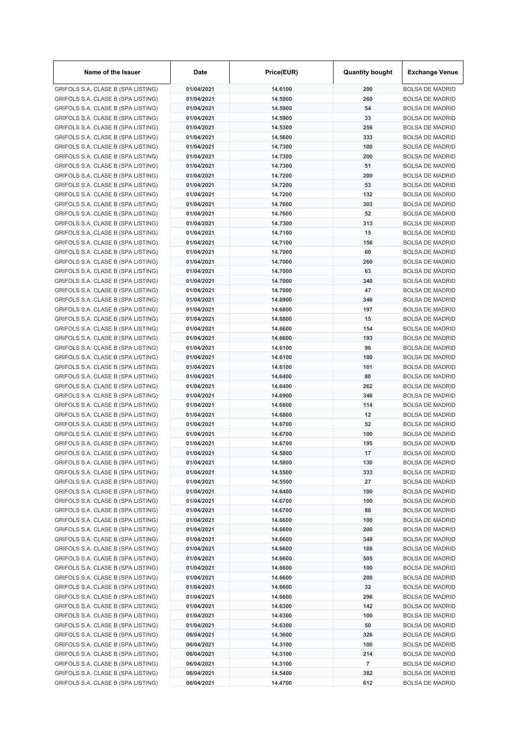| Name of the Issuer                 | Date       | Price(EUR) | <b>Quantity bought</b> | <b>Exchange Venue</b>  |
|------------------------------------|------------|------------|------------------------|------------------------|
| GRIFOLS S.A. CLASE B (SPA LISTING) | 01/04/2021 | 14.6100    | 200                    | <b>BOLSA DE MADRID</b> |
| GRIFOLS S.A. CLASE B (SPA LISTING) | 01/04/2021 | 14.5900    | 260                    | <b>BOLSA DE MADRID</b> |
| GRIFOLS S.A. CLASE B (SPA LISTING) | 01/04/2021 | 14.5900    | 54                     | <b>BOLSA DE MADRID</b> |
| GRIFOLS S.A. CLASE B (SPA LISTING) | 01/04/2021 | 14.5900    | 33                     | <b>BOLSA DE MADRID</b> |
| GRIFOLS S.A. CLASE B (SPA LISTING) | 01/04/2021 | 14.5300    | 256                    | <b>BOLSA DE MADRID</b> |
| GRIFOLS S.A. CLASE B (SPA LISTING) | 01/04/2021 | 14.5600    | 333                    | <b>BOLSA DE MADRID</b> |
| GRIFOLS S.A. CLASE B (SPA LISTING) | 01/04/2021 | 14.7300    | 100                    | <b>BOLSA DE MADRID</b> |
| GRIFOLS S.A. CLASE B (SPA LISTING) | 01/04/2021 | 14.7300    | 200                    | <b>BOLSA DE MADRID</b> |
| GRIFOLS S.A. CLASE B (SPA LISTING) | 01/04/2021 | 14.7300    | 51                     | <b>BOLSA DE MADRID</b> |
| GRIFOLS S.A. CLASE B (SPA LISTING) | 01/04/2021 | 14.7200    | 200                    | <b>BOLSA DE MADRID</b> |
| GRIFOLS S.A. CLASE B (SPA LISTING) | 01/04/2021 | 14.7200    | 53                     | <b>BOLSA DE MADRID</b> |
| GRIFOLS S.A. CLASE B (SPA LISTING) | 01/04/2021 | 14.7200    | 132                    | <b>BOLSA DE MADRID</b> |
| GRIFOLS S.A. CLASE B (SPA LISTING) | 01/04/2021 | 14.7600    | 303                    | <b>BOLSA DE MADRID</b> |
| GRIFOLS S.A. CLASE B (SPA LISTING) | 01/04/2021 | 14.7600    | 52                     | <b>BOLSA DE MADRID</b> |
| GRIFOLS S.A. CLASE B (SPA LISTING) | 01/04/2021 | 14.7300    | 313                    | <b>BOLSA DE MADRID</b> |
| GRIFOLS S.A. CLASE B (SPA LISTING) | 01/04/2021 | 14.7100    | 15                     | <b>BOLSA DE MADRID</b> |
| GRIFOLS S.A. CLASE B (SPA LISTING) | 01/04/2021 | 14.7100    | 156                    | <b>BOLSA DE MADRID</b> |
| GRIFOLS S.A. CLASE B (SPA LISTING) | 01/04/2021 | 14.7000    | 60                     | <b>BOLSA DE MADRID</b> |
| GRIFOLS S.A. CLASE B (SPA LISTING) | 01/04/2021 | 14.7000    | 260                    | <b>BOLSA DE MADRID</b> |
| GRIFOLS S.A. CLASE B (SPA LISTING) | 01/04/2021 | 14.7000    | 63                     | <b>BOLSA DE MADRID</b> |
| GRIFOLS S.A. CLASE B (SPA LISTING) | 01/04/2021 | 14.7000    | 340                    | <b>BOLSA DE MADRID</b> |
| GRIFOLS S.A. CLASE B (SPA LISTING) | 01/04/2021 | 14.7000    | 47                     | <b>BOLSA DE MADRID</b> |
| GRIFOLS S.A. CLASE B (SPA LISTING) | 01/04/2021 | 14.6900    | 346                    | <b>BOLSA DE MADRID</b> |
| GRIFOLS S.A. CLASE B (SPA LISTING) | 01/04/2021 | 14.6800    | 197                    | <b>BOLSA DE MADRID</b> |
| GRIFOLS S.A. CLASE B (SPA LISTING) | 01/04/2021 | 14.6800    | 15                     | <b>BOLSA DE MADRID</b> |
| GRIFOLS S.A. CLASE B (SPA LISTING) | 01/04/2021 | 14.6600    | 154                    | <b>BOLSA DE MADRID</b> |
| GRIFOLS S.A. CLASE B (SPA LISTING) | 01/04/2021 | 14.6600    | 193                    | <b>BOLSA DE MADRID</b> |
| GRIFOLS S.A. CLASE B (SPA LISTING) | 01/04/2021 | 14.6100    | 96                     | <b>BOLSA DE MADRID</b> |
| GRIFOLS S.A. CLASE B (SPA LISTING) | 01/04/2021 | 14.6100    | 100                    | <b>BOLSA DE MADRID</b> |
| GRIFOLS S.A. CLASE B (SPA LISTING) | 01/04/2021 | 14.6100    | 101                    | <b>BOLSA DE MADRID</b> |
| GRIFOLS S.A. CLASE B (SPA LISTING) | 01/04/2021 | 14.6400    | 80                     | <b>BOLSA DE MADRID</b> |
| GRIFOLS S.A. CLASE B (SPA LISTING) | 01/04/2021 | 14.6400    | 262                    | <b>BOLSA DE MADRID</b> |
| GRIFOLS S.A. CLASE B (SPA LISTING) | 01/04/2021 | 14.6900    | 346                    | <b>BOLSA DE MADRID</b> |
| GRIFOLS S.A. CLASE B (SPA LISTING) | 01/04/2021 | 14.6800    | 114                    | <b>BOLSA DE MADRID</b> |
| GRIFOLS S.A. CLASE B (SPA LISTING) | 01/04/2021 | 14.6800    | 12                     | <b>BOLSA DE MADRID</b> |
| GRIFOLS S.A. CLASE B (SPA LISTING) | 01/04/2021 | 14.6700    | 52                     | <b>BOLSA DE MADRID</b> |
| GRIFOLS S.A. CLASE B (SPA LISTING) | 01/04/2021 | 14.6700    | 100                    | <b>BOLSA DE MADRID</b> |
| GRIFOLS S.A. CLASE B (SPA LISTING) | 01/04/2021 | 14.6700    | 195                    | <b>BOLSA DE MADRID</b> |
| GRIFOLS S.A. CLASE B (SPA LISTING) | 01/04/2021 | 14.5800    | 17                     | <b>BOLSA DE MADRID</b> |
| GRIFOLS S.A. CLASE B (SPA LISTING) | 01/04/2021 | 14.5800    | 130                    | <b>BOLSA DE MADRID</b> |
| GRIFOLS S.A. CLASE B (SPA LISTING) | 01/04/2021 | 14.5500    | 333                    | <b>BOLSA DE MADRID</b> |
| GRIFOLS S.A. CLASE B (SPA LISTING) | 01/04/2021 | 14.5500    | 27                     | <b>BOLSA DE MADRID</b> |
| GRIFOLS S.A. CLASE B (SPA LISTING) | 01/04/2021 | 14.6400    | 100                    | <b>BOLSA DE MADRID</b> |
| GRIFOLS S.A. CLASE B (SPA LISTING) | 01/04/2021 | 14.6700    | 100                    | <b>BOLSA DE MADRID</b> |
| GRIFOLS S.A. CLASE B (SPA LISTING) | 01/04/2021 | 14.6700    | 88                     | <b>BOLSA DE MADRID</b> |
| GRIFOLS S.A. CLASE B (SPA LISTING) | 01/04/2021 | 14.6600    | 100                    | <b>BOLSA DE MADRID</b> |
| GRIFOLS S.A. CLASE B (SPA LISTING) | 01/04/2021 | 14.6600    | 200                    | <b>BOLSA DE MADRID</b> |
| GRIFOLS S.A. CLASE B (SPA LISTING) | 01/04/2021 | 14.6600    | 349                    | <b>BOLSA DE MADRID</b> |
| GRIFOLS S.A. CLASE B (SPA LISTING) | 01/04/2021 | 14.6600    | 188                    | <b>BOLSA DE MADRID</b> |
| GRIFOLS S.A. CLASE B (SPA LISTING) | 01/04/2021 | 14.6600    | 505                    | <b>BOLSA DE MADRID</b> |
| GRIFOLS S.A. CLASE B (SPA LISTING) | 01/04/2021 | 14.6600    | 100                    | <b>BOLSA DE MADRID</b> |
| GRIFOLS S.A. CLASE B (SPA LISTING) | 01/04/2021 | 14.6600    | 200                    | <b>BOLSA DE MADRID</b> |
| GRIFOLS S.A. CLASE B (SPA LISTING) | 01/04/2021 | 14.6600    | 32                     | <b>BOLSA DE MADRID</b> |
| GRIFOLS S.A. CLASE B (SPA LISTING) | 01/04/2021 | 14.6600    | 296                    | <b>BOLSA DE MADRID</b> |
| GRIFOLS S.A. CLASE B (SPA LISTING) | 01/04/2021 | 14.6300    | 142                    | <b>BOLSA DE MADRID</b> |
| GRIFOLS S.A. CLASE B (SPA LISTING) | 01/04/2021 | 14.6300    | 100                    | <b>BOLSA DE MADRID</b> |
| GRIFOLS S.A. CLASE B (SPA LISTING) | 01/04/2021 | 14.6300    | 50                     | <b>BOLSA DE MADRID</b> |
| GRIFOLS S.A. CLASE B (SPA LISTING) | 06/04/2021 | 14.3600    | 326                    | <b>BOLSA DE MADRID</b> |
| GRIFOLS S.A. CLASE B (SPA LISTING) | 06/04/2021 | 14.3100    | 100                    | <b>BOLSA DE MADRID</b> |
| GRIFOLS S.A. CLASE B (SPA LISTING) | 06/04/2021 | 14.3100    | 214                    | <b>BOLSA DE MADRID</b> |
| GRIFOLS S.A. CLASE B (SPA LISTING) | 06/04/2021 | 14.3100    | $\overline{7}$         | <b>BOLSA DE MADRID</b> |
| GRIFOLS S.A. CLASE B (SPA LISTING) | 06/04/2021 | 14.5400    | 382                    | <b>BOLSA DE MADRID</b> |
| GRIFOLS S.A. CLASE B (SPA LISTING) | 06/04/2021 | 14.4700    | 612                    | <b>BOLSA DE MADRID</b> |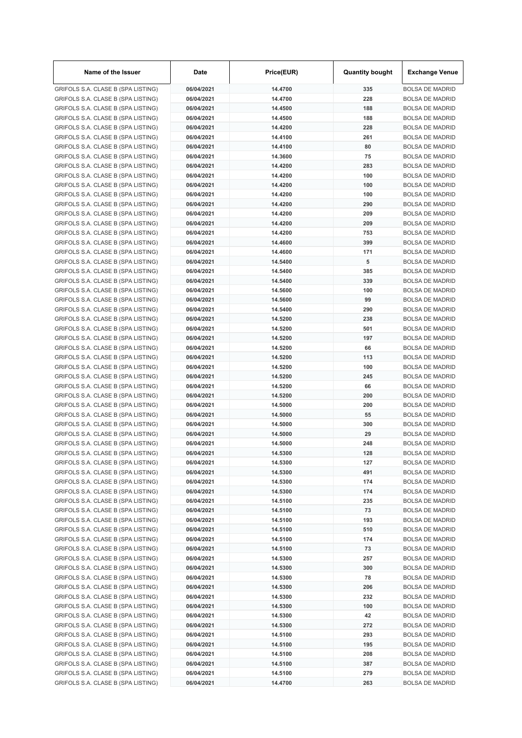| Name of the Issuer                 | Date       | Price(EUR) | <b>Quantity bought</b> | <b>Exchange Venue</b>  |
|------------------------------------|------------|------------|------------------------|------------------------|
| GRIFOLS S.A. CLASE B (SPA LISTING) | 06/04/2021 | 14.4700    | 335                    | <b>BOLSA DE MADRID</b> |
| GRIFOLS S.A. CLASE B (SPA LISTING) | 06/04/2021 | 14.4700    | 228                    | <b>BOLSA DE MADRID</b> |
| GRIFOLS S.A. CLASE B (SPA LISTING) | 06/04/2021 | 14.4500    | 188                    | <b>BOLSA DE MADRID</b> |
| GRIFOLS S.A. CLASE B (SPA LISTING) | 06/04/2021 | 14.4500    | 188                    | <b>BOLSA DE MADRID</b> |
| GRIFOLS S.A. CLASE B (SPA LISTING) | 06/04/2021 | 14.4200    | 228                    | <b>BOLSA DE MADRID</b> |
| GRIFOLS S.A. CLASE B (SPA LISTING) | 06/04/2021 | 14.4100    | 261                    | <b>BOLSA DE MADRID</b> |
| GRIFOLS S.A. CLASE B (SPA LISTING) | 06/04/2021 | 14.4100    | 80                     | <b>BOLSA DE MADRID</b> |
| GRIFOLS S.A. CLASE B (SPA LISTING) | 06/04/2021 | 14.3600    | 75                     | <b>BOLSA DE MADRID</b> |
| GRIFOLS S.A. CLASE B (SPA LISTING) | 06/04/2021 | 14.4200    | 283                    | <b>BOLSA DE MADRID</b> |
| GRIFOLS S.A. CLASE B (SPA LISTING) | 06/04/2021 | 14.4200    | 100                    | <b>BOLSA DE MADRID</b> |
| GRIFOLS S.A. CLASE B (SPA LISTING) | 06/04/2021 | 14.4200    | 100                    | <b>BOLSA DE MADRID</b> |
| GRIFOLS S.A. CLASE B (SPA LISTING) | 06/04/2021 | 14.4200    | 100                    | <b>BOLSA DE MADRID</b> |
| GRIFOLS S.A. CLASE B (SPA LISTING) | 06/04/2021 | 14.4200    | 290                    | <b>BOLSA DE MADRID</b> |
| GRIFOLS S.A. CLASE B (SPA LISTING) | 06/04/2021 | 14.4200    | 209                    | <b>BOLSA DE MADRID</b> |
| GRIFOLS S.A. CLASE B (SPA LISTING) | 06/04/2021 | 14.4200    | 209                    | <b>BOLSA DE MADRID</b> |
| GRIFOLS S.A. CLASE B (SPA LISTING) | 06/04/2021 | 14.4200    | 753                    | <b>BOLSA DE MADRID</b> |
| GRIFOLS S.A. CLASE B (SPA LISTING) | 06/04/2021 | 14.4600    | 399                    | <b>BOLSA DE MADRID</b> |
| GRIFOLS S.A. CLASE B (SPA LISTING) | 06/04/2021 | 14.4600    | 171                    | <b>BOLSA DE MADRID</b> |
| GRIFOLS S.A. CLASE B (SPA LISTING) | 06/04/2021 | 14.5400    | 5                      | <b>BOLSA DE MADRID</b> |
| GRIFOLS S.A. CLASE B (SPA LISTING) | 06/04/2021 | 14.5400    | 385                    | <b>BOLSA DE MADRID</b> |
| GRIFOLS S.A. CLASE B (SPA LISTING) | 06/04/2021 | 14.5400    | 339                    | <b>BOLSA DE MADRID</b> |
| GRIFOLS S.A. CLASE B (SPA LISTING) | 06/04/2021 | 14.5600    | 100                    | <b>BOLSA DE MADRID</b> |
| GRIFOLS S.A. CLASE B (SPA LISTING) | 06/04/2021 | 14.5600    | 99                     | <b>BOLSA DE MADRID</b> |
| GRIFOLS S.A. CLASE B (SPA LISTING) | 06/04/2021 | 14.5400    | 290                    | <b>BOLSA DE MADRID</b> |
| GRIFOLS S.A. CLASE B (SPA LISTING) | 06/04/2021 | 14.5200    | 238                    | <b>BOLSA DE MADRID</b> |
| GRIFOLS S.A. CLASE B (SPA LISTING) | 06/04/2021 | 14.5200    | 501                    | <b>BOLSA DE MADRID</b> |
| GRIFOLS S.A. CLASE B (SPA LISTING) | 06/04/2021 | 14.5200    | 197                    | <b>BOLSA DE MADRID</b> |
| GRIFOLS S.A. CLASE B (SPA LISTING) | 06/04/2021 | 14.5200    | 66                     | <b>BOLSA DE MADRID</b> |
| GRIFOLS S.A. CLASE B (SPA LISTING) | 06/04/2021 | 14.5200    | 113                    | <b>BOLSA DE MADRID</b> |
| GRIFOLS S.A. CLASE B (SPA LISTING) | 06/04/2021 | 14.5200    | 100                    | <b>BOLSA DE MADRID</b> |
| GRIFOLS S.A. CLASE B (SPA LISTING) | 06/04/2021 | 14.5200    | 245                    | <b>BOLSA DE MADRID</b> |
| GRIFOLS S.A. CLASE B (SPA LISTING) | 06/04/2021 | 14.5200    | 66                     | <b>BOLSA DE MADRID</b> |
| GRIFOLS S.A. CLASE B (SPA LISTING) | 06/04/2021 | 14.5200    | 200                    | <b>BOLSA DE MADRID</b> |
| GRIFOLS S.A. CLASE B (SPA LISTING) | 06/04/2021 | 14.5000    | 200                    | <b>BOLSA DE MADRID</b> |
| GRIFOLS S.A. CLASE B (SPA LISTING) | 06/04/2021 | 14.5000    | 55                     | <b>BOLSA DE MADRID</b> |
| GRIFOLS S.A. CLASE B (SPA LISTING) | 06/04/2021 | 14.5000    | 300                    | <b>BOLSA DE MADRID</b> |
| GRIFOLS S.A. CLASE B (SPA LISTING) | 06/04/2021 | 14.5000    | 29                     | <b>BOLSA DE MADRID</b> |
| GRIFOLS S.A. CLASE B (SPA LISTING) | 06/04/2021 | 14.5000    | 248                    | <b>BOLSA DE MADRID</b> |
| GRIFOLS S.A. CLASE B (SPA LISTING) | 06/04/2021 | 14.5300    | 128                    | <b>BOLSA DE MADRID</b> |
| GRIFOLS S.A. CLASE B (SPA LISTING) | 06/04/2021 | 14.5300    | 127                    | <b>BOLSA DE MADRID</b> |
| GRIFOLS S.A. CLASE B (SPA LISTING) | 06/04/2021 | 14.5300    | 491                    | <b>BOLSA DE MADRID</b> |
| GRIFOLS S.A. CLASE B (SPA LISTING) | 06/04/2021 | 14.5300    | 174                    | <b>BOLSA DE MADRID</b> |
| GRIFOLS S.A. CLASE B (SPA LISTING) | 06/04/2021 | 14.5300    | 174                    | <b>BOLSA DE MADRID</b> |
| GRIFOLS S.A. CLASE B (SPA LISTING) | 06/04/2021 | 14.5100    | 235                    | <b>BOLSA DE MADRID</b> |
| GRIFOLS S.A. CLASE B (SPA LISTING) | 06/04/2021 | 14.5100    | 73                     | <b>BOLSA DE MADRID</b> |
| GRIFOLS S.A. CLASE B (SPA LISTING) | 06/04/2021 | 14.5100    | 193                    | <b>BOLSA DE MADRID</b> |
| GRIFOLS S.A. CLASE B (SPA LISTING) | 06/04/2021 | 14.5100    | 510                    | <b>BOLSA DE MADRID</b> |
| GRIFOLS S.A. CLASE B (SPA LISTING) | 06/04/2021 | 14.5100    | 174                    | <b>BOLSA DE MADRID</b> |
| GRIFOLS S.A. CLASE B (SPA LISTING) | 06/04/2021 | 14.5100    | 73                     | <b>BOLSA DE MADRID</b> |
| GRIFOLS S.A. CLASE B (SPA LISTING) | 06/04/2021 | 14.5300    | 257                    | <b>BOLSA DE MADRID</b> |
| GRIFOLS S.A. CLASE B (SPA LISTING) | 06/04/2021 | 14.5300    | 300                    | <b>BOLSA DE MADRID</b> |
| GRIFOLS S.A. CLASE B (SPA LISTING) | 06/04/2021 | 14.5300    | 78                     | <b>BOLSA DE MADRID</b> |
| GRIFOLS S.A. CLASE B (SPA LISTING) | 06/04/2021 | 14.5300    | 206                    | <b>BOLSA DE MADRID</b> |
| GRIFOLS S.A. CLASE B (SPA LISTING) | 06/04/2021 | 14.5300    | 232                    | <b>BOLSA DE MADRID</b> |
| GRIFOLS S.A. CLASE B (SPA LISTING) | 06/04/2021 | 14.5300    | 100                    | <b>BOLSA DE MADRID</b> |
| GRIFOLS S.A. CLASE B (SPA LISTING) | 06/04/2021 | 14.5300    | 42                     | <b>BOLSA DE MADRID</b> |
| GRIFOLS S.A. CLASE B (SPA LISTING) | 06/04/2021 | 14.5300    | 272                    | <b>BOLSA DE MADRID</b> |
| GRIFOLS S.A. CLASE B (SPA LISTING) | 06/04/2021 | 14.5100    | 293                    | <b>BOLSA DE MADRID</b> |
| GRIFOLS S.A. CLASE B (SPA LISTING) | 06/04/2021 | 14.5100    | 195                    | <b>BOLSA DE MADRID</b> |
| GRIFOLS S.A. CLASE B (SPA LISTING) | 06/04/2021 | 14.5100    | 208                    | <b>BOLSA DE MADRID</b> |
| GRIFOLS S.A. CLASE B (SPA LISTING) | 06/04/2021 | 14.5100    | 387                    | <b>BOLSA DE MADRID</b> |
| GRIFOLS S.A. CLASE B (SPA LISTING) | 06/04/2021 | 14.5100    | 279                    | <b>BOLSA DE MADRID</b> |
| GRIFOLS S.A. CLASE B (SPA LISTING) | 06/04/2021 | 14.4700    | 263                    | <b>BOLSA DE MADRID</b> |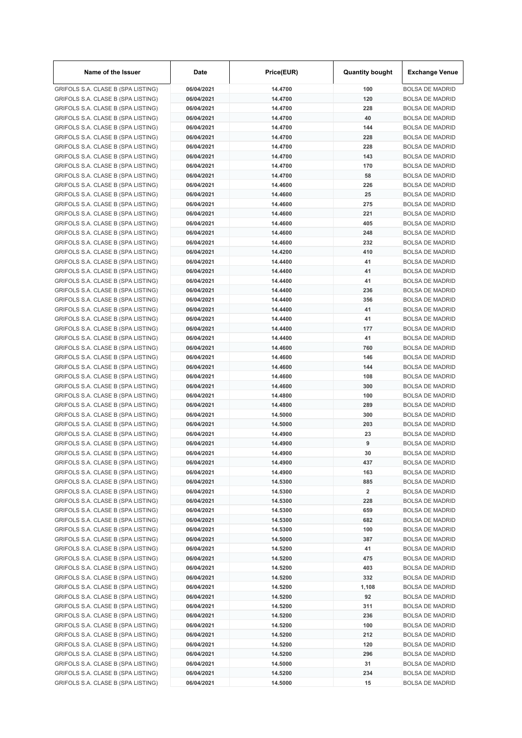| Name of the Issuer                                                       | Date                     | Price(EUR)         | <b>Quantity bought</b>  | <b>Exchange Venue</b>                            |
|--------------------------------------------------------------------------|--------------------------|--------------------|-------------------------|--------------------------------------------------|
| GRIFOLS S.A. CLASE B (SPA LISTING)                                       | 06/04/2021               | 14.4700            | 100                     | <b>BOLSA DE MADRID</b>                           |
| GRIFOLS S.A. CLASE B (SPA LISTING)                                       | 06/04/2021               | 14.4700            | 120                     | <b>BOLSA DE MADRID</b>                           |
| GRIFOLS S.A. CLASE B (SPA LISTING)                                       | 06/04/2021               | 14.4700            | 228                     | <b>BOLSA DE MADRID</b>                           |
| GRIFOLS S.A. CLASE B (SPA LISTING)                                       | 06/04/2021               | 14.4700            | 40                      | <b>BOLSA DE MADRID</b>                           |
| GRIFOLS S.A. CLASE B (SPA LISTING)                                       | 06/04/2021               | 14.4700            | 144                     | <b>BOLSA DE MADRID</b>                           |
| GRIFOLS S.A. CLASE B (SPA LISTING)                                       | 06/04/2021               | 14.4700            | 228                     | <b>BOLSA DE MADRID</b>                           |
| GRIFOLS S.A. CLASE B (SPA LISTING)                                       | 06/04/2021               | 14.4700            | 228                     | <b>BOLSA DE MADRID</b>                           |
| GRIFOLS S.A. CLASE B (SPA LISTING)                                       | 06/04/2021               | 14.4700            | 143                     | <b>BOLSA DE MADRID</b>                           |
| GRIFOLS S.A. CLASE B (SPA LISTING)                                       | 06/04/2021               | 14.4700            | 170                     | <b>BOLSA DE MADRID</b>                           |
| GRIFOLS S.A. CLASE B (SPA LISTING)                                       | 06/04/2021               | 14.4700            | 58                      | <b>BOLSA DE MADRID</b>                           |
| GRIFOLS S.A. CLASE B (SPA LISTING)                                       | 06/04/2021               | 14.4600            | 226                     | <b>BOLSA DE MADRID</b>                           |
| GRIFOLS S.A. CLASE B (SPA LISTING)                                       | 06/04/2021               | 14.4600            | 25                      | <b>BOLSA DE MADRID</b>                           |
| GRIFOLS S.A. CLASE B (SPA LISTING)                                       | 06/04/2021               | 14.4600            | 275                     | <b>BOLSA DE MADRID</b>                           |
| GRIFOLS S.A. CLASE B (SPA LISTING)                                       | 06/04/2021               | 14.4600            | 221                     | <b>BOLSA DE MADRID</b>                           |
| GRIFOLS S.A. CLASE B (SPA LISTING)                                       | 06/04/2021               | 14.4600            | 405                     | <b>BOLSA DE MADRID</b>                           |
| GRIFOLS S.A. CLASE B (SPA LISTING)                                       | 06/04/2021               | 14.4600            | 248                     | <b>BOLSA DE MADRID</b>                           |
| GRIFOLS S.A. CLASE B (SPA LISTING)                                       | 06/04/2021               | 14.4600            | 232                     | <b>BOLSA DE MADRID</b><br><b>BOLSA DE MADRID</b> |
| GRIFOLS S.A. CLASE B (SPA LISTING)<br>GRIFOLS S.A. CLASE B (SPA LISTING) | 06/04/2021<br>06/04/2021 | 14.4200<br>14.4400 | 410<br>41               | <b>BOLSA DE MADRID</b>                           |
|                                                                          | 06/04/2021               | 14.4400            | 41                      | <b>BOLSA DE MADRID</b>                           |
| GRIFOLS S.A. CLASE B (SPA LISTING)<br>GRIFOLS S.A. CLASE B (SPA LISTING) | 06/04/2021               | 14.4400            | 41                      | <b>BOLSA DE MADRID</b>                           |
| GRIFOLS S.A. CLASE B (SPA LISTING)                                       | 06/04/2021               | 14.4400            | 236                     | <b>BOLSA DE MADRID</b>                           |
| GRIFOLS S.A. CLASE B (SPA LISTING)                                       | 06/04/2021               | 14.4400            | 356                     | <b>BOLSA DE MADRID</b>                           |
| GRIFOLS S.A. CLASE B (SPA LISTING)                                       | 06/04/2021               | 14.4400            | 41                      | <b>BOLSA DE MADRID</b>                           |
| GRIFOLS S.A. CLASE B (SPA LISTING)                                       | 06/04/2021               | 14.4400            | 41                      | <b>BOLSA DE MADRID</b>                           |
| GRIFOLS S.A. CLASE B (SPA LISTING)                                       | 06/04/2021               | 14.4400            | 177                     | <b>BOLSA DE MADRID</b>                           |
| GRIFOLS S.A. CLASE B (SPA LISTING)                                       | 06/04/2021               | 14.4400            | 41                      | <b>BOLSA DE MADRID</b>                           |
| GRIFOLS S.A. CLASE B (SPA LISTING)                                       | 06/04/2021               | 14.4600            | 760                     | <b>BOLSA DE MADRID</b>                           |
| GRIFOLS S.A. CLASE B (SPA LISTING)                                       | 06/04/2021               | 14.4600            | 146                     | <b>BOLSA DE MADRID</b>                           |
| GRIFOLS S.A. CLASE B (SPA LISTING)                                       | 06/04/2021               | 14.4600            | 144                     | <b>BOLSA DE MADRID</b>                           |
| GRIFOLS S.A. CLASE B (SPA LISTING)                                       | 06/04/2021               | 14.4600            | 108                     | <b>BOLSA DE MADRID</b>                           |
| GRIFOLS S.A. CLASE B (SPA LISTING)                                       | 06/04/2021               | 14.4600            | 300                     | <b>BOLSA DE MADRID</b>                           |
| GRIFOLS S.A. CLASE B (SPA LISTING)                                       | 06/04/2021               | 14.4800            | 100                     | <b>BOLSA DE MADRID</b>                           |
| GRIFOLS S.A. CLASE B (SPA LISTING)                                       | 06/04/2021               | 14.4800            | 289                     | <b>BOLSA DE MADRID</b>                           |
| GRIFOLS S.A. CLASE B (SPA LISTING)                                       | 06/04/2021               | 14.5000            | 300                     | <b>BOLSA DE MADRID</b>                           |
| GRIFOLS S.A. CLASE B (SPA LISTING)                                       | 06/04/2021               | 14.5000            | 203                     | <b>BOLSA DE MADRID</b>                           |
| GRIFOLS S.A. CLASE B (SPA LISTING)                                       | 06/04/2021               | 14.4900            | 23                      | <b>BOLSA DE MADRID</b>                           |
| GRIFOLS S.A. CLASE B (SPA LISTING)                                       | 06/04/2021               | 14.4900            | 9                       | <b>BOLSA DE MADRID</b>                           |
| GRIFOLS S.A. CLASE B (SPA LISTING)                                       | 06/04/2021               | 14.4900            | 30                      | <b>BOLSA DE MADRID</b>                           |
| GRIFOLS S.A. CLASE B (SPA LISTING)                                       | 06/04/2021               | 14.4900            | 437                     | <b>BOLSA DE MADRID</b>                           |
| GRIFOLS S.A. CLASE B (SPA LISTING)                                       | 06/04/2021               | 14.4900            | 163                     | <b>BOLSA DE MADRID</b>                           |
| GRIFOLS S.A. CLASE B (SPA LISTING)                                       | 06/04/2021               | 14.5300            | 885                     | <b>BOLSA DE MADRID</b>                           |
| GRIFOLS S.A. CLASE B (SPA LISTING)                                       | 06/04/2021               | 14.5300            | $\overline{\mathbf{2}}$ | <b>BOLSA DE MADRID</b>                           |
| GRIFOLS S.A. CLASE B (SPA LISTING)                                       | 06/04/2021               | 14.5300            | 228                     | <b>BOLSA DE MADRID</b>                           |
| GRIFOLS S.A. CLASE B (SPA LISTING)                                       | 06/04/2021               | 14.5300            | 659                     | <b>BOLSA DE MADRID</b>                           |
| GRIFOLS S.A. CLASE B (SPA LISTING)                                       | 06/04/2021               | 14.5300            | 682                     | <b>BOLSA DE MADRID</b>                           |
| GRIFOLS S.A. CLASE B (SPA LISTING)                                       | 06/04/2021               | 14.5300            | 100                     | <b>BOLSA DE MADRID</b>                           |
| GRIFOLS S.A. CLASE B (SPA LISTING)                                       | 06/04/2021               | 14.5000            | 387                     | <b>BOLSA DE MADRID</b>                           |
| GRIFOLS S.A. CLASE B (SPA LISTING)                                       | 06/04/2021               | 14.5200            | 41                      | <b>BOLSA DE MADRID</b>                           |
| GRIFOLS S.A. CLASE B (SPA LISTING)                                       | 06/04/2021               | 14.5200            | 475                     | <b>BOLSA DE MADRID</b>                           |
| GRIFOLS S.A. CLASE B (SPA LISTING)                                       | 06/04/2021               | 14.5200            | 403                     | <b>BOLSA DE MADRID</b>                           |
| GRIFOLS S.A. CLASE B (SPA LISTING)                                       | 06/04/2021               | 14.5200            | 332                     | <b>BOLSA DE MADRID</b>                           |
| GRIFOLS S.A. CLASE B (SPA LISTING)                                       | 06/04/2021               | 14.5200            | 1,108                   | <b>BOLSA DE MADRID</b>                           |
| GRIFOLS S.A. CLASE B (SPA LISTING)                                       | 06/04/2021               | 14.5200            | 92                      | <b>BOLSA DE MADRID</b>                           |
| GRIFOLS S.A. CLASE B (SPA LISTING)                                       | 06/04/2021               | 14.5200            | 311                     | <b>BOLSA DE MADRID</b>                           |
| GRIFOLS S.A. CLASE B (SPA LISTING)                                       | 06/04/2021               | 14.5200            | 236                     | <b>BOLSA DE MADRID</b>                           |
| GRIFOLS S.A. CLASE B (SPA LISTING)                                       | 06/04/2021               | 14.5200            | 100                     | <b>BOLSA DE MADRID</b>                           |
| GRIFOLS S.A. CLASE B (SPA LISTING)                                       | 06/04/2021               | 14.5200            | 212                     | <b>BOLSA DE MADRID</b>                           |
| GRIFOLS S.A. CLASE B (SPA LISTING)                                       | 06/04/2021               | 14.5200            | 120                     | <b>BOLSA DE MADRID</b>                           |
| GRIFOLS S.A. CLASE B (SPA LISTING)                                       | 06/04/2021               | 14.5200            | 296                     | <b>BOLSA DE MADRID</b>                           |
| GRIFOLS S.A. CLASE B (SPA LISTING)                                       | 06/04/2021               | 14.5000            | 31                      | <b>BOLSA DE MADRID</b>                           |
| GRIFOLS S.A. CLASE B (SPA LISTING)                                       | 06/04/2021               | 14.5200            | 234<br>15               | <b>BOLSA DE MADRID</b>                           |
| GRIFOLS S.A. CLASE B (SPA LISTING)                                       | 06/04/2021               | 14.5000            |                         | <b>BOLSA DE MADRID</b>                           |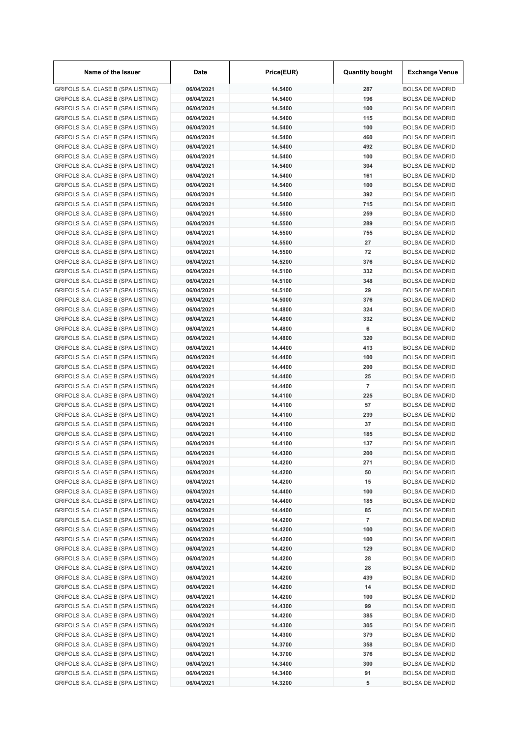| Name of the Issuer                 | Date       | Price(EUR) | <b>Quantity bought</b>  | <b>Exchange Venue</b>  |
|------------------------------------|------------|------------|-------------------------|------------------------|
| GRIFOLS S.A. CLASE B (SPA LISTING) | 06/04/2021 | 14.5400    | 287                     | <b>BOLSA DE MADRID</b> |
| GRIFOLS S.A. CLASE B (SPA LISTING) | 06/04/2021 | 14.5400    | 196                     | <b>BOLSA DE MADRID</b> |
| GRIFOLS S.A. CLASE B (SPA LISTING) | 06/04/2021 | 14.5400    | 100                     | <b>BOLSA DE MADRID</b> |
| GRIFOLS S.A. CLASE B (SPA LISTING) | 06/04/2021 | 14.5400    | 115                     | <b>BOLSA DE MADRID</b> |
| GRIFOLS S.A. CLASE B (SPA LISTING) | 06/04/2021 | 14.5400    | 100                     | <b>BOLSA DE MADRID</b> |
| GRIFOLS S.A. CLASE B (SPA LISTING) | 06/04/2021 | 14.5400    | 460                     | <b>BOLSA DE MADRID</b> |
| GRIFOLS S.A. CLASE B (SPA LISTING) | 06/04/2021 | 14.5400    | 492                     | <b>BOLSA DE MADRID</b> |
| GRIFOLS S.A. CLASE B (SPA LISTING) | 06/04/2021 | 14.5400    | 100                     | <b>BOLSA DE MADRID</b> |
| GRIFOLS S.A. CLASE B (SPA LISTING) | 06/04/2021 | 14.5400    | 304                     | <b>BOLSA DE MADRID</b> |
| GRIFOLS S.A. CLASE B (SPA LISTING) | 06/04/2021 | 14.5400    | 161                     | <b>BOLSA DE MADRID</b> |
| GRIFOLS S.A. CLASE B (SPA LISTING) | 06/04/2021 | 14.5400    | 100                     | <b>BOLSA DE MADRID</b> |
| GRIFOLS S.A. CLASE B (SPA LISTING) | 06/04/2021 | 14.5400    | 392                     | <b>BOLSA DE MADRID</b> |
| GRIFOLS S.A. CLASE B (SPA LISTING) | 06/04/2021 | 14.5400    | 715                     | <b>BOLSA DE MADRID</b> |
| GRIFOLS S.A. CLASE B (SPA LISTING) | 06/04/2021 | 14.5500    | 259                     | <b>BOLSA DE MADRID</b> |
| GRIFOLS S.A. CLASE B (SPA LISTING) | 06/04/2021 | 14.5500    | 289                     | <b>BOLSA DE MADRID</b> |
| GRIFOLS S.A. CLASE B (SPA LISTING) | 06/04/2021 | 14.5500    | 755                     | <b>BOLSA DE MADRID</b> |
| GRIFOLS S.A. CLASE B (SPA LISTING) | 06/04/2021 | 14.5500    | 27                      | <b>BOLSA DE MADRID</b> |
| GRIFOLS S.A. CLASE B (SPA LISTING) | 06/04/2021 | 14.5500    | 72                      | <b>BOLSA DE MADRID</b> |
| GRIFOLS S.A. CLASE B (SPA LISTING) | 06/04/2021 | 14.5200    | 376                     | <b>BOLSA DE MADRID</b> |
| GRIFOLS S.A. CLASE B (SPA LISTING) | 06/04/2021 | 14.5100    | 332                     | <b>BOLSA DE MADRID</b> |
| GRIFOLS S.A. CLASE B (SPA LISTING) | 06/04/2021 | 14.5100    | 348                     | <b>BOLSA DE MADRID</b> |
| GRIFOLS S.A. CLASE B (SPA LISTING) | 06/04/2021 | 14.5100    | 29                      | <b>BOLSA DE MADRID</b> |
| GRIFOLS S.A. CLASE B (SPA LISTING) | 06/04/2021 | 14.5000    | 376                     | <b>BOLSA DE MADRID</b> |
| GRIFOLS S.A. CLASE B (SPA LISTING) | 06/04/2021 | 14.4800    | 324                     | <b>BOLSA DE MADRID</b> |
| GRIFOLS S.A. CLASE B (SPA LISTING) | 06/04/2021 | 14.4800    | 332                     | <b>BOLSA DE MADRID</b> |
| GRIFOLS S.A. CLASE B (SPA LISTING) | 06/04/2021 | 14.4800    | 6                       | <b>BOLSA DE MADRID</b> |
| GRIFOLS S.A. CLASE B (SPA LISTING) | 06/04/2021 | 14.4800    | 320                     | <b>BOLSA DE MADRID</b> |
| GRIFOLS S.A. CLASE B (SPA LISTING) | 06/04/2021 | 14.4400    | 413                     | <b>BOLSA DE MADRID</b> |
| GRIFOLS S.A. CLASE B (SPA LISTING) | 06/04/2021 | 14.4400    | 100                     | <b>BOLSA DE MADRID</b> |
| GRIFOLS S.A. CLASE B (SPA LISTING) | 06/04/2021 | 14.4400    | 200                     | <b>BOLSA DE MADRID</b> |
| GRIFOLS S.A. CLASE B (SPA LISTING) | 06/04/2021 | 14.4400    | 25                      | <b>BOLSA DE MADRID</b> |
| GRIFOLS S.A. CLASE B (SPA LISTING) | 06/04/2021 | 14.4400    | $\overline{7}$          | <b>BOLSA DE MADRID</b> |
| GRIFOLS S.A. CLASE B (SPA LISTING) | 06/04/2021 | 14.4100    | 225                     | <b>BOLSA DE MADRID</b> |
| GRIFOLS S.A. CLASE B (SPA LISTING) | 06/04/2021 | 14.4100    | 57                      | <b>BOLSA DE MADRID</b> |
| GRIFOLS S.A. CLASE B (SPA LISTING) | 06/04/2021 | 14.4100    | 239                     | <b>BOLSA DE MADRID</b> |
| GRIFOLS S.A. CLASE B (SPA LISTING) | 06/04/2021 | 14.4100    | 37                      | <b>BOLSA DE MADRID</b> |
| GRIFOLS S.A. CLASE B (SPA LISTING) | 06/04/2021 | 14.4100    | 185                     | <b>BOLSA DE MADRID</b> |
| GRIFOLS S.A. CLASE B (SPA LISTING) | 06/04/2021 | 14.4100    | 137                     | <b>BOLSA DE MADRID</b> |
| GRIFOLS S.A. CLASE B (SPA LISTING) | 06/04/2021 | 14.4300    | 200                     | <b>BOLSA DE MADRID</b> |
| GRIFOLS S.A. CLASE B (SPA LISTING) | 06/04/2021 | 14.4200    | 271                     | <b>BOLSA DE MADRID</b> |
| GRIFOLS S.A. CLASE B (SPA LISTING) | 06/04/2021 | 14.4200    | 50                      | <b>BOLSA DE MADRID</b> |
| GRIFOLS S.A. CLASE B (SPA LISTING) | 06/04/2021 | 14.4200    | 15                      | <b>BOLSA DE MADRID</b> |
| GRIFOLS S.A. CLASE B (SPA LISTING) | 06/04/2021 | 14.4400    | 100                     | <b>BOLSA DE MADRID</b> |
| GRIFOLS S.A. CLASE B (SPA LISTING) | 06/04/2021 | 14.4400    | 185                     | <b>BOLSA DE MADRID</b> |
| GRIFOLS S.A. CLASE B (SPA LISTING) | 06/04/2021 | 14.4400    | 85                      | <b>BOLSA DE MADRID</b> |
| GRIFOLS S.A. CLASE B (SPA LISTING) | 06/04/2021 | 14.4200    | $\overline{\mathbf{7}}$ | <b>BOLSA DE MADRID</b> |
| GRIFOLS S.A. CLASE B (SPA LISTING) | 06/04/2021 | 14.4200    | 100                     | <b>BOLSA DE MADRID</b> |
| GRIFOLS S.A. CLASE B (SPA LISTING) | 06/04/2021 | 14.4200    | 100                     | <b>BOLSA DE MADRID</b> |
| GRIFOLS S.A. CLASE B (SPA LISTING) | 06/04/2021 | 14.4200    | 129                     | <b>BOLSA DE MADRID</b> |
| GRIFOLS S.A. CLASE B (SPA LISTING) | 06/04/2021 | 14.4200    | 28                      | <b>BOLSA DE MADRID</b> |
| GRIFOLS S.A. CLASE B (SPA LISTING) | 06/04/2021 | 14.4200    | 28                      | <b>BOLSA DE MADRID</b> |
| GRIFOLS S.A. CLASE B (SPA LISTING) | 06/04/2021 | 14.4200    | 439                     | <b>BOLSA DE MADRID</b> |
| GRIFOLS S.A. CLASE B (SPA LISTING) | 06/04/2021 | 14.4200    | 14                      | <b>BOLSA DE MADRID</b> |
| GRIFOLS S.A. CLASE B (SPA LISTING) | 06/04/2021 | 14.4200    | 100                     | <b>BOLSA DE MADRID</b> |
| GRIFOLS S.A. CLASE B (SPA LISTING) | 06/04/2021 | 14.4300    | 99                      | <b>BOLSA DE MADRID</b> |
| GRIFOLS S.A. CLASE B (SPA LISTING) | 06/04/2021 | 14.4200    | 385                     | <b>BOLSA DE MADRID</b> |
| GRIFOLS S.A. CLASE B (SPA LISTING) | 06/04/2021 | 14.4300    | 305                     | <b>BOLSA DE MADRID</b> |
| GRIFOLS S.A. CLASE B (SPA LISTING) | 06/04/2021 | 14.4300    | 379                     | <b>BOLSA DE MADRID</b> |
| GRIFOLS S.A. CLASE B (SPA LISTING) | 06/04/2021 | 14.3700    | 358                     | <b>BOLSA DE MADRID</b> |
| GRIFOLS S.A. CLASE B (SPA LISTING) | 06/04/2021 | 14.3700    | 376                     | <b>BOLSA DE MADRID</b> |
| GRIFOLS S.A. CLASE B (SPA LISTING) | 06/04/2021 | 14.3400    | 300                     | <b>BOLSA DE MADRID</b> |
| GRIFOLS S.A. CLASE B (SPA LISTING) | 06/04/2021 | 14.3400    | 91                      | <b>BOLSA DE MADRID</b> |
| GRIFOLS S.A. CLASE B (SPA LISTING) | 06/04/2021 | 14.3200    | 5                       | <b>BOLSA DE MADRID</b> |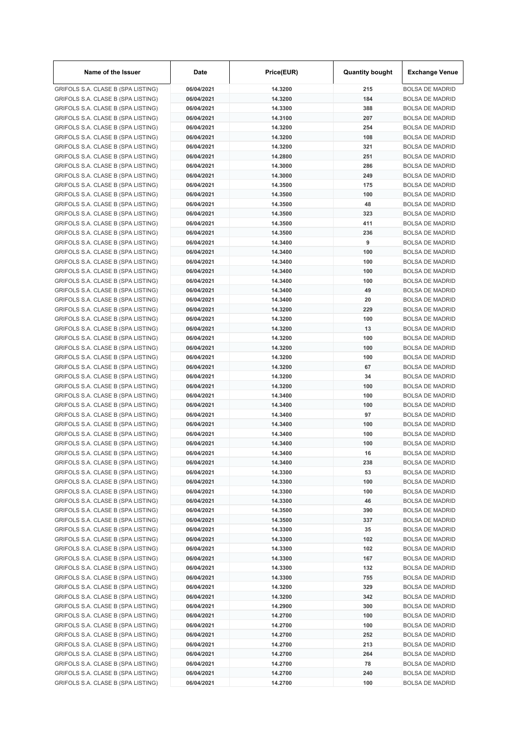| Name of the Issuer                                                       | Date                     | Price(EUR)         | <b>Quantity bought</b> | <b>Exchange Venue</b>                            |
|--------------------------------------------------------------------------|--------------------------|--------------------|------------------------|--------------------------------------------------|
| GRIFOLS S.A. CLASE B (SPA LISTING)                                       | 06/04/2021               | 14.3200            | 215                    | <b>BOLSA DE MADRID</b>                           |
| GRIFOLS S.A. CLASE B (SPA LISTING)                                       | 06/04/2021               | 14.3200            | 184                    | <b>BOLSA DE MADRID</b>                           |
| GRIFOLS S.A. CLASE B (SPA LISTING)                                       | 06/04/2021               | 14.3300            | 388                    | <b>BOLSA DE MADRID</b>                           |
| GRIFOLS S.A. CLASE B (SPA LISTING)                                       | 06/04/2021               | 14.3100            | 207                    | <b>BOLSA DE MADRID</b>                           |
| GRIFOLS S.A. CLASE B (SPA LISTING)                                       | 06/04/2021               | 14.3200            | 254                    | <b>BOLSA DE MADRID</b>                           |
| GRIFOLS S.A. CLASE B (SPA LISTING)                                       | 06/04/2021               | 14.3200            | 108                    | <b>BOLSA DE MADRID</b>                           |
| GRIFOLS S.A. CLASE B (SPA LISTING)                                       | 06/04/2021               | 14.3200            | 321                    | <b>BOLSA DE MADRID</b>                           |
| GRIFOLS S.A. CLASE B (SPA LISTING)                                       | 06/04/2021               | 14.2800            | 251                    | <b>BOLSA DE MADRID</b>                           |
| GRIFOLS S.A. CLASE B (SPA LISTING)                                       | 06/04/2021               | 14.3000            | 286                    | <b>BOLSA DE MADRID</b>                           |
| GRIFOLS S.A. CLASE B (SPA LISTING)                                       | 06/04/2021               | 14.3000            | 249                    | <b>BOLSA DE MADRID</b>                           |
| GRIFOLS S.A. CLASE B (SPA LISTING)                                       | 06/04/2021               | 14.3500            | 175                    | <b>BOLSA DE MADRID</b>                           |
| GRIFOLS S.A. CLASE B (SPA LISTING)                                       | 06/04/2021               | 14.3500            | 100                    | <b>BOLSA DE MADRID</b>                           |
| GRIFOLS S.A. CLASE B (SPA LISTING)                                       | 06/04/2021               | 14.3500            | 48                     | <b>BOLSA DE MADRID</b>                           |
| GRIFOLS S.A. CLASE B (SPA LISTING)                                       | 06/04/2021               | 14.3500            | 323                    | <b>BOLSA DE MADRID</b>                           |
| GRIFOLS S.A. CLASE B (SPA LISTING)                                       | 06/04/2021               | 14.3500            | 411                    | <b>BOLSA DE MADRID</b>                           |
| GRIFOLS S.A. CLASE B (SPA LISTING)                                       | 06/04/2021               | 14.3500            | 236                    | <b>BOLSA DE MADRID</b>                           |
| GRIFOLS S.A. CLASE B (SPA LISTING)                                       | 06/04/2021               | 14.3400            | 9                      | <b>BOLSA DE MADRID</b>                           |
| GRIFOLS S.A. CLASE B (SPA LISTING)                                       | 06/04/2021               | 14.3400            | 100                    | <b>BOLSA DE MADRID</b>                           |
| GRIFOLS S.A. CLASE B (SPA LISTING)                                       | 06/04/2021               | 14.3400            | 100                    | <b>BOLSA DE MADRID</b>                           |
| GRIFOLS S.A. CLASE B (SPA LISTING)                                       | 06/04/2021               | 14.3400<br>14.3400 | 100                    | <b>BOLSA DE MADRID</b>                           |
| GRIFOLS S.A. CLASE B (SPA LISTING)                                       | 06/04/2021               |                    | 100<br>49              | <b>BOLSA DE MADRID</b>                           |
| GRIFOLS S.A. CLASE B (SPA LISTING)                                       | 06/04/2021<br>06/04/2021 | 14.3400            | 20                     | <b>BOLSA DE MADRID</b>                           |
| GRIFOLS S.A. CLASE B (SPA LISTING)                                       | 06/04/2021               | 14.3400<br>14.3200 | 229                    | <b>BOLSA DE MADRID</b><br><b>BOLSA DE MADRID</b> |
| GRIFOLS S.A. CLASE B (SPA LISTING)                                       | 06/04/2021               | 14.3200            | 100                    | <b>BOLSA DE MADRID</b>                           |
| GRIFOLS S.A. CLASE B (SPA LISTING)<br>GRIFOLS S.A. CLASE B (SPA LISTING) | 06/04/2021               | 14.3200            | 13                     | <b>BOLSA DE MADRID</b>                           |
| GRIFOLS S.A. CLASE B (SPA LISTING)                                       | 06/04/2021               | 14.3200            | 100                    | <b>BOLSA DE MADRID</b>                           |
| GRIFOLS S.A. CLASE B (SPA LISTING)                                       | 06/04/2021               | 14.3200            | 100                    | <b>BOLSA DE MADRID</b>                           |
| GRIFOLS S.A. CLASE B (SPA LISTING)                                       | 06/04/2021               | 14.3200            | 100                    | <b>BOLSA DE MADRID</b>                           |
| GRIFOLS S.A. CLASE B (SPA LISTING)                                       | 06/04/2021               | 14.3200            | 67                     | <b>BOLSA DE MADRID</b>                           |
| GRIFOLS S.A. CLASE B (SPA LISTING)                                       | 06/04/2021               | 14.3200            | 34                     | <b>BOLSA DE MADRID</b>                           |
| GRIFOLS S.A. CLASE B (SPA LISTING)                                       | 06/04/2021               | 14.3200            | 100                    | <b>BOLSA DE MADRID</b>                           |
| GRIFOLS S.A. CLASE B (SPA LISTING)                                       | 06/04/2021               | 14.3400            | 100                    | <b>BOLSA DE MADRID</b>                           |
| GRIFOLS S.A. CLASE B (SPA LISTING)                                       | 06/04/2021               | 14.3400            | 100                    | <b>BOLSA DE MADRID</b>                           |
| GRIFOLS S.A. CLASE B (SPA LISTING)                                       | 06/04/2021               | 14.3400            | 97                     | <b>BOLSA DE MADRID</b>                           |
| GRIFOLS S.A. CLASE B (SPA LISTING)                                       | 06/04/2021               | 14.3400            | 100                    | <b>BOLSA DE MADRID</b>                           |
| GRIFOLS S.A. CLASE B (SPA LISTING)                                       | 06/04/2021               | 14.3400            | 100                    | <b>BOLSA DE MADRID</b>                           |
| GRIFOLS S.A. CLASE B (SPA LISTING)                                       | 06/04/2021               | 14.3400            | 100                    | <b>BOLSA DE MADRID</b>                           |
| GRIFOLS S.A. CLASE B (SPA LISTING)                                       | 06/04/2021               | 14.3400            | 16                     | <b>BOLSA DE MADRID</b>                           |
| GRIFOLS S.A. CLASE B (SPA LISTING)                                       | 06/04/2021               | 14.3400            | 238                    | <b>BOLSA DE MADRID</b>                           |
| GRIFOLS S.A. CLASE B (SPA LISTING)                                       | 06/04/2021               | 14.3300            | 53                     | <b>BOLSA DE MADRID</b>                           |
| GRIFOLS S.A. CLASE B (SPA LISTING)                                       | 06/04/2021               | 14.3300            | 100                    | <b>BOLSA DE MADRID</b>                           |
| GRIFOLS S.A. CLASE B (SPA LISTING)                                       | 06/04/2021               | 14.3300            | 100                    | <b>BOLSA DE MADRID</b>                           |
| GRIFOLS S.A. CLASE B (SPA LISTING)                                       | 06/04/2021               | 14.3300            | 46                     | <b>BOLSA DE MADRID</b>                           |
| GRIFOLS S.A. CLASE B (SPA LISTING)                                       | 06/04/2021               | 14.3500            | 390                    | <b>BOLSA DE MADRID</b>                           |
| GRIFOLS S.A. CLASE B (SPA LISTING)                                       | 06/04/2021               | 14.3500            | 337                    | <b>BOLSA DE MADRID</b>                           |
| GRIFOLS S.A. CLASE B (SPA LISTING)                                       | 06/04/2021               | 14.3300            | 35                     | <b>BOLSA DE MADRID</b>                           |
| GRIFOLS S.A. CLASE B (SPA LISTING)                                       | 06/04/2021               | 14.3300            | 102                    | <b>BOLSA DE MADRID</b>                           |
| GRIFOLS S.A. CLASE B (SPA LISTING)                                       | 06/04/2021               | 14.3300            | 102                    | <b>BOLSA DE MADRID</b>                           |
| GRIFOLS S.A. CLASE B (SPA LISTING)                                       | 06/04/2021               | 14.3300            | 167                    | <b>BOLSA DE MADRID</b>                           |
| GRIFOLS S.A. CLASE B (SPA LISTING)                                       | 06/04/2021               | 14.3300            | 132                    | <b>BOLSA DE MADRID</b>                           |
| GRIFOLS S.A. CLASE B (SPA LISTING)                                       | 06/04/2021               | 14.3300            | 755                    | <b>BOLSA DE MADRID</b>                           |
| GRIFOLS S.A. CLASE B (SPA LISTING)                                       | 06/04/2021               | 14.3200            | 329                    | <b>BOLSA DE MADRID</b>                           |
| GRIFOLS S.A. CLASE B (SPA LISTING)                                       | 06/04/2021               | 14.3200            | 342                    | <b>BOLSA DE MADRID</b>                           |
| GRIFOLS S.A. CLASE B (SPA LISTING)                                       | 06/04/2021               | 14.2900            | 300                    | <b>BOLSA DE MADRID</b>                           |
| GRIFOLS S.A. CLASE B (SPA LISTING)                                       | 06/04/2021               | 14.2700            | 100                    | <b>BOLSA DE MADRID</b>                           |
| GRIFOLS S.A. CLASE B (SPA LISTING)                                       | 06/04/2021               | 14.2700            | 100                    | <b>BOLSA DE MADRID</b>                           |
| GRIFOLS S.A. CLASE B (SPA LISTING)                                       | 06/04/2021               | 14.2700            | 252                    | <b>BOLSA DE MADRID</b>                           |
| GRIFOLS S.A. CLASE B (SPA LISTING)                                       | 06/04/2021               | 14.2700            | 213                    | <b>BOLSA DE MADRID</b>                           |
| GRIFOLS S.A. CLASE B (SPA LISTING)                                       | 06/04/2021               | 14.2700            | 264                    | <b>BOLSA DE MADRID</b>                           |
| GRIFOLS S.A. CLASE B (SPA LISTING)                                       | 06/04/2021               | 14.2700            | 78                     | <b>BOLSA DE MADRID</b>                           |
| GRIFOLS S.A. CLASE B (SPA LISTING)                                       | 06/04/2021               | 14.2700            | 240                    | <b>BOLSA DE MADRID</b>                           |
| GRIFOLS S.A. CLASE B (SPA LISTING)                                       | 06/04/2021               | 14.2700            | 100                    | <b>BOLSA DE MADRID</b>                           |